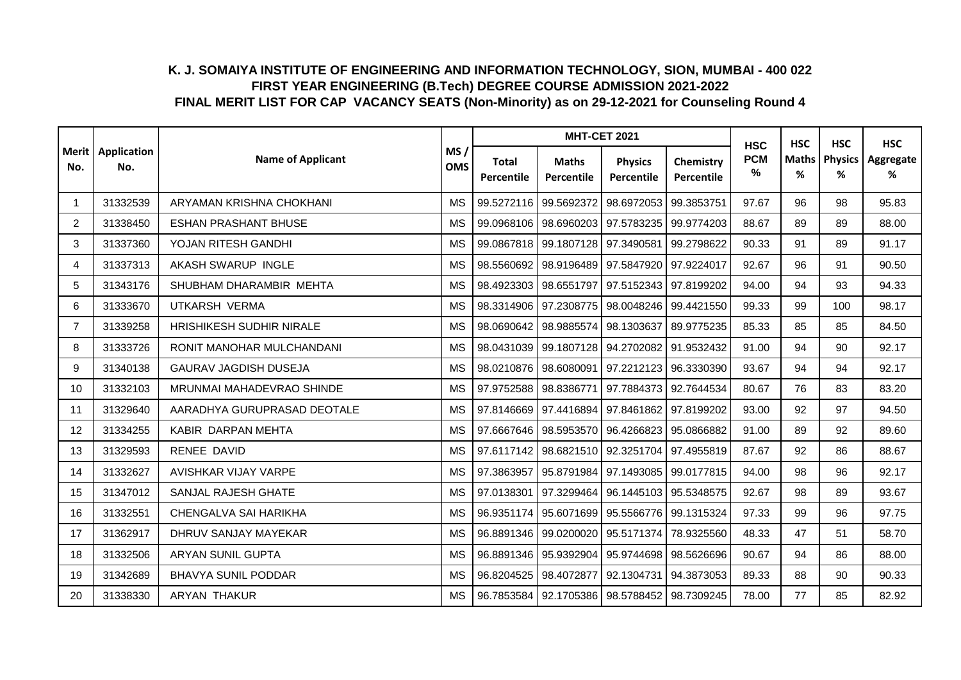|                |                            |                             |                   |                            | <b>MHT-CET 2021</b>                               |                              |                         | <b>HSC</b>      | <b>HSC</b>        | <b>HSC</b>          | <b>HSC</b>     |
|----------------|----------------------------|-----------------------------|-------------------|----------------------------|---------------------------------------------------|------------------------------|-------------------------|-----------------|-------------------|---------------------|----------------|
| No.            | Merit   Application<br>No. | <b>Name of Applicant</b>    | MS/<br><b>OMS</b> | <b>Total</b><br>Percentile | <b>Maths</b><br><b>Percentile</b>                 | <b>Physics</b><br>Percentile | Chemistry<br>Percentile | <b>PCM</b><br>% | <b>Maths</b><br>% | <b>Physics</b><br>% | Aggregate<br>% |
| 1              | 31332539                   | ARYAMAN KRISHNA CHOKHANI    | <b>MS</b>         |                            | 99.5272116 99.5692372                             | 98.6972053                   | 99.3853751              | 97.67           | 96                | 98                  | 95.83          |
| $\overline{2}$ | 31338450                   | <b>ESHAN PRASHANT BHUSE</b> | <b>MS</b>         |                            | 99.0968106 98.6960203 97.5783235                  |                              | 99.9774203              | 88.67           | 89                | 89                  | 88.00          |
| 3              | 31337360                   | YOJAN RITESH GANDHI         | <b>MS</b>         |                            | 99.0867818 99.1807128 97.3490581                  |                              | 99.2798622              | 90.33           | 91                | 89                  | 91.17          |
| 4              | 31337313                   | AKASH SWARUP INGLE          | <b>MS</b>         |                            | 98.5560692 98.9196489 97.5847920                  |                              | 97.9224017              | 92.67           | 96                | 91                  | 90.50          |
| 5              | 31343176                   | SHUBHAM DHARAMBIR MEHTA     | <b>MS</b>         | 98.4923303                 | 98.6551797 97.5152343                             |                              | 97.8199202              | 94.00           | 94                | 93                  | 94.33          |
| 6              | 31333670                   | UTKARSH VERMA               | <b>MS</b>         |                            | 98.3314906 97.2308775 98.0048246                  |                              | 99.4421550              | 99.33           | 99                | 100                 | 98.17          |
| $\overline{7}$ | 31339258                   | HRISHIKESH SUDHIR NIRALE    | МS                |                            | 98.0690642   98.9885574   98.1303637              |                              | 89.9775235              | 85.33           | 85                | 85                  | 84.50          |
| 8              | 31333726                   | RONIT MANOHAR MULCHANDANI   | <b>MS</b>         | 98.0431039                 | 99.1807128                                        | 94.2702082                   | 91.9532432              | 91.00           | 94                | 90                  | 92.17          |
| 9              | 31340138                   | GAURAV JAGDISH DUSEJA       | <b>MS</b>         | 98.0210876                 | 98.6080091 97.2212123                             |                              | 96.3330390              | 93.67           | 94                | 94                  | 92.17          |
| 10             | 31332103                   | MRUNMAI MAHADEVRAO SHINDE   | <b>MS</b>         |                            | 97.9752588 98.8386771 97.7884373 92.7644534       |                              |                         | 80.67           | 76                | 83                  | 83.20          |
| 11             | 31329640                   | AARADHYA GURUPRASAD DEOTALE | <b>MS</b>         |                            | 97.8146669   97.4416894   97.8461862   97.8199202 |                              |                         | 93.00           | 92                | 97                  | 94.50          |
| 12             | 31334255                   | KABIR DARPAN MEHTA          | <b>MS</b>         |                            | 97.6667646 98.5953570 96.4266823                  |                              | 95.0866882              | 91.00           | 89                | 92                  | 89.60          |
| 13             | 31329593                   | RENEE DAVID                 | <b>MS</b>         |                            | 97.6117142 98.6821510 92.3251704                  |                              | 97.4955819              | 87.67           | 92                | 86                  | 88.67          |
| 14             | 31332627                   | AVISHKAR VIJAY VARPE        | <b>MS</b>         | 97.3863957                 | 95.8791984 97.1493085                             |                              | 99.0177815              | 94.00           | 98                | 96                  | 92.17          |
| 15             | 31347012                   | SANJAL RAJESH GHATE         | <b>MS</b>         |                            | 97.0138301   97.3299464   96.1445103   95.5348575 |                              |                         | 92.67           | 98                | 89                  | 93.67          |
| 16             | 31332551                   | CHENGALVA SAI HARIKHA       | <b>MS</b>         |                            | 96.9351174 95.6071699                             | 95.5566776                   | 99.1315324              | 97.33           | 99                | 96                  | 97.75          |
| 17             | 31362917                   | DHRUV SANJAY MAYEKAR        | <b>MS</b>         |                            | 96.8891346 99.0200020 95.5171374                  |                              | 78.9325560              | 48.33           | 47                | 51                  | 58.70          |
| 18             | 31332506                   | <b>ARYAN SUNIL GUPTA</b>    | <b>MS</b>         | 96.8891346                 | 95.9392904 95.9744698                             |                              | 98.5626696              | 90.67           | 94                | 86                  | 88.00          |
| 19             | 31342689                   | <b>BHAVYA SUNIL PODDAR</b>  | <b>MS</b>         | 96.8204525                 | 98.4072877                                        | 92.1304731                   | 94.3873053              | 89.33           | 88                | 90                  | 90.33          |
| 20             | 31338330                   | <b>ARYAN THAKUR</b>         | <b>MS</b>         |                            | 96.7853584   92.1705386   98.5788452              |                              | 98.7309245              | 78.00           | 77                | 85                  | 82.92          |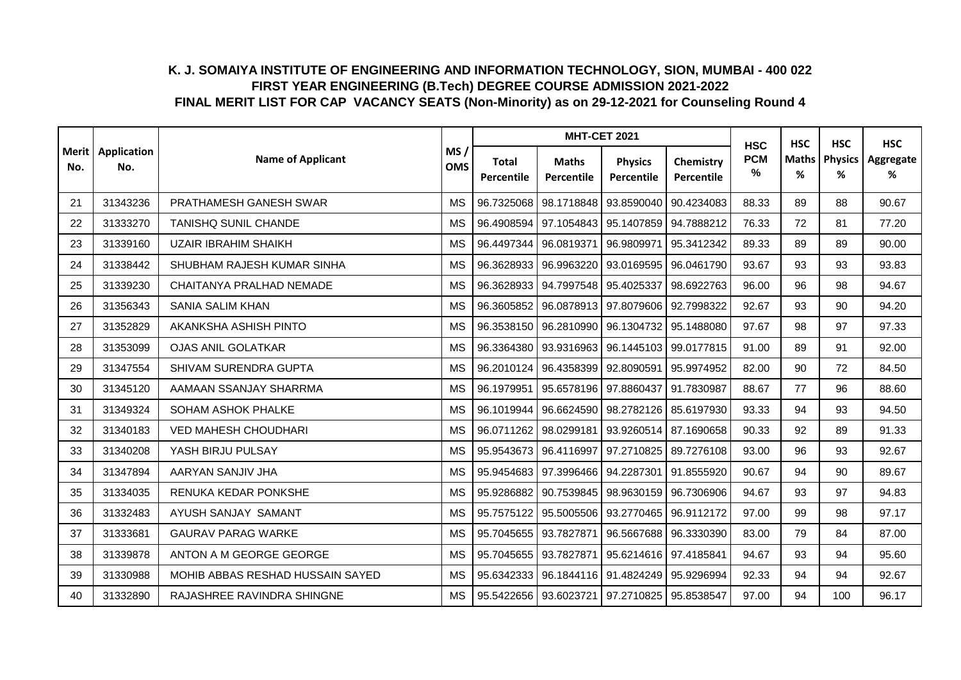|     |                            |                                  |                   |                            | <b>MHT-CET 2021</b>                               |                              |                         | <b>HSC</b>      | <b>HSC</b>        | <b>HSC</b>          | <b>HSC</b>     |
|-----|----------------------------|----------------------------------|-------------------|----------------------------|---------------------------------------------------|------------------------------|-------------------------|-----------------|-------------------|---------------------|----------------|
| No. | Merit   Application<br>No. | <b>Name of Applicant</b>         | MS/<br><b>OMS</b> | <b>Total</b><br>Percentile | <b>Maths</b><br>Percentile                        | <b>Physics</b><br>Percentile | Chemistry<br>Percentile | <b>PCM</b><br>% | <b>Maths</b><br>% | <b>Physics</b><br>% | Aggregate<br>% |
| 21  | 31343236                   | PRATHAMESH GANESH SWAR           | <b>MS</b>         | 96.7325068                 | 98.1718848                                        | 93.8590040                   | 90.4234083              | 88.33           | 89                | 88                  | 90.67          |
| 22  | 31333270                   | <b>TANISHQ SUNIL CHANDE</b>      | <b>MS</b>         |                            | 96.4908594   97.1054843   95.1407859              |                              | 94.7888212              | 76.33           | 72                | 81                  | 77.20          |
| 23  | 31339160                   | <b>UZAIR IBRAHIM SHAIKH</b>      | <b>MS</b>         |                            | 96.4497344 96.0819371                             | 96.9809971                   | 95.3412342              | 89.33           | 89                | 89                  | 90.00          |
| 24  | 31338442                   | SHUBHAM RAJESH KUMAR SINHA       | <b>MS</b>         | 96.3628933                 | 96.9963220 93.0169595                             |                              | 96.0461790              | 93.67           | 93                | 93                  | 93.83          |
| 25  | 31339230                   | CHAITANYA PRALHAD NEMADE         | <b>MS</b>         | 96.3628933                 | 94.7997548                                        | 95.4025337                   | 98.6922763              | 96.00           | 96                | 98                  | 94.67          |
| 26  | 31356343                   | <b>SANIA SALIM KHAN</b>          | <b>MS</b>         | 96.3605852                 | 96.0878913 97.8079606                             |                              | 92.7998322              | 92.67           | 93                | 90                  | 94.20          |
| 27  | 31352829                   | AKANKSHA ASHISH PINTO            | <b>MS</b>         |                            | 96.3538150 96.2810990 96.1304732                  |                              | 95.1488080              | 97.67           | 98                | 97                  | 97.33          |
| 28  | 31353099                   | <b>OJAS ANIL GOLATKAR</b>        | <b>MS</b>         | 96.3364380                 | 93.9316963                                        | 96.1445103                   | 99.0177815              | 91.00           | 89                | 91                  | 92.00          |
| 29  | 31347554                   | SHIVAM SURENDRA GUPTA            | <b>MS</b>         | 96.2010124                 | 96.4358399 92.8090591                             |                              | 95.9974952              | 82.00           | 90                | 72                  | 84.50          |
| 30  | 31345120                   | AAMAAN SSANJAY SHARRMA           | <b>MS</b>         | 96.1979951                 | 95.6578196 97.8860437                             |                              | 91.7830987              | 88.67           | 77                | 96                  | 88.60          |
| 31  | 31349324                   | <b>SOHAM ASHOK PHALKE</b>        | <b>MS</b>         |                            | 96.1019944   96.6624590   98.2782126              |                              | 85.6197930              | 93.33           | 94                | 93                  | 94.50          |
| 32  | 31340183                   | <b>VED MAHESH CHOUDHARI</b>      | <b>MS</b>         |                            | 96.0711262 98.0299181 93.9260514                  |                              | 87.1690658              | 90.33           | 92                | 89                  | 91.33          |
| 33  | 31340208                   | YASH BIRJU PULSAY                | <b>MS</b>         | 95.9543673                 | 96.4116997 97.2710825                             |                              | 89.7276108              | 93.00           | 96                | 93                  | 92.67          |
| 34  | 31347894                   | AARYAN SANJIV JHA                | <b>MS</b>         |                            | 95.9454683 97.3996466 94.2287301                  |                              | 91.8555920              | 90.67           | 94                | 90                  | 89.67          |
| 35  | 31334035                   | RENUKA KEDAR PONKSHE             | <b>MS</b>         |                            | 95.9286882   90.7539845   98.9630159   96.7306906 |                              |                         | 94.67           | 93                | 97                  | 94.83          |
| 36  | 31332483                   | AYUSH SANJAY SAMANT              | <b>MS</b>         | 95.7575122                 | 95.5005506                                        | 93.2770465                   | 96.9112172              | 97.00           | 99                | 98                  | 97.17          |
| 37  | 31333681                   | <b>GAURAV PARAG WARKE</b>        | <b>MS</b>         |                            | 95.7045655 93.7827871                             | 96.5667688                   | 96.3330390              | 83.00           | 79                | 84                  | 87.00          |
| 38  | 31339878                   | ANTON A M GEORGE GEORGE          | <b>MS</b>         |                            | 95.7045655   93.7827871                           | 95.6214616                   | 97.4185841              | 94.67           | 93                | 94                  | 95.60          |
| 39  | 31330988                   | MOHIB ABBAS RESHAD HUSSAIN SAYED | <b>MS</b>         | 95.6342333                 | 96.1844116 91.4824249                             |                              | 95.9296994              | 92.33           | 94                | 94                  | 92.67          |
| 40  | 31332890                   | RAJASHREE RAVINDRA SHINGNE       | <b>MS</b>         |                            | 95.5422656 93.6023721 97.2710825                  |                              | 95.8538547              | 97.00           | 94                | 100                 | 96.17          |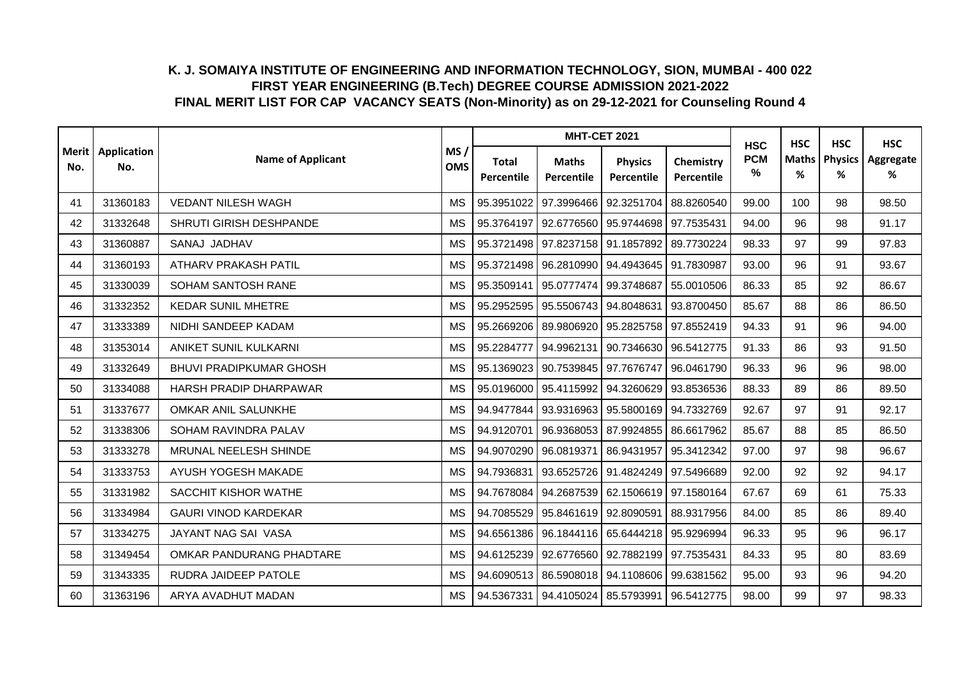|     |                            |                                |                   |                            | <b>MHT-CET 2021</b>                  |                                             |                         | <b>HSC</b>      | <b>HSC</b>        | <b>HSC</b>          | <b>HSC</b>     |
|-----|----------------------------|--------------------------------|-------------------|----------------------------|--------------------------------------|---------------------------------------------|-------------------------|-----------------|-------------------|---------------------|----------------|
| No. | Merit   Application<br>No. | <b>Name of Applicant</b>       | MS/<br><b>OMS</b> | <b>Total</b><br>Percentile | <b>Maths</b><br>Percentile           | <b>Physics</b><br>Percentile                | Chemistry<br>Percentile | <b>PCM</b><br>% | <b>Maths</b><br>% | <b>Physics</b><br>% | Aggregate<br>% |
| 41  | 31360183                   | <b>VEDANT NILESH WAGH</b>      | <b>MS</b>         | 95.3951022                 | 97.3996466                           | 92.3251704                                  | 88.8260540              | 99.00           | 100               | 98                  | 98.50          |
| 42  | 31332648                   | SHRUTI GIRISH DESHPANDE        | <b>MS</b>         |                            | 95.3764197 92.6776560 95.9744698     |                                             | 97.7535431              | 94.00           | 96                | 98                  | 91.17          |
| 43  | 31360887                   | SANAJ JADHAV                   | <b>MS</b>         |                            | 95.3721498   97.8237158   91.1857892 |                                             | 89.7730224              | 98.33           | 97                | 99                  | 97.83          |
| 44  | 31360193                   | ATHARV PRAKASH PATIL           | <b>MS</b>         |                            | 95.3721498 96.2810990                | 94.4943645                                  | 91.7830987              | 93.00           | 96                | 91                  | 93.67          |
| 45  | 31330039                   | <b>SOHAM SANTOSH RANE</b>      | <b>MS</b>         | 95.3509141                 | 95.0777474 99.3748687                |                                             | 55.0010506              | 86.33           | 85                | 92                  | 86.67          |
| 46  | 31332352                   | <b>KEDAR SUNIL MHETRE</b>      | <b>MS</b>         |                            | 95.2952595   95.5506743   94.8048631 |                                             | 93.8700450              | 85.67           | 88                | 86                  | 86.50          |
| 47  | 31333389                   | NIDHI SANDEEP KADAM            | <b>MS</b>         |                            | 95.2669206 89.9806920 95.2825758     |                                             | 97.8552419              | 94.33           | 91                | 96                  | 94.00          |
| 48  | 31353014                   | ANIKET SUNIL KULKARNI          | <b>MS</b>         | 95.2284777                 | 94.9962131                           | 90.7346630                                  | 96.5412775              | 91.33           | 86                | 93                  | 91.50          |
| 49  | 31332649                   | <b>BHUVI PRADIPKUMAR GHOSH</b> | <b>MS</b>         | 95.1369023                 | 90.7539845 97.7676747                |                                             | 96.0461790              | 96.33           | 96                | 96                  | 98.00          |
| 50  | 31334088                   | HARSH PRADIP DHARPAWAR         | <b>MS</b>         |                            | 95.0196000 95.4115992 94.3260629     |                                             | 93.8536536              | 88.33           | 89                | 86                  | 89.50          |
| 51  | 31337677                   | OMKAR ANIL SALUNKHE            | <b>MS</b>         |                            | 94.9477844 93.9316963 95.5800169     |                                             | 94.7332769              | 92.67           | 97                | 91                  | 92.17          |
| 52  | 31338306                   | SOHAM RAVINDRA PALAV           | <b>MS</b>         | 94.9120701                 | 96.9368053 87.9924855                |                                             | 86.6617962              | 85.67           | 88                | 85                  | 86.50          |
| 53  | 31333278                   | MRUNAL NEELESH SHINDE          | <b>MS</b>         | 94.9070290                 | 96.0819371                           | 86.9431957                                  | 95.3412342              | 97.00           | 97                | 98                  | 96.67          |
| 54  | 31333753                   | AYUSH YOGESH MAKADE            | <b>MS</b>         | 94.7936831                 | 93.6525726 91.4824249                |                                             | 97.5496689              | 92.00           | 92                | 92                  | 94.17          |
| 55  | 31331982                   | SACCHIT KISHOR WATHE           | <b>MS</b>         |                            |                                      | 94.7678084 94.2687539 62.1506619 97.1580164 |                         | 67.67           | 69                | 61                  | 75.33          |
| 56  | 31334984                   | <b>GAURI VINOD KARDEKAR</b>    | <b>MS</b>         | 94.7085529                 | 95.8461619                           | 92.8090591                                  | 88.9317956              | 84.00           | 85                | 86                  | 89.40          |
| 57  | 31334275                   | JAYANT NAG SAI VASA            | <b>MS</b>         | 94.6561386                 | 96.1844116 65.6444218                |                                             | 95.9296994              | 96.33           | 95                | 96                  | 96.17          |
| 58  | 31349454                   | OMKAR PANDURANG PHADTARE       | <b>MS</b>         | 94.6125239                 | 92.6776560 92.7882199                |                                             | 97.7535431              | 84.33           | 95                | 80                  | 83.69          |
| 59  | 31343335                   | RUDRA JAIDEEP PATOLE           | <b>MS</b>         | 94.6090513                 | 86.5908018 94.1108606                |                                             | 99.6381562              | 95.00           | 93                | 96                  | 94.20          |
| 60  | 31363196                   | ARYA AVADHUT MADAN             | <b>MS</b>         |                            | 94.5367331 94.4105024 85.5793991     |                                             | 96.5412775              | 98.00           | 99                | 97                  | 98.33          |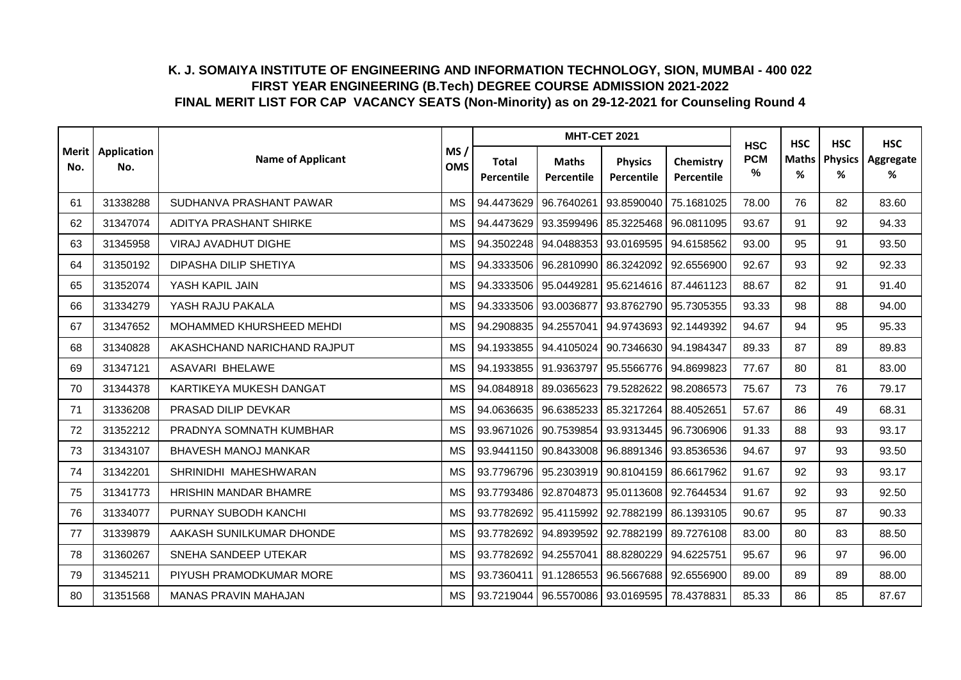|     |                            |                             |                   |                            | <b>MHT-CET 2021</b>              |                                  |                         | <b>HSC</b>      | <b>HSC</b>        | <b>HSC</b>          | <b>HSC</b>     |
|-----|----------------------------|-----------------------------|-------------------|----------------------------|----------------------------------|----------------------------------|-------------------------|-----------------|-------------------|---------------------|----------------|
| No. | Merit   Application<br>No. | <b>Name of Applicant</b>    | MS/<br><b>OMS</b> | <b>Total</b><br>Percentile | <b>Maths</b><br>Percentile       | <b>Physics</b><br>Percentile     | Chemistry<br>Percentile | <b>PCM</b><br>% | <b>Maths</b><br>% | <b>Physics</b><br>% | Aggregate<br>% |
| 61  | 31338288                   | SUDHANVA PRASHANT PAWAR     | <b>MS</b>         | 94.4473629                 | 96.7640261                       | 93.8590040                       | 75.1681025              | 78.00           | 76                | 82                  | 83.60          |
| 62  | 31347074                   | ADITYA PRASHANT SHIRKE      | <b>MS</b>         | 94.4473629                 | 93.3599496                       | 85.3225468                       | 96.0811095              | 93.67           | 91                | 92                  | 94.33          |
| 63  | 31345958                   | <b>VIRAJ AVADHUT DIGHE</b>  | МS                | 94.3502248                 | 94.0488353 93.0169595            |                                  | 94.6158562              | 93.00           | 95                | 91                  | 93.50          |
| 64  | 31350192                   | DIPASHA DILIP SHETIYA       | <b>MS</b>         | 94.3333506                 | 96.2810990                       | 86.3242092                       | 92.6556900              | 92.67           | 93                | 92                  | 92.33          |
| 65  | 31352074                   | YASH KAPIL JAIN             | <b>MS</b>         | 94.3333506                 | 95.0449281                       | 95.6214616                       | 87.4461123              | 88.67           | 82                | 91                  | 91.40          |
| 66  | 31334279                   | YASH RAJU PAKALA            | <b>MS</b>         | 94.3333506                 | 93.0036877                       | 93.8762790                       | 95.7305355              | 93.33           | 98                | 88                  | 94.00          |
| 67  | 31347652                   | MOHAMMED KHURSHEED MEHDI    | <b>MS</b>         |                            | 94.2908835 94.2557041 94.9743693 |                                  | 92.1449392              | 94.67           | 94                | 95                  | 95.33          |
| 68  | 31340828                   | AKASHCHAND NARICHAND RAJPUT | <b>MS</b>         |                            | 94.1933855 94.4105024            | 90.7346630                       | 94.1984347              | 89.33           | 87                | 89                  | 89.83          |
| 69  | 31347121                   | <b>ASAVARI BHELAWE</b>      | <b>MS</b>         |                            | 94.1933855 91.9363797            | 95.5566776                       | 94.8699823              | 77.67           | 80                | 81                  | 83.00          |
| 70  | 31344378                   | KARTIKEYA MUKESH DANGAT     | <b>MS</b>         |                            | 94.0848918 89.0365623            | 79.5282622                       | 98.2086573              | 75.67           | 73                | 76                  | 79.17          |
| 71  | 31336208                   | PRASAD DILIP DEVKAR         | <b>MS</b>         | 94.0636635                 | 96.6385233 85.3217264            |                                  | 88.4052651              | 57.67           | 86                | 49                  | 68.31          |
| 72  | 31352212                   | PRADNYA SOMNATH KUMBHAR     | МS                | 93.9671026                 | 90.7539854 93.9313445            |                                  | 96.7306906              | 91.33           | 88                | 93                  | 93.17          |
| 73  | 31343107                   | <b>BHAVESH MANOJ MANKAR</b> | <b>MS</b>         | 93.9441150                 | 90.8433008                       | 96.8891346                       | 93.8536536              | 94.67           | 97                | 93                  | 93.50          |
| 74  | 31342201                   | SHRINIDHI MAHESHWARAN       | <b>MS</b>         | 93.7796796                 | 95.2303919                       | 90.8104159                       | 86.6617962              | 91.67           | 92                | 93                  | 93.17          |
| 75  | 31341773                   | HRISHIN MANDAR BHAMRE       | <b>MS</b>         |                            | 93.7793486 92.8704873            | 95.0113608                       | 92.7644534              | 91.67           | 92                | 93                  | 92.50          |
| 76  | 31334077                   | PURNAY SUBODH KANCHI        | <b>MS</b>         | 93.7782692                 | 95.4115992                       | 92.7882199                       | 86.1393105              | 90.67           | 95                | 87                  | 90.33          |
| 77  | 31339879                   | AAKASH SUNILKUMAR DHONDE    | <b>MS</b>         |                            | 93.7782692 94.8939592            | 92.7882199                       | 89.7276108              | 83.00           | 80                | 83                  | 88.50          |
| 78  | 31360267                   | SNEHA SANDEEP UTEKAR        | <b>MS</b>         | 93.7782692                 | 94.2557041                       | 88.8280229                       | 94.6225751              | 95.67           | 96                | 97                  | 96.00          |
| 79  | 31345211                   | PIYUSH PRAMODKUMAR MORE     | <b>MS</b>         | 93.7360411                 | 91.1286553                       | 96.5667688                       | 92.6556900              | 89.00           | 89                | 89                  | 88.00          |
| 80  | 31351568                   | <b>MANAS PRAVIN MAHAJAN</b> | <b>MS</b>         |                            |                                  | 93.7219044 96.5570086 93.0169595 | 78.4378831              | 85.33           | 86                | 85                  | 87.67          |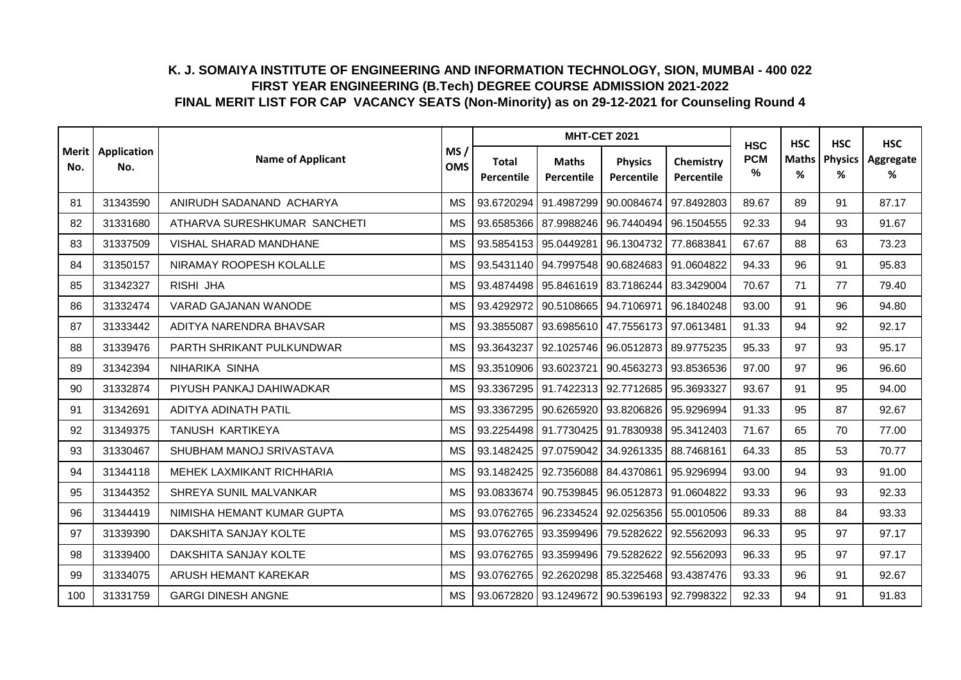|     |                            |                              |                   |                            | <b>MHT-CET 2021</b>              |                                                   |                         | <b>HSC</b>      | <b>HSC</b>        | <b>HSC</b>          | <b>HSC</b>     |
|-----|----------------------------|------------------------------|-------------------|----------------------------|----------------------------------|---------------------------------------------------|-------------------------|-----------------|-------------------|---------------------|----------------|
| No. | Merit   Application<br>No. | <b>Name of Applicant</b>     | MS/<br><b>OMS</b> | <b>Total</b><br>Percentile | <b>Maths</b><br>Percentile       | <b>Physics</b><br>Percentile                      | Chemistry<br>Percentile | <b>PCM</b><br>% | <b>Maths</b><br>% | <b>Physics</b><br>% | Aggregate<br>% |
| 81  | 31343590                   | ANIRUDH SADANAND ACHARYA     | <b>MS</b>         |                            | 93.6720294 91.4987299            | 90.0084674                                        | 97.8492803              | 89.67           | 89                | 91                  | 87.17          |
| 82  | 31331680                   | ATHARVA SURESHKUMAR SANCHETI | <b>MS</b>         |                            | 93.6585366 87.9988246 96.7440494 |                                                   | 96.1504555              | 92.33           | 94                | 93                  | 91.67          |
| 83  | 31337509                   | VISHAL SHARAD MANDHANE       | <b>MS</b>         |                            | 93.5854153 95.0449281            | 96.1304732                                        | 77.8683841              | 67.67           | 88                | 63                  | 73.23          |
| 84  | 31350157                   | NIRAMAY ROOPESH KOLALLE      | <b>MS</b>         |                            | 93.5431140 94.7997548            | 90.6824683 91.0604822                             |                         | 94.33           | 96                | 91                  | 95.83          |
| 85  | 31342327                   | RISHI JHA                    | <b>MS</b>         |                            | 93.4874498 95.8461619 83.7186244 |                                                   | 83.3429004              | 70.67           | 71                | 77                  | 79.40          |
| 86  | 31332474                   | VARAD GAJANAN WANODE         | <b>MS</b>         | 93.4292972                 | 90.5108665                       | 94.7106971                                        | 96.1840248              | 93.00           | 91                | 96                  | 94.80          |
| 87  | 31333442                   | ADITYA NARENDRA BHAVSAR      | МS                | 93.3855087                 | 93.6985610 47.7556173            |                                                   | 97.0613481              | 91.33           | 94                | 92                  | 92.17          |
| 88  | 31339476                   | PARTH SHRIKANT PULKUNDWAR    | <b>MS</b>         | 93.3643237                 | 92.1025746                       | 96.0512873                                        | 89.9775235              | 95.33           | 97                | 93                  | 95.17          |
| 89  | 31342394                   | NIHARIKA SINHA               | <b>MS</b>         |                            | 93.3510906 93.6023721            | 90.4563273                                        | 93.8536536              | 97.00           | 97                | 96                  | 96.60          |
| 90  | 31332874                   | PIYUSH PANKAJ DAHIWADKAR     | <b>MS</b>         |                            | 93.3367295 91.7422313 92.7712685 |                                                   | 95.3693327              | 93.67           | 91                | 95                  | 94.00          |
| 91  | 31342691                   | ADITYA ADINATH PATIL         | <b>MS</b>         |                            | 93.3367295 90.6265920 93.8206826 |                                                   | 95.9296994              | 91.33           | 95                | 87                  | 92.67          |
| 92  | 31349375                   | TANUSH KARTIKEYA             | <b>MS</b>         |                            | 93.2254498 91.7730425 91.7830938 |                                                   | 95.3412403              | 71.67           | 65                | 70                  | 77.00          |
| 93  | 31330467                   | SHUBHAM MANOJ SRIVASTAVA     | <b>MS</b>         | 93.1482425                 | 97.0759042                       | 34.9261335                                        | 88.7468161              | 64.33           | 85                | 53                  | 70.77          |
| 94  | 31344118                   | MEHEK LAXMIKANT RICHHARIA    | <b>MS</b>         | 93.1482425                 | 92.7356088                       | 84.4370861                                        | 95.9296994              | 93.00           | 94                | 93                  | 91.00          |
| 95  | 31344352                   | SHREYA SUNIL MALVANKAR       | <b>MS</b>         |                            | 93.0833674 90.7539845            | 96.0512873 91.0604822                             |                         | 93.33           | 96                | 93                  | 92.33          |
| 96  | 31344419                   | NIMISHA HEMANT KUMAR GUPTA   | <b>MS</b>         | 93.0762765                 | 96.2334524                       | 92.0256356                                        | 55.0010506              | 89.33           | 88                | 84                  | 93.33          |
| 97  | 31339390                   | DAKSHITA SANJAY KOLTE        | <b>MS</b>         |                            | 93.0762765   93.3599496          | 79.5282622                                        | 92.5562093              | 96.33           | 95                | 97                  | 97.17          |
| 98  | 31339400                   | DAKSHITA SANJAY KOLTE        | <b>MS</b>         | 93.0762765                 | 93.3599496                       | 79.5282622                                        | 92.5562093              | 96.33           | 95                | 97                  | 97.17          |
| 99  | 31334075                   | ARUSH HEMANT KAREKAR         | <b>MS</b>         | 93.0762765                 | 92.2620298                       | 85.3225468                                        | 93.4387476              | 93.33           | 96                | 91                  | 92.67          |
| 100 | 31331759                   | <b>GARGI DINESH ANGNE</b>    | <b>MS</b>         |                            |                                  | 93.0672820   93.1249672   90.5396193   92.7998322 |                         | 92.33           | 94                | 91                  | 91.83          |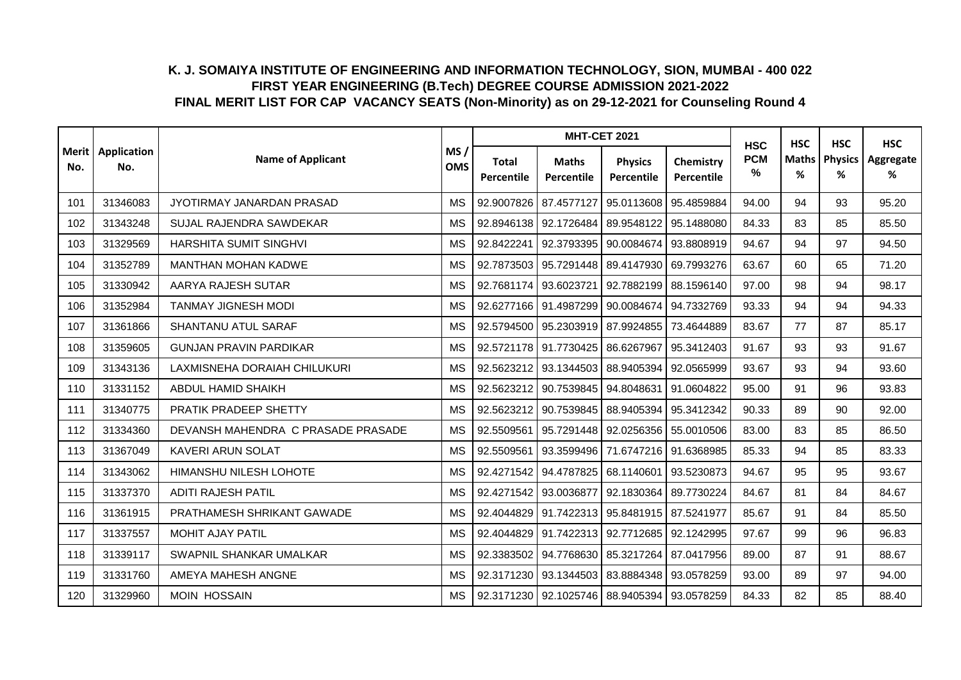|     |                            |                                    |                   |                            |                                  | <b>MHT-CET 2021</b>                               |                         | <b>HSC</b>      | <b>HSC</b>        | <b>HSC</b>          | <b>HSC</b>     |
|-----|----------------------------|------------------------------------|-------------------|----------------------------|----------------------------------|---------------------------------------------------|-------------------------|-----------------|-------------------|---------------------|----------------|
| No. | Merit   Application<br>No. | <b>Name of Applicant</b>           | MS/<br><b>OMS</b> | <b>Total</b><br>Percentile | <b>Maths</b><br>Percentile       | <b>Physics</b><br>Percentile                      | Chemistry<br>Percentile | <b>PCM</b><br>% | <b>Maths</b><br>% | <b>Physics</b><br>% | Aggregate<br>% |
| 101 | 31346083                   | JYOTIRMAY JANARDAN PRASAD          | <b>MS</b>         | 92.9007826                 | 87.4577127                       | 95.0113608                                        | 95.4859884              | 94.00           | 94                | 93                  | 95.20          |
| 102 | 31343248                   | SUJAL RAJENDRA SAWDEKAR            | <b>MS</b>         | 92.8946138                 | 92.1726484                       | 89.9548122                                        | 95.1488080              | 84.33           | 83                | 85                  | 85.50          |
| 103 | 31329569                   | <b>HARSHITA SUMIT SINGHVI</b>      | <b>MS</b>         | 92.8422241                 | 92.3793395                       | 90.0084674                                        | 93.8808919              | 94.67           | 94                | 97                  | 94.50          |
| 104 | 31352789                   | <b>MANTHAN MOHAN KADWE</b>         | <b>MS</b>         | 92.7873503                 | 95.7291448                       | 89.4147930                                        | 69.7993276              | 63.67           | 60                | 65                  | 71.20          |
| 105 | 31330942                   | AARYA RAJESH SUTAR                 | <b>MS</b>         | 92.7681174                 | 93.6023721                       | 92.7882199                                        | 88.1596140              | 97.00           | 98                | 94                  | 98.17          |
| 106 | 31352984                   | <b>TANMAY JIGNESH MODI</b>         | <b>MS</b>         |                            | 92.6277166 91.4987299            | 90.0084674                                        | 94.7332769              | 93.33           | 94                | 94                  | 94.33          |
| 107 | 31361866                   | <b>SHANTANU ATUL SARAF</b>         | МS                | 92.5794500                 | 95.2303919 87.9924855            |                                                   | 73.4644889              | 83.67           | 77                | 87                  | 85.17          |
| 108 | 31359605                   | <b>GUNJAN PRAVIN PARDIKAR</b>      | <b>MS</b>         |                            | 92.5721178 91.7730425            | 86.6267967                                        | 95.3412403              | 91.67           | 93                | 93                  | 91.67          |
| 109 | 31343136                   | LAXMISNEHA DORAIAH CHILUKURI       | <b>MS</b>         | 92.5623212                 | 93.1344503 88.9405394            |                                                   | 92.0565999              | 93.67           | 93                | 94                  | 93.60          |
| 110 | 31331152                   | ABDUL HAMID SHAIKH                 | <b>MS</b>         | 92.5623212                 | 90.7539845                       | 94.8048631                                        | 91.0604822              | 95.00           | 91                | 96                  | 93.83          |
| 111 | 31340775                   | PRATIK PRADEEP SHETTY              | <b>MS</b>         | 92.5623212                 | 90.7539845                       | 88.9405394                                        | 95.3412342              | 90.33           | 89                | 90                  | 92.00          |
| 112 | 31334360                   | DEVANSH MAHENDRA C PRASADE PRASADE | <b>MS</b>         | 92.5509561                 | 95.7291448                       | 92.0256356                                        | 55.0010506              | 83.00           | 83                | 85                  | 86.50          |
| 113 | 31367049                   | <b>KAVERI ARUN SOLAT</b>           | <b>MS</b>         | 92.5509561                 | 93.3599496                       | 71.6747216                                        | 91.6368985              | 85.33           | 94                | 85                  | 83.33          |
| 114 | 31343062                   | HIMANSHU NILESH LOHOTE             | <b>MS</b>         | 92.4271542                 | 94.4787825 68.1140601            |                                                   | 93.5230873              | 94.67           | 95                | 95                  | 93.67          |
| 115 | 31337370                   | <b>ADITI RAJESH PATIL</b>          | <b>MS</b>         |                            | 92.4271542 93.0036877            | 92.1830364                                        | 89.7730224              | 84.67           | 81                | 84                  | 84.67          |
| 116 | 31361915                   | PRATHAMESH SHRIKANT GAWADE         | <b>MS</b>         | 92.4044829                 |                                  | 91.7422313 95.8481915                             | 87.5241977              | 85.67           | 91                | 84                  | 85.50          |
| 117 | 31337557                   | MOHIT AJAY PATIL                   | <b>MS</b>         |                            | 92.4044829 91.7422313 92.7712685 |                                                   | 92.1242995              | 97.67           | 99                | 96                  | 96.83          |
| 118 | 31339117                   | SWAPNIL SHANKAR UMALKAR            | <b>MS</b>         | 92.3383502                 | 94.7768630                       | 85.3217264                                        | 87.0417956              | 89.00           | 87                | 91                  | 88.67          |
| 119 | 31331760                   | AMEYA MAHESH ANGNE                 | <b>MS</b>         | 92.3171230                 | 93.1344503                       | 83.8884348                                        | 93.0578259              | 93.00           | 89                | 97                  | 94.00          |
| 120 | 31329960                   | <b>MOIN HOSSAIN</b>                | <b>MS</b>         |                            |                                  | 92.3171230   92.1025746   88.9405394   93.0578259 |                         | 84.33           | 82                | 85                  | 88.40          |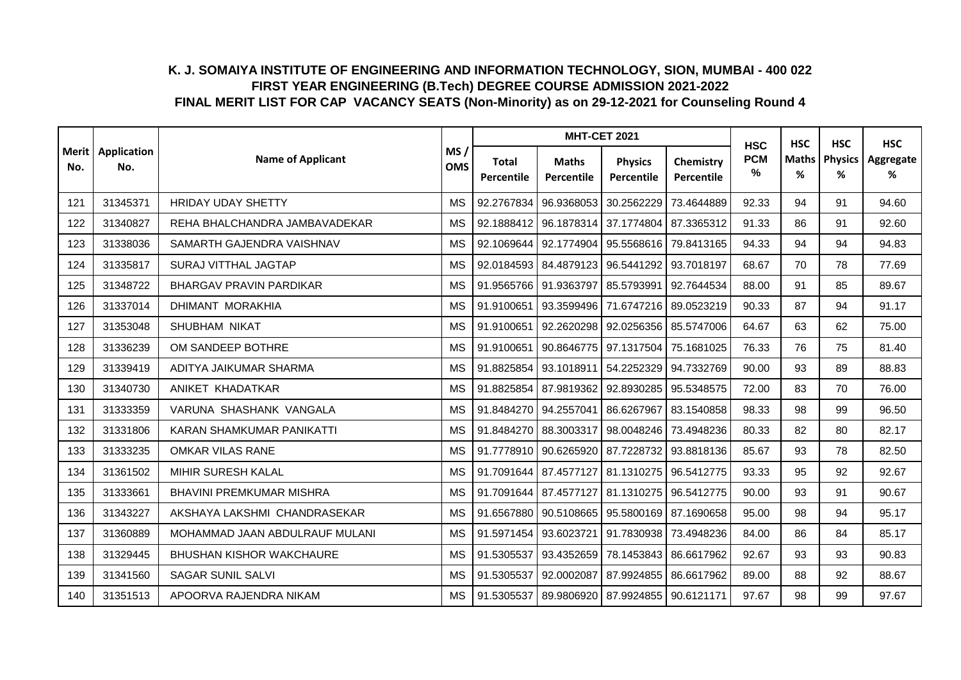|     |                            |                                 |                   |                            | <b>MHT-CET 2021</b>                               |                              |                         | <b>HSC</b>      | <b>HSC</b>        | <b>HSC</b>          | <b>HSC</b>     |
|-----|----------------------------|---------------------------------|-------------------|----------------------------|---------------------------------------------------|------------------------------|-------------------------|-----------------|-------------------|---------------------|----------------|
| No. | Merit   Application<br>No. | <b>Name of Applicant</b>        | MS/<br><b>OMS</b> | <b>Total</b><br>Percentile | <b>Maths</b><br>Percentile                        | <b>Physics</b><br>Percentile | Chemistry<br>Percentile | <b>PCM</b><br>% | <b>Maths</b><br>% | <b>Physics</b><br>% | Aggregate<br>% |
| 121 | 31345371                   | <b>HRIDAY UDAY SHETTY</b>       | <b>MS</b>         |                            | 92.2767834 96.9368053                             | 30.2562229                   | 73.4644889              | 92.33           | 94                | 91                  | 94.60          |
| 122 | 31340827                   | REHA BHALCHANDRA JAMBAVADEKAR   | <b>MS</b>         |                            | 92.1888412 96.1878314 37.1774804                  |                              | 87.3365312              | 91.33           | 86                | 91                  | 92.60          |
| 123 | 31338036                   | SAMARTH GAJENDRA VAISHNAV       | <b>MS</b>         |                            | 92.1069644 92.1774904 95.5568616                  |                              | 79.8413165              | 94.33           | 94                | 94                  | 94.83          |
| 124 | 31335817                   | <b>SURAJ VITTHAL JAGTAP</b>     | <b>MS</b>         |                            | 92.0184593 84.4879123 96.5441292                  |                              | 93.7018197              | 68.67           | 70                | 78                  | 77.69          |
| 125 | 31348722                   | <b>BHARGAV PRAVIN PARDIKAR</b>  | <b>MS</b>         | 91.9565766                 | 91.9363797                                        | 85.5793991                   | 92.7644534              | 88.00           | 91                | 85                  | 89.67          |
| 126 | 31337014                   | DHIMANT MORAKHIA                | <b>MS</b>         | 91.9100651                 | 93.3599496                                        | 71.6747216                   | 89.0523219              | 90.33           | 87                | 94                  | 91.17          |
| 127 | 31353048                   | SHUBHAM NIKAT                   | <b>MS</b>         | 91.9100651                 | 92.2620298 92.0256356                             |                              | 85.5747006              | 64.67           | 63                | 62                  | 75.00          |
| 128 | 31336239                   | OM SANDEEP BOTHRE               | <b>MS</b>         | 91.9100651                 | 90.8646775                                        | 97.1317504                   | 75.1681025              | 76.33           | 76                | 75                  | 81.40          |
| 129 | 31339419                   | ADITYA JAIKUMAR SHARMA          | <b>MS</b>         | 91.8825854                 | 93.1018911                                        | 54.2252329                   | 94.7332769              | 90.00           | 93                | 89                  | 88.83          |
| 130 | 31340730                   | ANIKET KHADATKAR                | <b>MS</b>         |                            | 91.8825854 87.9819362 92.8930285                  |                              | 95.5348575              | 72.00           | 83                | 70                  | 76.00          |
| 131 | 31333359                   | VARUNA SHASHANK VANGALA         | <b>MS</b>         |                            | 91.8484270 94.2557041 86.6267967                  |                              | 83.1540858              | 98.33           | 98                | 99                  | 96.50          |
| 132 | 31331806                   | KARAN SHAMKUMAR PANIKATTI       | <b>MS</b>         |                            | 91.8484270 88.3003317                             | 98.0048246                   | 73.4948236              | 80.33           | 82                | 80                  | 82.17          |
| 133 | 31333235                   | <b>OMKAR VILAS RANE</b>         | <b>MS</b>         |                            | 91.7778910   90.6265920   87.7228732              |                              | 93.8818136              | 85.67           | 93                | 78                  | 82.50          |
| 134 | 31361502                   | MIHIR SURESH KALAL              | <b>MS</b>         |                            | 91.7091644 87.4577127 81.1310275                  |                              | 96.5412775              | 93.33           | 95                | 92                  | 92.67          |
| 135 | 31333661                   | <b>BHAVINI PREMKUMAR MISHRA</b> | <b>MS</b>         |                            | 91.7091644   87.4577127   81.1310275   96.5412775 |                              |                         | 90.00           | 93                | 91                  | 90.67          |
| 136 | 31343227                   | AKSHAYA LAKSHMI CHANDRASEKAR    | <b>MS</b>         |                            | 91.6567880 90.5108665                             | 95.5800169                   | 87.1690658              | 95.00           | 98                | 94                  | 95.17          |
| 137 | 31360889                   | MOHAMMAD JAAN ABDULRAUF MULANI  | <b>MS</b>         |                            | 91.5971454   93.6023721                           | 91.7830938                   | 73.4948236              | 84.00           | 86                | 84                  | 85.17          |
| 138 | 31329445                   | <b>BHUSHAN KISHOR WAKCHAURE</b> | <b>MS</b>         | 91.5305537                 | 93.4352659                                        | 78.1453843                   | 86.6617962              | 92.67           | 93                | 93                  | 90.83          |
| 139 | 31341560                   | <b>SAGAR SUNIL SALVI</b>        | <b>MS</b>         | 91.5305537                 | 92.0002087                                        | 87.9924855                   | 86.6617962              | 89.00           | 88                | 92                  | 88.67          |
| 140 | 31351513                   | APOORVA RAJENDRA NIKAM          | <b>MS</b>         |                            | 91.5305537 89.9806920 87.9924855                  |                              | 90.6121171              | 97.67           | 98                | 99                  | 97.67          |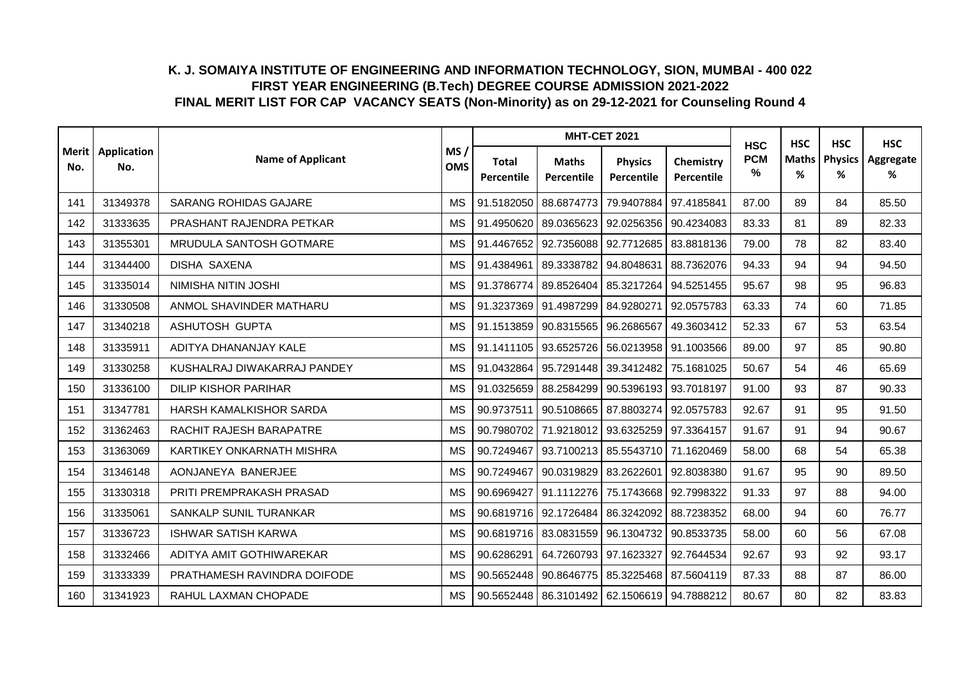|     |                            |                              |                   |                                   | <b>MHT-CET 2021</b>                               |                              |                         | <b>HSC</b>      | <b>HSC</b>        | <b>HSC</b>          | <b>HSC</b>     |
|-----|----------------------------|------------------------------|-------------------|-----------------------------------|---------------------------------------------------|------------------------------|-------------------------|-----------------|-------------------|---------------------|----------------|
| No. | Merit   Application<br>No. | <b>Name of Applicant</b>     | MS/<br><b>OMS</b> | <b>Total</b><br><b>Percentile</b> | <b>Maths</b><br>Percentile                        | <b>Physics</b><br>Percentile | Chemistry<br>Percentile | <b>PCM</b><br>% | <b>Maths</b><br>% | <b>Physics</b><br>% | Aggregate<br>% |
| 141 | 31349378                   | <b>SARANG ROHIDAS GAJARE</b> | <b>MS</b>         | 91.5182050                        | 88.6874773                                        | 79.9407884                   | 97.4185841              | 87.00           | 89                | 84                  | 85.50          |
| 142 | 31333635                   | PRASHANT RAJENDRA PETKAR     | <b>MS</b>         | 91.4950620                        | 89.0365623                                        | 92.0256356                   | 90.4234083              | 83.33           | 81                | 89                  | 82.33          |
| 143 | 31355301                   | MRUDULA SANTOSH GOTMARE      | <b>MS</b>         | 91.4467652                        | 92.7356088                                        | 92.7712685                   | 83.8818136              | 79.00           | 78                | 82                  | 83.40          |
| 144 | 31344400                   | <b>DISHA SAXENA</b>          | <b>MS</b>         | 91.4384961                        | 89.3338782                                        | 94.8048631                   | 88.7362076              | 94.33           | 94                | 94                  | 94.50          |
| 145 | 31335014                   | NIMISHA NITIN JOSHI          | <b>MS</b>         | 91.3786774                        | 89.8526404                                        | 85.3217264                   | 94.5251455              | 95.67           | 98                | 95                  | 96.83          |
| 146 | 31330508                   | ANMOL SHAVINDER MATHARU      | <b>MS</b>         |                                   | 91.3237369 91.4987299                             | 84.9280271                   | 92.0575783              | 63.33           | 74                | 60                  | 71.85          |
| 147 | 31340218                   | ASHUTOSH GUPTA               | <b>MS</b>         |                                   | 91.1513859 90.8315565 96.2686567                  |                              | 49.3603412              | 52.33           | 67                | 53                  | 63.54          |
| 148 | 31335911                   | ADITYA DHANANJAY KALE        | <b>MS</b>         |                                   | 91.1411105 93.6525726                             | 56.0213958                   | 91.1003566              | 89.00           | 97                | 85                  | 90.80          |
| 149 | 31330258                   | KUSHALRAJ DIWAKARRAJ PANDEY  | <b>MS</b>         | 91.0432864                        | 95.7291448                                        | 39.3412482                   | 75.1681025              | 50.67           | 54                | 46                  | 65.69          |
| 150 | 31336100                   | <b>DILIP KISHOR PARIHAR</b>  | <b>MS</b>         | 91.0325659                        | 88.2584299 90.5396193                             |                              | 93.7018197              | 91.00           | 93                | 87                  | 90.33          |
| 151 | 31347781                   | HARSH KAMALKISHOR SARDA      | <b>MS</b>         | 90.9737511                        | 90.5108665 87.8803274                             |                              | 92.0575783              | 92.67           | 91                | 95                  | 91.50          |
| 152 | 31362463                   | RACHIT RAJESH BARAPATRE      | <b>MS</b>         |                                   | 90.7980702 71.9218012                             | 93.6325259                   | 97.3364157              | 91.67           | 91                | 94                  | 90.67          |
| 153 | 31363069                   | KARTIKEY ONKARNATH MISHRA    | <b>MS</b>         | 90.7249467                        | 93.7100213                                        | 85.5543710                   | 71.1620469              | 58.00           | 68                | 54                  | 65.38          |
| 154 | 31346148                   | AONJANEYA BANERJEE           | <b>MS</b>         | 90.7249467                        | 90.0319829                                        | 83.2622601                   | 92.8038380              | 91.67           | 95                | 90                  | 89.50          |
| 155 | 31330318                   | PRITI PREMPRAKASH PRASAD     | <b>MS</b>         | 90.6969427                        | 91.1112276                                        | 75.1743668                   | 92.7998322              | 91.33           | 97                | 88                  | 94.00          |
| 156 | 31335061                   | SANKALP SUNIL TURANKAR       | <b>MS</b>         |                                   | 90.6819716 92.1726484 86.3242092                  |                              | 88.7238352              | 68.00           | 94                | 60                  | 76.77          |
| 157 | 31336723                   | <b>ISHWAR SATISH KARWA</b>   | <b>MS</b>         |                                   | 90.6819716 83.0831559                             | 96.1304732                   | 90.8533735              | 58.00           | 60                | 56                  | 67.08          |
| 158 | 31332466                   | ADITYA AMIT GOTHIWAREKAR     | <b>MS</b>         | 90.6286291                        | 64.7260793 97.1623327                             |                              | 92.7644534              | 92.67           | 93                | 92                  | 93.17          |
| 159 | 31333339                   | PRATHAMESH RAVINDRA DOIFODE  | <b>MS</b>         | 90.5652448                        | 90.8646775                                        | 85.3225468                   | 87.5604119              | 87.33           | 88                | 87                  | 86.00          |
| 160 | 31341923                   | RAHUL LAXMAN CHOPADE         | <b>MS</b>         |                                   | 90.5652448   86.3101492   62.1506619   94.7888212 |                              |                         | 80.67           | 80                | 82                  | 83.83          |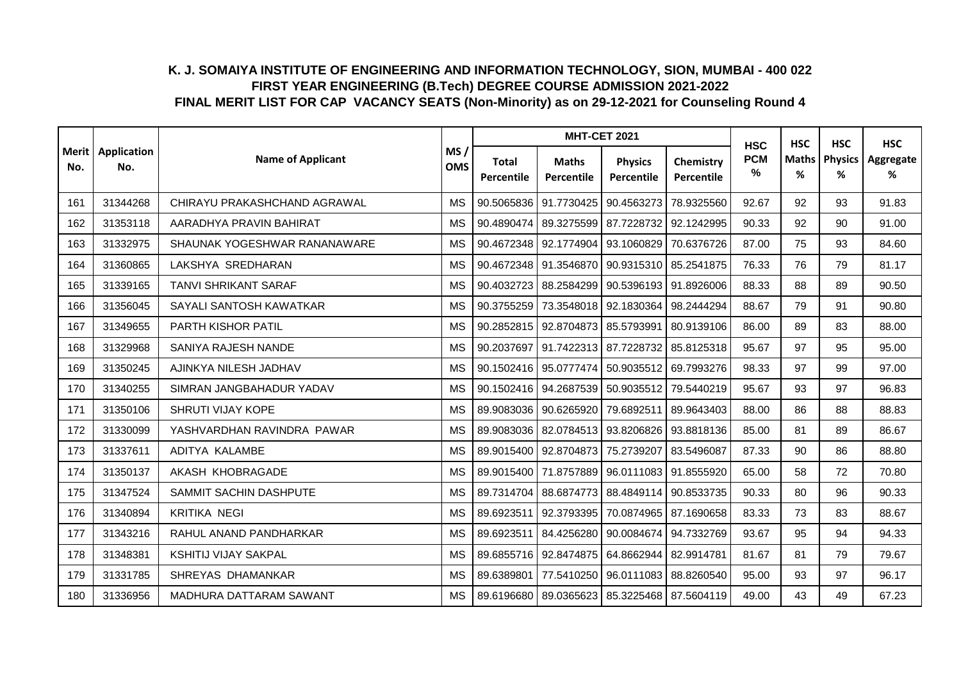|     |                            |                              |                   |                            | <b>MHT-CET 2021</b>                  |                                                   |                         | <b>HSC</b>      | <b>HSC</b> | <b>HSC</b>           | <b>HSC</b>     |
|-----|----------------------------|------------------------------|-------------------|----------------------------|--------------------------------------|---------------------------------------------------|-------------------------|-----------------|------------|----------------------|----------------|
| No. | Merit   Application<br>No. | <b>Name of Applicant</b>     | MS/<br><b>OMS</b> | <b>Total</b><br>Percentile | <b>Maths</b><br>Percentile           | <b>Physics</b><br>Percentile                      | Chemistry<br>Percentile | <b>PCM</b><br>℅ | ℅          | Maths   Physics<br>℅ | Aggregate<br>% |
| 161 | 31344268                   | CHIRAYU PRAKASHCHAND AGRAWAL | <b>MS</b>         |                            | 90.5065836 91.7730425                | 90.4563273                                        | 78.9325560              | 92.67           | 92         | 93                   | 91.83          |
| 162 | 31353118                   | AARADHYA PRAVIN BAHIRAT      | <b>MS</b>         | 90.4890474                 | 89.3275599                           | 87.7228732                                        | 92.1242995              | 90.33           | 92         | 90                   | 91.00          |
| 163 | 31332975                   | SHAUNAK YOGESHWAR RANANAWARE | <b>MS</b>         |                            | 90.4672348 92.1774904                | 93.1060829                                        | 70.6376726              | 87.00           | 75         | 93                   | 84.60          |
| 164 | 31360865                   | LAKSHYA SREDHARAN            | <b>MS</b>         |                            | 90.4672348 91.3546870                | 90.9315310                                        | 85.2541875              | 76.33           | 76         | 79                   | 81.17          |
| 165 | 31339165                   | <b>TANVI SHRIKANT SARAF</b>  | <b>MS</b>         | 90.4032723                 | 88.2584299                           | 90.5396193                                        | 91.8926006              | 88.33           | 88         | 89                   | 90.50          |
| 166 | 31356045                   | SAYALI SANTOSH KAWATKAR      | <b>MS</b>         | 90.3755259                 | 73.3548018                           | 92.1830364                                        | 98.2444294              | 88.67           | 79         | 91                   | 90.80          |
| 167 | 31349655                   | PARTH KISHOR PATIL           | <b>MS</b>         |                            | 90.2852815   92.8704873   85.5793991 |                                                   | 80.9139106              | 86.00           | 89         | 83                   | 88.00          |
| 168 | 31329968                   | SANIYA RAJESH NANDE          | <b>MS</b>         | 90.2037697                 | 91.7422313                           | 87.7228732                                        | 85.8125318              | 95.67           | 97         | 95                   | 95.00          |
| 169 | 31350245                   | AJINKYA NILESH JADHAV        | <b>MS</b>         |                            | 90.1502416   95.0777474              | 50.9035512 69.7993276                             |                         | 98.33           | 97         | 99                   | 97.00          |
| 170 | 31340255                   | SIMRAN JANGBAHADUR YADAV     | <b>MS</b>         |                            | 90.1502416 94.2687539                | 50.9035512                                        | 79.5440219              | 95.67           | 93         | 97                   | 96.83          |
| 171 | 31350106                   | SHRUTI VIJAY KOPE            | <b>MS</b>         |                            | 89.9083036 90.6265920                | 79.6892511                                        | 89.9643403              | 88.00           | 86         | 88                   | 88.83          |
| 172 | 31330099                   | YASHVARDHAN RAVINDRA PAWAR   | <b>MS</b>         |                            | 89.9083036 82.0784513                | 93.8206826                                        | 93.8818136              | 85.00           | 81         | 89                   | 86.67          |
| 173 | 31337611                   | ADITYA KALAMBE               | <b>MS</b>         |                            | 89.9015400 92.8704873                | 75.2739207                                        | 83.5496087              | 87.33           | 90         | 86                   | 88.80          |
| 174 | 31350137                   | AKASH KHOBRAGADE             | <b>MS</b>         |                            | 89.9015400 71.8757889                | 96.0111083                                        | 91.8555920              | 65.00           | 58         | 72                   | 70.80          |
| 175 | 31347524                   | SAMMIT SACHIN DASHPUTE       | <b>MS</b>         |                            | 89.7314704 88.6874773                | 88.4849114                                        | 90.8533735              | 90.33           | 80         | 96                   | 90.33          |
| 176 | 31340894                   | <b>KRITIKA NEGI</b>          | <b>MS</b>         | 89.6923511                 | 92.3793395                           | 70.0874965                                        | 87.1690658              | 83.33           | 73         | 83                   | 88.67          |
| 177 | 31343216                   | RAHUL ANAND PANDHARKAR       | <b>MS</b>         | 89.6923511                 | 84.4256280                           | 90.0084674                                        | 94.7332769              | 93.67           | 95         | 94                   | 94.33          |
| 178 | 31348381                   | <b>KSHITIJ VIJAY SAKPAL</b>  | <b>MS</b>         | 89.6855716                 | 92.8474875                           | 64.8662944                                        | 82.9914781              | 81.67           | 81         | 79                   | 79.67          |
| 179 | 31331785                   | SHREYAS DHAMANKAR            | <b>MS</b>         | 89.6389801                 | 77.5410250                           | 96.0111083                                        | 88.8260540              | 95.00           | 93         | 97                   | 96.17          |
| 180 | 31336956                   | MADHURA DATTARAM SAWANT      | <b>MS</b>         |                            |                                      | 89.6196680   89.0365623   85.3225468   87.5604119 |                         | 49.00           | 43         | 49                   | 67.23          |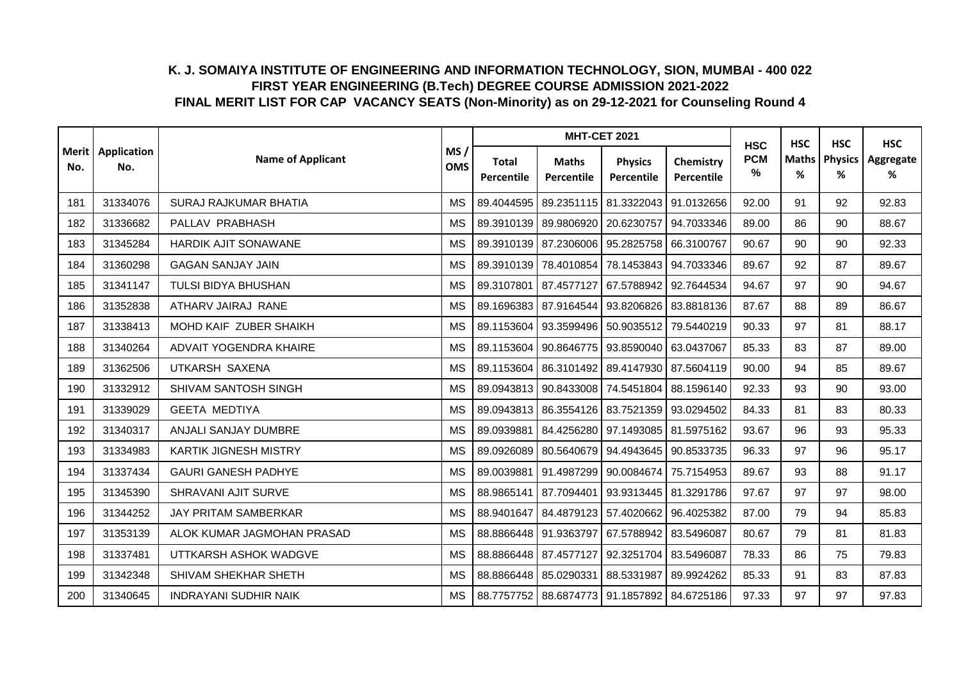|     |                            |                              |                   |                            |                                      | <b>MHT-CET 2021</b>                               |                         | <b>HSC</b>      | <b>HSC</b><br><b>HSC</b> | <b>HSC</b>          |                |
|-----|----------------------------|------------------------------|-------------------|----------------------------|--------------------------------------|---------------------------------------------------|-------------------------|-----------------|--------------------------|---------------------|----------------|
| No. | Merit   Application<br>No. | <b>Name of Applicant</b>     | MS/<br><b>OMS</b> | <b>Total</b><br>Percentile | <b>Maths</b><br>Percentile           | <b>Physics</b><br>Percentile                      | Chemistry<br>Percentile | <b>PCM</b><br>% | <b>Maths</b><br>%        | <b>Physics</b><br>% | Aggregate<br>% |
| 181 | 31334076                   | SURAJ RAJKUMAR BHATIA        | <b>MS</b>         | 89.4044595                 | 89.2351115 81.3322043                |                                                   | 91.0132656              | 92.00           | 91                       | 92                  | 92.83          |
| 182 | 31336682                   | PALLAV PRABHASH              | <b>MS</b>         | 89.3910139                 | 89.9806920                           | 20.6230757                                        | 94.7033346              | 89.00           | 86                       | 90                  | 88.67          |
| 183 | 31345284                   | HARDIK AJIT SONAWANE         | <b>MS</b>         |                            | 89.3910139 87.2306006 95.2825758     |                                                   | 66.3100767              | 90.67           | 90                       | 90                  | 92.33          |
| 184 | 31360298                   | <b>GAGAN SANJAY JAIN</b>     | <b>MS</b>         | 89.3910139                 | 78.4010854                           | 78.1453843                                        | 94.7033346              | 89.67           | 92                       | 87                  | 89.67          |
| 185 | 31341147                   | TULSI BIDYA BHUSHAN          | <b>MS</b>         | 89.3107801                 | 87.4577127 67.5788942                |                                                   | 92.7644534              | 94.67           | 97                       | 90                  | 94.67          |
| 186 | 31352838                   | ATHARV JAIRAJ RANE           | <b>MS</b>         |                            | 89.1696383 87.9164544                | 93.8206826                                        | 83.8818136              | 87.67           | 88                       | 89                  | 86.67          |
| 187 | 31338413                   | MOHD KAIF ZUBER SHAIKH       | MS                |                            | 89.1153604   93.3599496   50.9035512 |                                                   | 79.5440219              | 90.33           | 97                       | 81                  | 88.17          |
| 188 | 31340264                   | ADVAIT YOGENDRA KHAIRE       | <b>MS</b>         | 89.1153604                 | 90.8646775                           | 93.8590040                                        | 63.0437067              | 85.33           | 83                       | 87                  | 89.00          |
| 189 | 31362506                   | UTKARSH SAXENA               | <b>MS</b>         |                            | 89.1153604 86.3101492 89.4147930     |                                                   | 87.5604119              | 90.00           | 94                       | 85                  | 89.67          |
| 190 | 31332912                   | SHIVAM SANTOSH SINGH         | <b>MS</b>         |                            | 89.0943813 90.8433008 74.5451804     |                                                   | 88.1596140              | 92.33           | 93                       | 90                  | 93.00          |
| 191 | 31339029                   | <b>GEETA MEDTIYA</b>         | <b>MS</b>         |                            |                                      | 89.0943813   86.3554126   83.7521359   93.0294502 |                         | 84.33           | 81                       | 83                  | 80.33          |
| 192 | 31340317                   | ANJALI SANJAY DUMBRE         | <b>MS</b>         | 89.0939881                 | 84.4256280 97.1493085                |                                                   | 81.5975162              | 93.67           | 96                       | 93                  | 95.33          |
| 193 | 31334983                   | <b>KARTIK JIGNESH MISTRY</b> | <b>MS</b>         | 89.0926089                 |                                      | 80.5640679 94.4943645                             | 90.8533735              | 96.33           | 97                       | 96                  | 95.17          |
| 194 | 31337434                   | <b>GAURI GANESH PADHYE</b>   | <b>MS</b>         | 89.0039881                 | 91.4987299                           | 90.0084674                                        | 75.7154953              | 89.67           | 93                       | 88                  | 91.17          |
| 195 | 31345390                   | SHRAVANI AJIT SURVE          | <b>MS</b>         | 88.9865141                 |                                      | 87.7094401   93.9313445   81.3291786              |                         | 97.67           | 97                       | 97                  | 98.00          |
| 196 | 31344252                   | JAY PRITAM SAMBERKAR         | <b>MS</b>         |                            | 88.9401647 84.4879123                | 57.4020662                                        | 96.4025382              | 87.00           | 79                       | 94                  | 85.83          |
| 197 | 31353139                   | ALOK KUMAR JAGMOHAN PRASAD   | <b>MS</b>         |                            | 88.8866448 91.9363797 67.5788942     |                                                   | 83.5496087              | 80.67           | 79                       | 81                  | 81.83          |
| 198 | 31337481                   | UTTKARSH ASHOK WADGVE        | <b>MS</b>         | 88.8866448                 | 87.4577127                           | 92.3251704                                        | 83.5496087              | 78.33           | 86                       | 75                  | 79.83          |
| 199 | 31342348                   | SHIVAM SHEKHAR SHETH         | <b>MS</b>         | 88.8866448                 | 85.0290331 88.5331987                |                                                   | 89.9924262              | 85.33           | 91                       | 83                  | 87.83          |
| 200 | 31340645                   | <b>INDRAYANI SUDHIR NAIK</b> | <b>MS</b>         |                            | 88.7757752 88.6874773 91.1857892     |                                                   | 84.6725186              | 97.33           | 97                       | 97                  | 97.83          |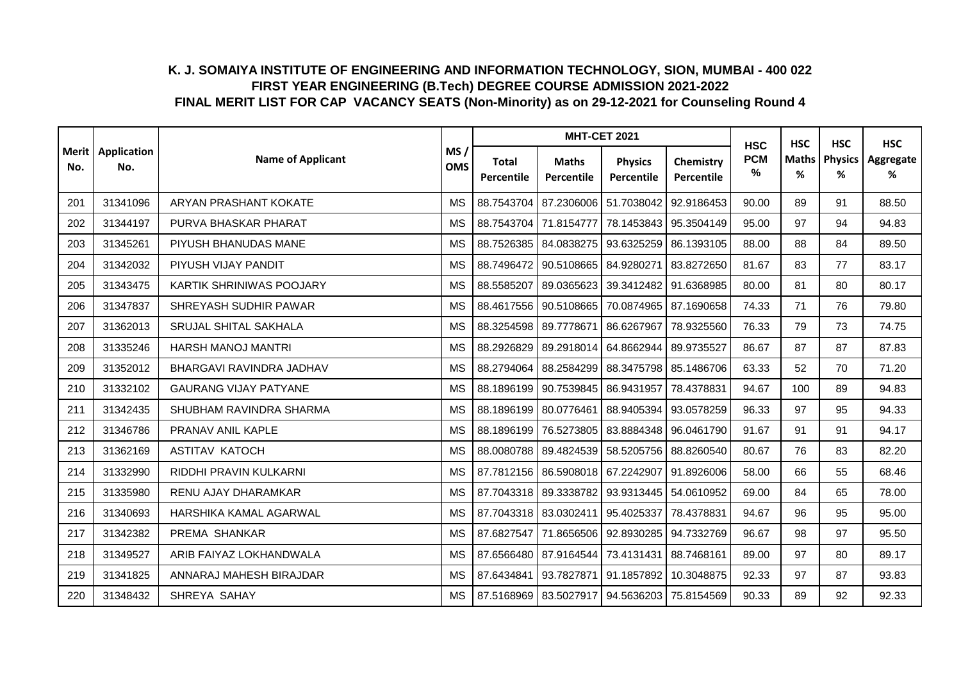|     | Merit   Application |                              |                   |                            | <b>MHT-CET 2021</b>                         |                              |                         | <b>HSC</b>      | <b>HSC</b> | <b>HSC</b>           | <b>HSC</b>     |
|-----|---------------------|------------------------------|-------------------|----------------------------|---------------------------------------------|------------------------------|-------------------------|-----------------|------------|----------------------|----------------|
| No. | No.                 | <b>Name of Applicant</b>     | MS/<br><b>OMS</b> | <b>Total</b><br>Percentile | <b>Maths</b><br><b>Percentile</b>           | <b>Physics</b><br>Percentile | Chemistry<br>Percentile | <b>PCM</b><br>℅ | %          | Maths   Physics<br>% | Aggregate<br>% |
| 201 | 31341096            | ARYAN PRASHANT KOKATE        | <b>MS</b>         | 88.7543704                 | 87.2306006                                  | 51.7038042                   | 92.9186453              | 90.00           | 89         | 91                   | 88.50          |
| 202 | 31344197            | PURVA BHASKAR PHARAT         | <b>MS</b>         | 88.7543704 71.8154777      |                                             | 78.1453843                   | 95.3504149              | 95.00           | 97         | 94                   | 94.83          |
| 203 | 31345261            | PIYUSH BHANUDAS MANE         | <b>MS</b>         |                            | 88.7526385 84.0838275                       | 93.6325259                   | 86.1393105              | 88.00           | 88         | 84                   | 89.50          |
| 204 | 31342032            | PIYUSH VIJAY PANDIT          | <b>MS</b>         | 88.7496472                 | 90.5108665                                  | 84.9280271                   | 83.8272650              | 81.67           | 83         | 77                   | 83.17          |
| 205 | 31343475            | KARTIK SHRINIWAS POOJARY     | <b>MS</b>         | 88.5585207                 | 89.0365623                                  | 39.3412482                   | 91.6368985              | 80.00           | 81         | 80                   | 80.17          |
| 206 | 31347837            | SHREYASH SUDHIR PAWAR        | <b>MS</b>         | 88.4617556                 | 90.5108665                                  | 70.0874965                   | 87.1690658              | 74.33           | 71         | 76                   | 79.80          |
| 207 | 31362013            | SRUJAL SHITAL SAKHALA        | <b>MS</b>         | 88.3254598 89.7778671      |                                             | 86.6267967                   | 78.9325560              | 76.33           | 79         | 73                   | 74.75          |
| 208 | 31335246            | <b>HARSH MANOJ MANTRI</b>    | МS                | 88.2926829                 | 89.2918014                                  | 64.8662944                   | 89.9735527              | 86.67           | 87         | 87                   | 87.83          |
| 209 | 31352012            | BHARGAVI RAVINDRA JADHAV     | <b>MS</b>         | 88.2794064                 | 88.2584299                                  | 88.3475798                   | 85.1486706              | 63.33           | 52         | 70                   | 71.20          |
| 210 | 31332102            | <b>GAURANG VIJAY PATYANE</b> | <b>MS</b>         | 88.1896199                 | 90.7539845                                  | 86.9431957                   | 78.4378831              | 94.67           | 100        | 89                   | 94.83          |
| 211 | 31342435            | SHUBHAM RAVINDRA SHARMA      | <b>MS</b>         | 88.1896199 80.0776461      |                                             | 88.9405394                   | 93.0578259              | 96.33           | 97         | 95                   | 94.33          |
| 212 | 31346786            | PRANAV ANIL KAPLE            | <b>MS</b>         |                            | 88.1896199 76.5273805                       | 83.8884348                   | 96.0461790              | 91.67           | 91         | 91                   | 94.17          |
| 213 | 31362169            | <b>ASTITAV KATOCH</b>        | <b>MS</b>         | 88.0080788                 | 89.4824539                                  | 58.5205756                   | 88.8260540              | 80.67           | 76         | 83                   | 82.20          |
| 214 | 31332990            | RIDDHI PRAVIN KULKARNI       | <b>MS</b>         | 87.7812156                 | 86.5908018                                  | 67.2242907                   | 91.8926006              | 58.00           | 66         | 55                   | 68.46          |
| 215 | 31335980            | RENU AJAY DHARAMKAR          | <b>MS</b>         | 87.7043318                 | 89.3338782 93.9313445                       |                              | 54.0610952              | 69.00           | 84         | 65                   | 78.00          |
| 216 | 31340693            | HARSHIKA KAMAL AGARWAL       | <b>MS</b>         | 87.7043318 83.0302411      |                                             | 95.4025337                   | 78.4378831              | 94.67           | 96         | 95                   | 95.00          |
| 217 | 31342382            | PREMA SHANKAR                | МS                | 87.6827547                 | 71.8656506                                  | 92.8930285                   | 94.7332769              | 96.67           | 98         | 97                   | 95.50          |
| 218 | 31349527            | ARIB FAIYAZ LOKHANDWALA      | <b>MS</b>         | 87.6566480                 | 87.9164544                                  | 73.4131431                   | 88.7468161              | 89.00           | 97         | 80                   | 89.17          |
| 219 | 31341825            | ANNARAJ MAHESH BIRAJDAR      | <b>MS</b>         | 87.6434841                 | 93.7827871                                  | 91.1857892                   | 10.3048875              | 92.33           | 97         | 87                   | 93.83          |
| 220 | 31348432            | SHREYA SAHAY                 | <b>MS</b>         |                            | 87.5168969 83.5027917 94.5636203 75.8154569 |                              |                         | 90.33           | 89         | 92                   | 92.33          |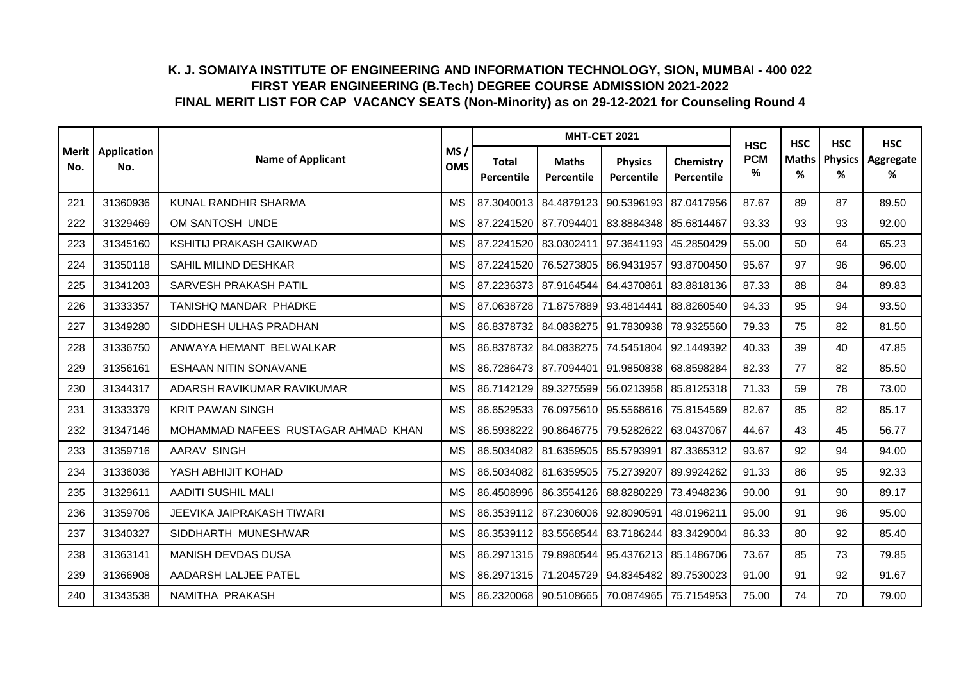|     |                            |                                     |                   |                            | <b>MHT-CET 2021</b>                               |                                  |                         | <b>HSC</b>      | <b>HSC</b><br><b>HSC</b> | <b>HSC</b>          |                |
|-----|----------------------------|-------------------------------------|-------------------|----------------------------|---------------------------------------------------|----------------------------------|-------------------------|-----------------|--------------------------|---------------------|----------------|
| No. | Merit   Application<br>No. | <b>Name of Applicant</b>            | MS/<br><b>OMS</b> | <b>Total</b><br>Percentile | <b>Maths</b><br>Percentile                        | <b>Physics</b><br>Percentile     | Chemistry<br>Percentile | <b>PCM</b><br>% | <b>Maths</b><br>%        | <b>Physics</b><br>% | Aggregate<br>% |
| 221 | 31360936                   | KUNAL RANDHIR SHARMA                | <b>MS</b>         |                            | 87.3040013 84.4879123 90.5396193                  |                                  | 87.0417956              | 87.67           | 89                       | 87                  | 89.50          |
| 222 | 31329469                   | OM SANTOSH UNDE                     | <b>MS</b>         |                            | 87.2241520 87.7094401                             | 83.8884348 85.6814467            |                         | 93.33           | 93                       | 93                  | 92.00          |
| 223 | 31345160                   | KSHITIJ PRAKASH GAIKWAD             | <b>MS</b>         |                            | 87.2241520 83.0302411                             | 97.3641193                       | 45.2850429              | 55.00           | 50                       | 64                  | 65.23          |
| 224 | 31350118                   | SAHIL MILIND DESHKAR                | <b>MS</b>         |                            | 87.2241520 76.5273805                             | 86.9431957                       | 93.8700450              | 95.67           | 97                       | 96                  | 96.00          |
| 225 | 31341203                   | SARVESH PRAKASH PATIL               | <b>MS</b>         |                            | 87.2236373 87.9164544                             | 84.4370861                       | 83.8818136              | 87.33           | 88                       | 84                  | 89.83          |
| 226 | 31333357                   | TANISHQ MANDAR PHADKE               | <b>MS</b>         |                            | 87.0638728 71.8757889 93.4814441                  |                                  | 88.8260540              | 94.33           | 95                       | 94                  | 93.50          |
| 227 | 31349280                   | SIDDHESH ULHAS PRADHAN              | <b>MS</b>         |                            | 86.8378732 84.0838275 91.7830938                  |                                  | 78.9325560              | 79.33           | 75                       | 82                  | 81.50          |
| 228 | 31336750                   | ANWAYA HEMANT BELWALKAR             | <b>MS</b>         | 86.8378732                 | 84.0838275                                        | 74.5451804                       | 92.1449392              | 40.33           | 39                       | 40                  | 47.85          |
| 229 | 31356161                   | <b>ESHAAN NITIN SONAVANE</b>        | <b>MS</b>         |                            | 86.7286473 87.7094401                             | 91.9850838                       | 68.8598284              | 82.33           | 77                       | 82                  | 85.50          |
| 230 | 31344317                   | ADARSH RAVIKUMAR RAVIKUMAR          | <b>MS</b>         | 86.7142129                 | 89.3275599                                        | 56.0213958                       | 85.8125318              | 71.33           | 59                       | 78                  | 73.00          |
| 231 | 31333379                   | <b>KRIT PAWAN SINGH</b>             | <b>MS</b>         | 86.6529533                 |                                                   | 76.0975610 95.5568616 75.8154569 |                         | 82.67           | 85                       | 82                  | 85.17          |
| 232 | 31347146                   | MOHAMMAD NAFEES RUSTAGAR AHMAD KHAN | <b>MS</b>         | 86.5938222                 | 90.8646775                                        | 79.5282622                       | 63.0437067              | 44.67           | 43                       | 45                  | 56.77          |
| 233 | 31359716                   | <b>AARAV SINGH</b>                  | <b>MS</b>         | 86.5034082                 | 81.6359505                                        | 85.5793991                       | 87.3365312              | 93.67           | 92                       | 94                  | 94.00          |
| 234 | 31336036                   | YASH ABHIJIT KOHAD                  | <b>MS</b>         | 86.5034082                 | 81.6359505                                        | 75.2739207                       | 89.9924262              | 91.33           | 86                       | 95                  | 92.33          |
| 235 | 31329611                   | <b>AADITI SUSHIL MALI</b>           | <b>MS</b>         | 86.4508996                 | 86.3554126 88.8280229                             |                                  | 73.4948236              | 90.00           | 91                       | 90                  | 89.17          |
| 236 | 31359706                   | JEEVIKA JAIPRAKASH TIWARI           | <b>MS</b>         | 86.3539112                 | 87.2306006                                        | 92.8090591                       | 48.0196211              | 95.00           | 91                       | 96                  | 95.00          |
| 237 | 31340327                   | SIDDHARTH MUNESHWAR                 | <b>MS</b>         |                            | 86.3539112 83.5568544                             | 83.7186244                       | 83.3429004              | 86.33           | 80                       | 92                  | 85.40          |
| 238 | 31363141                   | <b>MANISH DEVDAS DUSA</b>           | <b>MS</b>         | 86.2971315                 | 79.8980544                                        | 95.4376213                       | 85.1486706              | 73.67           | 85                       | 73                  | 79.85          |
| 239 | 31366908                   | AADARSH LALJEE PATEL                | <b>MS</b>         | 86.2971315                 | 71.2045729                                        | 94.8345482                       | 89.7530023              | 91.00           | 91                       | 92                  | 91.67          |
| 240 | 31343538                   | NAMITHA PRAKASH                     | <b>MS</b>         |                            | 86.2320068   90.5108665   70.0874965   75.7154953 |                                  |                         | 75.00           | 74                       | 70                  | 79.00          |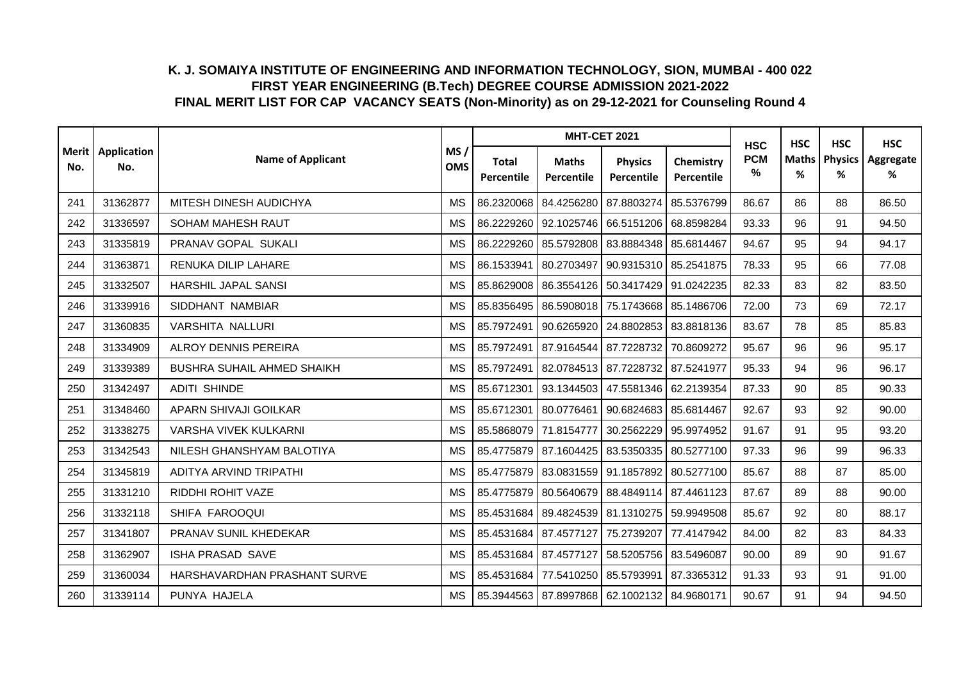|     |                            |                                   |                   |                            | <b>MHT-CET 2021</b>              |                                                   |                         | <b>HSC</b>      | <b>HSC</b>        | <b>HSC</b>          | <b>HSC</b>     |
|-----|----------------------------|-----------------------------------|-------------------|----------------------------|----------------------------------|---------------------------------------------------|-------------------------|-----------------|-------------------|---------------------|----------------|
| No. | Merit   Application<br>No. | <b>Name of Applicant</b>          | MS/<br><b>OMS</b> | <b>Total</b><br>Percentile | <b>Maths</b><br>Percentile       | <b>Physics</b><br>Percentile                      | Chemistry<br>Percentile | <b>PCM</b><br>% | <b>Maths</b><br>% | <b>Physics</b><br>% | Aggregate<br>% |
| 241 | 31362877                   | MITESH DINESH AUDICHYA            | <b>MS</b>         | 86.2320068                 | 84.4256280 87.8803274            |                                                   | 85.5376799              | 86.67           | 86                | 88                  | 86.50          |
| 242 | 31336597                   | <b>SOHAM MAHESH RAUT</b>          | <b>MS</b>         |                            | 86.2229260 92.1025746 66.5151206 |                                                   | 68.8598284              | 93.33           | 96                | 91                  | 94.50          |
| 243 | 31335819                   | PRANAV GOPAL SUKALI               | <b>MS</b>         |                            | 86.2229260 85.5792808 83.8884348 |                                                   | 85.6814467              | 94.67           | 95                | 94                  | 94.17          |
| 244 | 31363871                   | RENUKA DILIP LAHARE               | <b>MS</b>         | 86.1533941                 | 80.2703497                       | 90.9315310                                        | 85.2541875              | 78.33           | 95                | 66                  | 77.08          |
| 245 | 31332507                   | <b>HARSHIL JAPAL SANSI</b>        | <b>MS</b>         | 85.8629008                 | 86.3554126 50.3417429            |                                                   | 91.0242235              | 82.33           | 83                | 82                  | 83.50          |
| 246 | 31339916                   | SIDDHANT NAMBIAR                  | <b>MS</b>         |                            | 85.8356495 86.5908018 75.1743668 |                                                   | 85.1486706              | 72.00           | 73                | 69                  | 72.17          |
| 247 | 31360835                   | <b>VARSHITA NALLURI</b>           | <b>MS</b>         | 85.7972491                 | 90.6265920 24.8802853            |                                                   | 83.8818136              | 83.67           | 78                | 85                  | 85.83          |
| 248 | 31334909                   | <b>ALROY DENNIS PEREIRA</b>       | <b>MS</b>         | 85.7972491                 | 87.9164544                       | 87.7228732                                        | 70.8609272              | 95.67           | 96                | 96                  | 95.17          |
| 249 | 31339389                   | <b>BUSHRA SUHAIL AHMED SHAIKH</b> | <b>MS</b>         | 85.7972491                 | 82.0784513 87.7228732            |                                                   | 87.5241977              | 95.33           | 94                | 96                  | 96.17          |
| 250 | 31342497                   | <b>ADITI SHINDE</b>               | <b>MS</b>         | 85.6712301                 | 93.1344503                       | 47.5581346                                        | 62.2139354              | 87.33           | 90                | 85                  | 90.33          |
| 251 | 31348460                   | APARN SHIVAJI GOILKAR             | <b>MS</b>         | 85.6712301                 |                                  | 80.0776461 90.6824683 85.6814467                  |                         | 92.67           | 93                | 92                  | 90.00          |
| 252 | 31338275                   | <b>VARSHA VIVEK KULKARNI</b>      | <b>MS</b>         |                            | 85.5868079 71.8154777            | 30.2562229                                        | 95.9974952              | 91.67           | 91                | 95                  | 93.20          |
| 253 | 31342543                   | NILESH GHANSHYAM BALOTIYA         | <b>MS</b>         |                            | 85.4775879 87.1604425            | 83.5350335                                        | 80.5277100              | 97.33           | 96                | 99                  | 96.33          |
| 254 | 31345819                   | ADITYA ARVIND TRIPATHI            | <b>MS</b>         | 85.4775879                 | 83.0831559 91.1857892            |                                                   | 80.5277100              | 85.67           | 88                | 87                  | 85.00          |
| 255 | 31331210                   | <b>RIDDHI ROHIT VAZE</b>          | <b>MS</b>         |                            | 85.4775879 80.5640679 88.4849114 |                                                   | 87.4461123              | 87.67           | 89                | 88                  | 90.00          |
| 256 | 31332118                   | SHIFA FAROOQUI                    | <b>MS</b>         |                            | 85.4531684 89.4824539 81.1310275 |                                                   | 59.9949508              | 85.67           | 92                | 80                  | 88.17          |
| 257 | 31341807                   | PRANAV SUNIL KHEDEKAR             | <b>MS</b>         |                            | 85.4531684 87.4577127            | 75.2739207                                        | 77.4147942              | 84.00           | 82                | 83                  | 84.33          |
| 258 | 31362907                   | <b>ISHA PRASAD SAVE</b>           | <b>MS</b>         |                            | 85.4531684 87.4577127            | 58.5205756                                        | 83.5496087              | 90.00           | 89                | 90                  | 91.67          |
| 259 | 31360034                   | HARSHAVARDHAN PRASHANT SURVE      | <b>MS</b>         |                            | 85.4531684 77.5410250 85.5793991 |                                                   | 87.3365312              | 91.33           | 93                | 91                  | 91.00          |
| 260 | 31339114                   | PUNYA HAJELA                      | <b>MS</b>         |                            |                                  | 85.3944563   87.8997868   62.1002132   84.9680171 |                         | 90.67           | 91                | 94                  | 94.50          |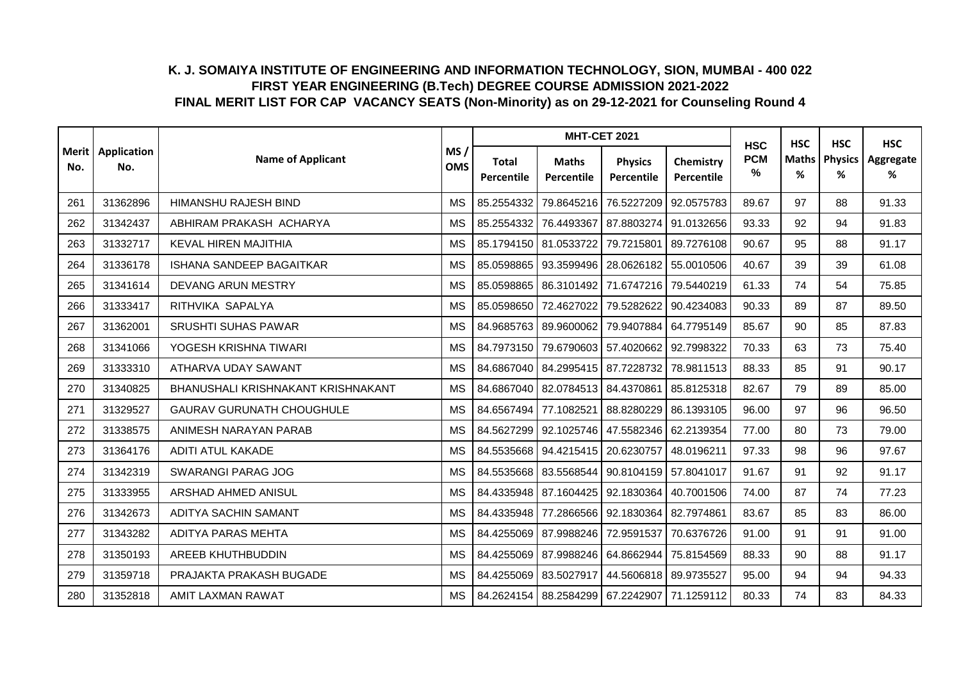|     |                            |                                    |                   |                            | <b>MHT-CET 2021</b>              |                              |                         | <b>HSC</b>      | <b>HSC</b>        | <b>HSC</b>          | <b>HSC</b>     |
|-----|----------------------------|------------------------------------|-------------------|----------------------------|----------------------------------|------------------------------|-------------------------|-----------------|-------------------|---------------------|----------------|
| No. | Merit   Application<br>No. | <b>Name of Applicant</b>           | MS/<br><b>OMS</b> | <b>Total</b><br>Percentile | <b>Maths</b><br>Percentile       | <b>Physics</b><br>Percentile | Chemistry<br>Percentile | <b>PCM</b><br>% | <b>Maths</b><br>% | <b>Physics</b><br>% | Aggregate<br>% |
| 261 | 31362896                   | HIMANSHU RAJESH BIND               | <b>MS</b>         | 85.2554332                 | 79.8645216                       | 76.5227209                   | 92.0575783              | 89.67           | 97                | 88                  | 91.33          |
| 262 | 31342437                   | ABHIRAM PRAKASH ACHARYA            | <b>MS</b>         | 85.2554332                 | 76.4493367                       | 87.8803274                   | 91.0132656              | 93.33           | 92                | 94                  | 91.83          |
| 263 | 31332717                   | <b>KEVAL HIREN MAJITHIA</b>        | <b>MS</b>         |                            | 85.1794150 81.0533722            | 79.7215801                   | 89.7276108              | 90.67           | 95                | 88                  | 91.17          |
| 264 | 31336178                   | <b>ISHANA SANDEEP BAGAITKAR</b>    | <b>MS</b>         | 85.0598865                 | 93.3599496                       | 28.0626182 55.0010506        |                         | 40.67           | 39                | 39                  | 61.08          |
| 265 | 31341614                   | DEVANG ARUN MESTRY                 | <b>MS</b>         | 85.0598865                 | 86.3101492                       | 71.6747216                   | 79.5440219              | 61.33           | 74                | 54                  | 75.85          |
| 266 | 31333417                   | RITHVIKA SAPALYA                   | <b>MS</b>         | 85.0598650                 | 72.4627022                       | 79.5282622                   | 90.4234083              | 90.33           | 89                | 87                  | 89.50          |
| 267 | 31362001                   | <b>SRUSHTI SUHAS PAWAR</b>         | <b>MS</b>         |                            | 84.9685763 89.9600062            | 79.9407884                   | 64.7795149              | 85.67           | 90                | 85                  | 87.83          |
| 268 | 31341066                   | YOGESH KRISHNA TIWARI              | <b>MS</b>         | 84.7973150                 | 79.6790603                       | 57.4020662                   | 92.7998322              | 70.33           | 63                | 73                  | 75.40          |
| 269 | 31333310                   | ATHARVA UDAY SAWANT                | <b>MS</b>         |                            | 84.6867040 84.2995415 87.7228732 |                              | 78.9811513              | 88.33           | 85                | 91                  | 90.17          |
| 270 | 31340825                   | BHANUSHALI KRISHNAKANT KRISHNAKANT | <b>MS</b>         |                            | 84.6867040 82.0784513 84.4370861 |                              | 85.8125318              | 82.67           | 79                | 89                  | 85.00          |
| 271 | 31329527                   | <b>GAURAV GURUNATH CHOUGHULE</b>   | <b>MS</b>         |                            | 84.6567494 77.1082521            | 88.8280229                   | 86.1393105              | 96.00           | 97                | 96                  | 96.50          |
| 272 | 31338575                   | ANIMESH NARAYAN PARAB              | <b>MS</b>         |                            | 84.5627299 92.1025746            | 47.5582346                   | 62.2139354              | 77.00           | 80                | 73                  | 79.00          |
| 273 | 31364176                   | ADITI ATUL KAKADE                  | <b>MS</b>         |                            | 84.5535668 94.4215415            | 20.6230757                   | 48.0196211              | 97.33           | 98                | 96                  | 97.67          |
| 274 | 31342319                   | <b>SWARANGI PARAG JOG</b>          | <b>MS</b>         |                            | 84.5535668 83.5568544 90.8104159 |                              | 57.8041017              | 91.67           | 91                | 92                  | 91.17          |
| 275 | 31333955                   | ARSHAD AHMED ANISUL                | <b>MS</b>         |                            | 84.4335948 87.1604425 92.1830364 |                              | 40.7001506              | 74.00           | 87                | 74                  | 77.23          |
| 276 | 31342673                   | ADITYA SACHIN SAMANT               | <b>MS</b>         | 84.4335948                 | 77.2866566                       | 92.1830364                   | 82.7974861              | 83.67           | 85                | 83                  | 86.00          |
| 277 | 31343282                   | ADITYA PARAS MEHTA                 | <b>MS</b>         |                            | 84.4255069 87.9988246            | 72.9591537                   | 70.6376726              | 91.00           | 91                | 91                  | 91.00          |
| 278 | 31350193                   | AREEB KHUTHBUDDIN                  | <b>MS</b>         | 84.4255069                 | 87.9988246                       | 64.8662944                   | 75.8154569              | 88.33           | 90                | 88                  | 91.17          |
| 279 | 31359718                   | PRAJAKTA PRAKASH BUGADE            | <b>MS</b>         | 84.4255069                 | 83.5027917                       | 44.5606818                   | 89.9735527              | 95.00           | 94                | 94                  | 94.33          |
| 280 | 31352818                   | AMIT LAXMAN RAWAT                  | <b>MS</b>         |                            | 84.2624154 88.2584299 67.2242907 |                              | 71.1259112              | 80.33           | 74                | 83                  | 84.33          |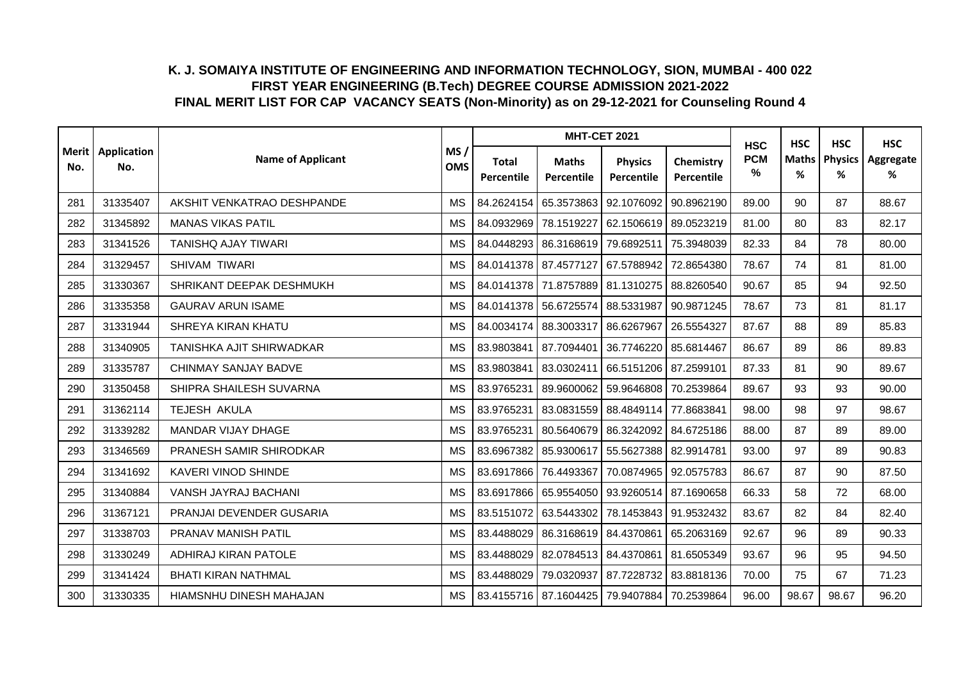|     |                            |                             |                   |                            | <b>MHT-CET 2021</b>                  |                              |                         | <b>HSC</b>      | <b>HSC</b>        | <b>HSC</b>          | <b>HSC</b>     |
|-----|----------------------------|-----------------------------|-------------------|----------------------------|--------------------------------------|------------------------------|-------------------------|-----------------|-------------------|---------------------|----------------|
| No. | Merit   Application<br>No. | <b>Name of Applicant</b>    | MS/<br><b>OMS</b> | <b>Total</b><br>Percentile | <b>Maths</b><br>Percentile           | <b>Physics</b><br>Percentile | Chemistry<br>Percentile | <b>PCM</b><br>% | <b>Maths</b><br>% | <b>Physics</b><br>% | Aggregate<br>% |
| 281 | 31335407                   | AKSHIT VENKATRAO DESHPANDE  | <b>MS</b>         |                            | 84.2624154 65.3573863                | 92.1076092                   | 90.8962190              | 89.00           | 90                | 87                  | 88.67          |
| 282 | 31345892                   | <b>MANAS VIKAS PATIL</b>    | <b>MS</b>         | 84.0932969                 | 78.1519227                           | 62.1506619 89.0523219        |                         | 81.00           | 80                | 83                  | 82.17          |
| 283 | 31341526                   | <b>TANISHQ AJAY TIWARI</b>  | <b>MS</b>         | 84.0448293                 | 86.3168619                           | 79.6892511                   | 75.3948039              | 82.33           | 84                | 78                  | 80.00          |
| 284 | 31329457                   | SHIVAM TIWARI               | <b>MS</b>         |                            | 84.0141378   87.4577127   67.5788942 |                              | 72.8654380              | 78.67           | 74                | 81                  | 81.00          |
| 285 | 31330367                   | SHRIKANT DEEPAK DESHMUKH    | <b>MS</b>         |                            | 84.0141378 71.8757889 81.1310275     |                              | 88.8260540              | 90.67           | 85                | 94                  | 92.50          |
| 286 | 31335358                   | <b>GAURAV ARUN ISAME</b>    | <b>MS</b>         |                            | 84.0141378 56.6725574 88.5331987     |                              | 90.9871245              | 78.67           | 73                | 81                  | 81.17          |
| 287 | 31331944                   | <b>SHREYA KIRAN KHATU</b>   | <b>MS</b>         |                            | 84.0034174   88.3003317   86.6267967 |                              | 26.5554327              | 87.67           | 88                | 89                  | 85.83          |
| 288 | 31340905                   | TANISHKA AJIT SHIRWADKAR    | <b>MS</b>         | 83.9803841                 | 87.7094401                           | 36.7746220                   | 85.6814467              | 86.67           | 89                | 86                  | 89.83          |
| 289 | 31335787                   | CHINMAY SANJAY BADVE        | <b>MS</b>         | 83.9803841                 | 83.0302411                           | 66.5151206                   | 87.2599101              | 87.33           | 81                | 90                  | 89.67          |
| 290 | 31350458                   | SHIPRA SHAILESH SUVARNA     | <b>MS</b>         | 83.9765231                 | 89.9600062                           | 59.9646808                   | 70.2539864              | 89.67           | 93                | 93                  | 90.00          |
| 291 | 31362114                   | TEJESH AKULA                | <b>MS</b>         | 83.9765231                 | 83.0831559 88.4849114                |                              | 77.8683841              | 98.00           | 98                | 97                  | 98.67          |
| 292 | 31339282                   | MANDAR VIJAY DHAGE          | <b>MS</b>         | 83.9765231                 | 80.5640679                           | 86.3242092                   | 84.6725186              | 88.00           | 87                | 89                  | 89.00          |
| 293 | 31346569                   | PRANESH SAMIR SHIRODKAR     | <b>MS</b>         | 83.6967382                 | 85.9300617                           | 55.5627388                   | 82.9914781              | 93.00           | 97                | 89                  | 90.83          |
| 294 | 31341692                   | KAVERI VINOD SHINDE         | <b>MS</b>         | 83.6917866                 | 76.4493367                           | 70.0874965                   | 92.0575783              | 86.67           | 87                | 90                  | 87.50          |
| 295 | 31340884                   | VANSH JAYRAJ BACHANI        | <b>MS</b>         |                            | 83.6917866 65.9554050 93.9260514     |                              | 87.1690658              | 66.33           | 58                | 72                  | 68.00          |
| 296 | 31367121                   | PRANJAI DEVENDER GUSARIA    | <b>MS</b>         |                            | 83.5151072 63.5443302                | 78.1453843                   | 91.9532432              | 83.67           | 82                | 84                  | 82.40          |
| 297 | 31338703                   | PRANAV MANISH PATIL         | <b>MS</b>         | 83.4488029                 | 86.3168619 84.4370861                |                              | 65.2063169              | 92.67           | 96                | 89                  | 90.33          |
| 298 | 31330249                   | <b>ADHIRAJ KIRAN PATOLE</b> | <b>MS</b>         | 83.4488029                 | 82.0784513 84.4370861                |                              | 81.6505349              | 93.67           | 96                | 95                  | 94.50          |
| 299 | 31341424                   | <b>BHATI KIRAN NATHMAL</b>  | <b>MS</b>         | 83.4488029                 | 79.0320937                           | 87.7228732                   | 83.8818136              | 70.00           | 75                | 67                  | 71.23          |
| 300 | 31330335                   | HIAMSNHU DINESH MAHAJAN     | <b>MS</b>         |                            | 83.4155716 87.1604425                | 79.9407884 70.2539864        |                         | 96.00           | 98.67             | 98.67               | 96.20          |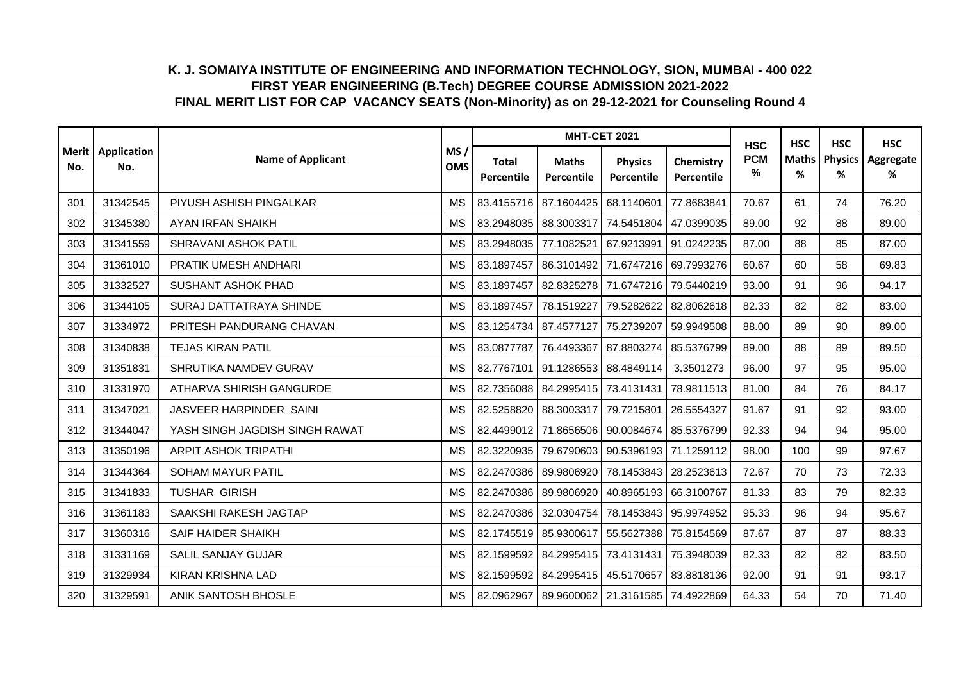|     |                            |                                 |                   |                            | <b>MHT-CET 2021</b>                         |                              |                         | <b>HSC</b>      | <b>HSC</b>        | <b>HSC</b>          | <b>HSC</b>     |
|-----|----------------------------|---------------------------------|-------------------|----------------------------|---------------------------------------------|------------------------------|-------------------------|-----------------|-------------------|---------------------|----------------|
| No. | Merit   Application<br>No. | <b>Name of Applicant</b>        | MS/<br><b>OMS</b> | <b>Total</b><br>Percentile | <b>Maths</b><br>Percentile                  | <b>Physics</b><br>Percentile | Chemistry<br>Percentile | <b>PCM</b><br>% | <b>Maths</b><br>% | <b>Physics</b><br>% | Aggregate<br>% |
| 301 | 31342545                   | PIYUSH ASHISH PINGALKAR         | <b>MS</b>         |                            | 83.4155716 87.1604425                       | 68.1140601                   | 77.8683841              | 70.67           | 61                | 74                  | 76.20          |
| 302 | 31345380                   | <b>AYAN IRFAN SHAIKH</b>        | <b>MS</b>         |                            | 83.2948035   88.3003317                     | 74.5451804                   | 47.0399035              | 89.00           | 92                | 88                  | 89.00          |
| 303 | 31341559                   | SHRAVANI ASHOK PATIL            | <b>MS</b>         | 83.2948035                 | 77.1082521                                  | 67.9213991                   | 91.0242235              | 87.00           | 88                | 85                  | 87.00          |
| 304 | 31361010                   | PRATIK UMESH ANDHARI            | <b>MS</b>         | 83.1897457                 | 86.3101492 71.6747216                       |                              | 69.7993276              | 60.67           | 60                | 58                  | 69.83          |
| 305 | 31332527                   | <b>SUSHANT ASHOK PHAD</b>       | <b>MS</b>         | 83.1897457                 | 82.8325278                                  | 71.6747216                   | 79.5440219              | 93.00           | 91                | 96                  | 94.17          |
| 306 | 31344105                   | SURAJ DATTATRAYA SHINDE         | <b>MS</b>         | 83.1897457                 | 78.1519227                                  | 79.5282622                   | 82.8062618              | 82.33           | 82                | 82                  | 83.00          |
| 307 | 31334972                   | PRITESH PANDURANG CHAVAN        | МS                |                            | 83.1254734 87.4577127                       | 75.2739207                   | 59.9949508              | 88.00           | 89                | 90                  | 89.00          |
| 308 | 31340838                   | <b>TEJAS KIRAN PATIL</b>        | <b>MS</b>         | 83.0877787                 | 76.4493367                                  | 87.8803274                   | 85.5376799              | 89.00           | 88                | 89                  | 89.50          |
| 309 | 31351831                   | SHRUTIKA NAMDEV GURAV           | <b>MS</b>         | 82.7767101                 | 91.1286553 88.4849114                       |                              | 3.3501273               | 96.00           | 97                | 95                  | 95.00          |
| 310 | 31331970                   | <b>ATHARVA SHIRISH GANGURDE</b> | <b>MS</b>         |                            | 82.7356088 84.2995415                       | 73.4131431                   | 78.9811513              | 81.00           | 84                | 76                  | 84.17          |
| 311 | 31347021                   | JASVEER HARPINDER SAINI         | <b>MS</b>         |                            | 82.5258820 88.3003317                       | 79.7215801                   | 26.5554327              | 91.67           | 91                | 92                  | 93.00          |
| 312 | 31344047                   | YASH SINGH JAGDISH SINGH RAWAT  | <b>MS</b>         |                            | 82.4499012 71.8656506 90.0084674            |                              | 85.5376799              | 92.33           | 94                | 94                  | 95.00          |
| 313 | 31350196                   | <b>ARPIT ASHOK TRIPATHI</b>     | <b>MS</b>         | 82.3220935                 |                                             | 79.6790603   90.5396193      | 71.1259112              | 98.00           | 100               | 99                  | 97.67          |
| 314 | 31344364                   | SOHAM MAYUR PATIL               | <b>MS</b>         | 82.2470386                 | 89.9806920                                  | 78.1453843                   | 28.2523613              | 72.67           | 70                | 73                  | 72.33          |
| 315 | 31341833                   | <b>TUSHAR GIRISH</b>            | <b>MS</b>         | 82.2470386                 | 89.9806920                                  | 40.8965193 66.3100767        |                         | 81.33           | 83                | 79                  | 82.33          |
| 316 | 31361183                   | SAAKSHI RAKESH JAGTAP           | <b>MS</b>         | 82.2470386                 | 32.0304754                                  | 78.1453843                   | 95.9974952              | 95.33           | 96                | 94                  | 95.67          |
| 317 | 31360316                   | SAIF HAIDER SHAIKH              | <b>MS</b>         |                            | 82.1745519 85.9300617 55.5627388            |                              | 75.8154569              | 87.67           | 87                | 87                  | 88.33          |
| 318 | 31331169                   | <b>SALIL SANJAY GUJAR</b>       | <b>MS</b>         | 82.1599592                 | 84.2995415                                  | 73.4131431                   | 75.3948039              | 82.33           | 82                | 82                  | 83.50          |
| 319 | 31329934                   | <b>KIRAN KRISHNA LAD</b>        | <b>MS</b>         | 82.1599592                 | 84.2995415                                  | 45.5170657                   | 83.8818136              | 92.00           | 91                | 91                  | 93.17          |
| 320 | 31329591                   | ANIK SANTOSH BHOSLE             | <b>MS</b>         |                            | 82.0962967 89.9600062 21.3161585 74.4922869 |                              |                         | 64.33           | 54                | 70                  | 71.40          |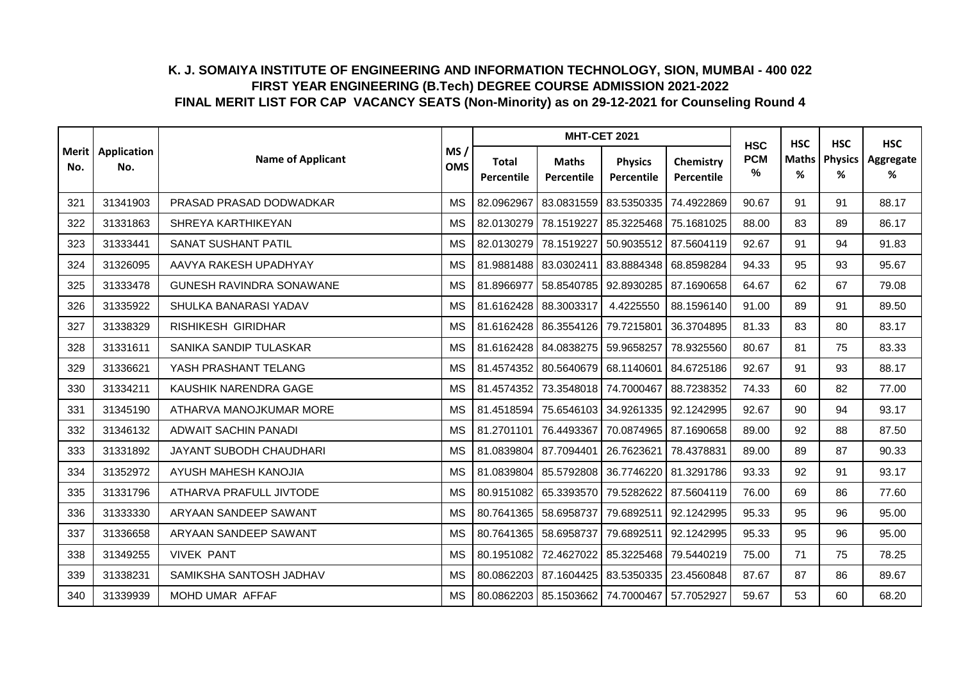|     |                            |                                 |                   |                                   | <b>MHT-CET 2021</b>                               |                              |                         | <b>HSC</b>      | <b>HSC</b>        | <b>HSC</b>          | <b>HSC</b>     |
|-----|----------------------------|---------------------------------|-------------------|-----------------------------------|---------------------------------------------------|------------------------------|-------------------------|-----------------|-------------------|---------------------|----------------|
| No. | Merit   Application<br>No. | <b>Name of Applicant</b>        | MS/<br><b>OMS</b> | <b>Total</b><br><b>Percentile</b> | <b>Maths</b><br>Percentile                        | <b>Physics</b><br>Percentile | Chemistry<br>Percentile | <b>PCM</b><br>% | <b>Maths</b><br>% | <b>Physics</b><br>% | Aggregate<br>% |
| 321 | 31341903                   | PRASAD PRASAD DODWADKAR         | <b>MS</b>         | 82.0962967                        | 83.0831559                                        | 83.5350335                   | 74.4922869              | 90.67           | 91                | 91                  | 88.17          |
| 322 | 31331863                   | SHREYA KARTHIKEYAN              | <b>MS</b>         | 82.0130279                        | 78.1519227                                        | 85.3225468                   | 75.1681025              | 88.00           | 83                | 89                  | 86.17          |
| 323 | 31333441                   | SANAT SUSHANT PATIL             | <b>MS</b>         | 82.0130279                        | 78.1519227                                        | 50.9035512                   | 87.5604119              | 92.67           | 91                | 94                  | 91.83          |
| 324 | 31326095                   | AAVYA RAKESH UPADHYAY           | <b>MS</b>         |                                   | 81.9881488 83.0302411                             | 83.8884348                   | 68.8598284              | 94.33           | 95                | 93                  | 95.67          |
| 325 | 31333478                   | <b>GUNESH RAVINDRA SONAWANE</b> | <b>MS</b>         | 81.8966977                        | 58.8540785                                        | 92.8930285                   | 87.1690658              | 64.67           | 62                | 67                  | 79.08          |
| 326 | 31335922                   | SHULKA BANARASI YADAV           | <b>MS</b>         | 81.6162428 88.3003317             |                                                   | 4.4225550                    | 88.1596140              | 91.00           | 89                | 91                  | 89.50          |
| 327 | 31338329                   | RISHIKESH GIRIDHAR              | <b>MS</b>         |                                   | 81.6162428 86.3554126                             | 79.7215801                   | 36.3704895              | 81.33           | 83                | 80                  | 83.17          |
| 328 | 31331611                   | SANIKA SANDIP TULASKAR          | <b>MS</b>         | 81.6162428                        | 84.0838275                                        | 59.9658257                   | 78.9325560              | 80.67           | 81                | 75                  | 83.33          |
| 329 | 31336621                   | YASH PRASHANT TELANG            | <b>MS</b>         |                                   | 81.4574352 80.5640679 68.1140601                  |                              | 84.6725186              | 92.67           | 91                | 93                  | 88.17          |
| 330 | 31334211                   | KAUSHIK NARENDRA GAGE           | <b>MS</b>         | 81.4574352                        | 73.3548018                                        | 74.7000467                   | 88.7238352              | 74.33           | 60                | 82                  | 77.00          |
| 331 | 31345190                   | ATHARVA MANOJKUMAR MORE         | <b>MS</b>         |                                   | 81.4518594 75.6546103 34.9261335                  |                              | 92.1242995              | 92.67           | 90                | 94                  | 93.17          |
| 332 | 31346132                   | <b>ADWAIT SACHIN PANADI</b>     | <b>MS</b>         | 81.2701101                        | 76.4493367                                        | 70.0874965                   | 87.1690658              | 89.00           | 92                | 88                  | 87.50          |
| 333 | 31331892                   | JAYANT SUBODH CHAUDHARI         | <b>MS</b>         | 81.0839804                        | 87.7094401                                        | 26.7623621                   | 78.4378831              | 89.00           | 89                | 87                  | 90.33          |
| 334 | 31352972                   | AYUSH MAHESH KANOJIA            | <b>MS</b>         |                                   | 81.0839804 85.5792808                             | 36.7746220                   | 81.3291786              | 93.33           | 92                | 91                  | 93.17          |
| 335 | 31331796                   | ATHARVA PRAFULL JIVTODE         | <b>MS</b>         |                                   | 80.9151082 65.3393570                             | 79.5282622                   | 87.5604119              | 76.00           | 69                | 86                  | 77.60          |
| 336 | 31333330                   | ARYAAN SANDEEP SAWANT           | <b>MS</b>         | 80.7641365 58.6958737             |                                                   | 79.6892511                   | 92.1242995              | 95.33           | 95                | 96                  | 95.00          |
| 337 | 31336658                   | ARYAAN SANDEEP SAWANT           | <b>MS</b>         | 80.7641365 58.6958737             |                                                   | 79.6892511                   | 92.1242995              | 95.33           | 95                | 96                  | 95.00          |
| 338 | 31349255                   | <b>VIVEK PANT</b>               | <b>MS</b>         | 80.1951082                        | 72.4627022                                        | 85.3225468                   | 79.5440219              | 75.00           | 71                | 75                  | 78.25          |
| 339 | 31338231                   | SAMIKSHA SANTOSH JADHAV         | <b>MS</b>         | 80.0862203                        | 87.1604425                                        | 83.5350335                   | 23.4560848              | 87.67           | 87                | 86                  | 89.67          |
| 340 | 31339939                   | MOHD UMAR AFFAF                 | <b>MS</b>         |                                   | 80.0862203   85.1503662   74.7000467   57.7052927 |                              |                         | 59.67           | 53                | 60                  | 68.20          |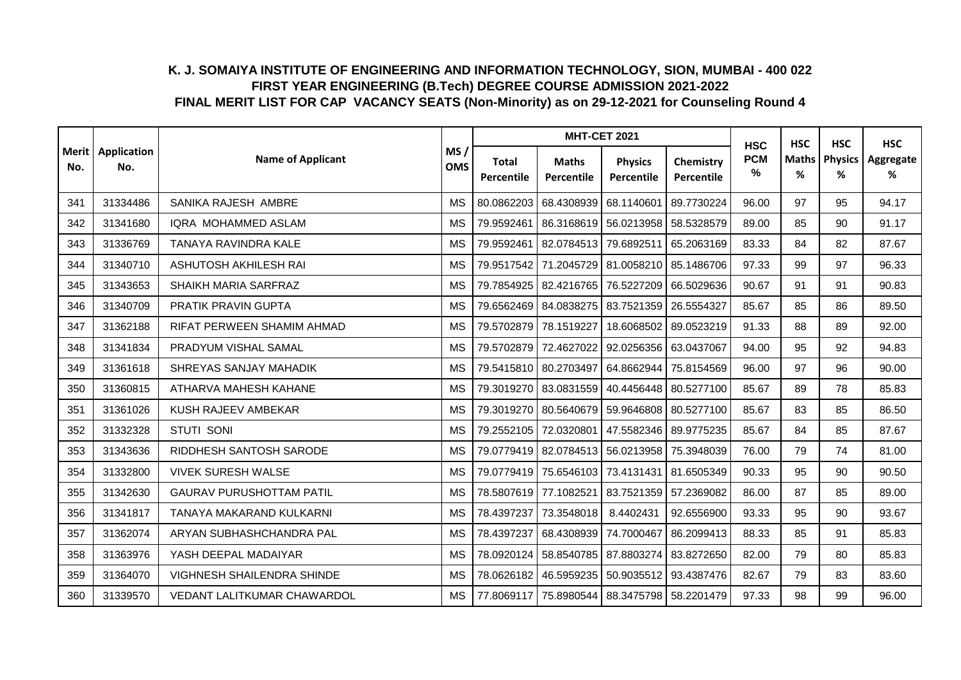|     |                            |                                   |                   |                            | <b>MHT-CET 2021</b>                               |                              |                         | <b>HSC</b>      | <b>HSC</b>        | <b>HSC</b>          | <b>HSC</b>     |
|-----|----------------------------|-----------------------------------|-------------------|----------------------------|---------------------------------------------------|------------------------------|-------------------------|-----------------|-------------------|---------------------|----------------|
| No. | Merit   Application<br>No. | <b>Name of Applicant</b>          | MS/<br><b>OMS</b> | <b>Total</b><br>Percentile | <b>Maths</b><br>Percentile                        | <b>Physics</b><br>Percentile | Chemistry<br>Percentile | <b>PCM</b><br>% | <b>Maths</b><br>% | <b>Physics</b><br>% | Aggregate<br>% |
| 341 | 31334486                   | SANIKA RAJESH AMBRE               | <b>MS</b>         | 80.0862203                 | 68.4308939                                        | 68.1140601                   | 89.7730224              | 96.00           | 97                | 95                  | 94.17          |
| 342 | 31341680                   | IQRA MOHAMMED ASLAM               | <b>MS</b>         | 79.9592461                 | 86.3168619 56.0213958                             |                              | 58.5328579              | 89.00           | 85                | 90                  | 91.17          |
| 343 | 31336769                   | TANAYA RAVINDRA KALE              | <b>MS</b>         | 79.9592461                 | 82.0784513                                        | 79.6892511                   | 65.2063169              | 83.33           | 84                | 82                  | 87.67          |
| 344 | 31340710                   | ASHUTOSH AKHILESH RAI             | <b>MS</b>         |                            | 79.9517542 71.2045729 81.0058210                  |                              | 85.1486706              | 97.33           | 99                | 97                  | 96.33          |
| 345 | 31343653                   | SHAIKH MARIA SARFRAZ              | <b>MS</b>         | 79.7854925                 | 82.4216765                                        | 76.5227209                   | 66.5029636              | 90.67           | 91                | 91                  | 90.83          |
| 346 | 31340709                   | PRATIK PRAVIN GUPTA               | <b>MS</b>         |                            | 79.6562469 84.0838275                             | 83.7521359                   | 26.5554327              | 85.67           | 85                | 86                  | 89.50          |
| 347 | 31362188                   | RIFAT PERWEEN SHAMIM AHMAD        | <b>MS</b>         | 79.5702879                 | 78.1519227                                        | 18.6068502                   | 89.0523219              | 91.33           | 88                | 89                  | 92.00          |
| 348 | 31341834                   | PRADYUM VISHAL SAMAL              | <b>MS</b>         | 79.5702879                 | 72.4627022                                        | 92.0256356                   | 63.0437067              | 94.00           | 95                | 92                  | 94.83          |
| 349 | 31361618                   | SHREYAS SANJAY MAHADIK            | <b>MS</b>         |                            | 79.5415810 80.2703497                             | 64.8662944                   | 75.8154569              | 96.00           | 97                | 96                  | 90.00          |
| 350 | 31360815                   | ATHARVA MAHESH KAHANE             | <b>MS</b>         |                            | 79.3019270 83.0831559                             | 40.4456448                   | 80.5277100              | 85.67           | 89                | 78                  | 85.83          |
| 351 | 31361026                   | KUSH RAJEEV AMBEKAR               | <b>MS</b>         |                            | 79.3019270 80.5640679 59.9646808                  |                              | 80.5277100              | 85.67           | 83                | 85                  | 86.50          |
| 352 | 31332328                   | <b>STUTI SONI</b>                 | <b>MS</b>         |                            | 79.2552105 72.0320801                             | 47.5582346                   | 89.9775235              | 85.67           | 84                | 85                  | 87.67          |
| 353 | 31343636                   | RIDDHESH SANTOSH SARODE           | <b>MS</b>         |                            | 79.0779419 82.0784513                             | 56.0213958                   | 75.3948039              | 76.00           | 79                | 74                  | 81.00          |
| 354 | 31332800                   | <b>VIVEK SURESH WALSE</b>         | <b>MS</b>         | 79.0779419                 | 75.6546103                                        | 73.4131431                   | 81.6505349              | 90.33           | 95                | 90                  | 90.50          |
| 355 | 31342630                   | <b>GAURAV PURUSHOTTAM PATIL</b>   | <b>MS</b>         |                            | 78.5807619 77.1082521                             | 83.7521359 57.2369082        |                         | 86.00           | 87                | 85                  | 89.00          |
| 356 | 31341817                   | TANAYA MAKARAND KULKARNI          | <b>MS</b>         | 78.4397237                 | 73.3548018                                        | 8.4402431                    | 92.6556900              | 93.33           | 95                | 90                  | 93.67          |
| 357 | 31362074                   | ARYAN SUBHASHCHANDRA PAL          | <b>MS</b>         | 78.4397237                 | 68.4308939                                        | 74.7000467                   | 86.2099413              | 88.33           | 85                | 91                  | 85.83          |
| 358 | 31363976                   | YASH DEEPAL MADAIYAR              | <b>MS</b>         | 78.0920124                 | 58.8540785                                        | 87.8803274                   | 83.8272650              | 82.00           | 79                | 80                  | 85.83          |
| 359 | 31364070                   | <b>VIGHNESH SHAILENDRA SHINDE</b> | <b>MS</b>         | 78.0626182                 | 46.5959235                                        | 50.9035512 93.4387476        |                         | 82.67           | 79                | 83                  | 83.60          |
| 360 | 31339570                   | VEDANT LALITKUMAR CHAWARDOL       | <b>MS</b>         |                            | 77.8069117   75.8980544   88.3475798   58.2201479 |                              |                         | 97.33           | 98                | 99                  | 96.00          |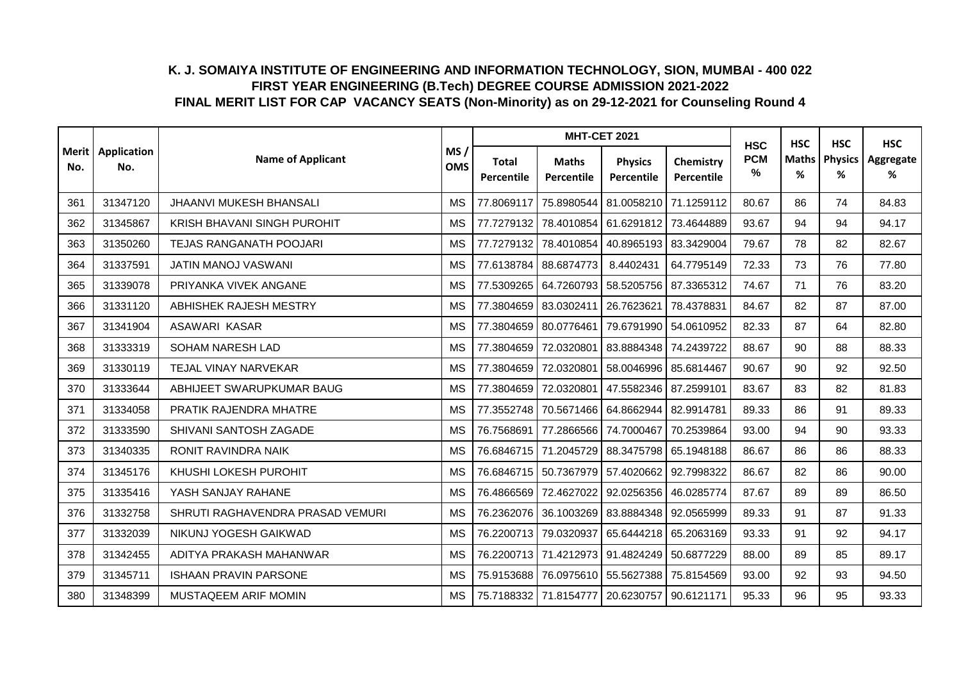|     |                            |                                  |                   |                                   | <b>MHT-CET 2021</b>              |                              |                         | <b>HSC</b>      | <b>HSC</b>        | <b>HSC</b>          | <b>HSC</b>     |
|-----|----------------------------|----------------------------------|-------------------|-----------------------------------|----------------------------------|------------------------------|-------------------------|-----------------|-------------------|---------------------|----------------|
| No. | Merit   Application<br>No. | <b>Name of Applicant</b>         | MS/<br><b>OMS</b> | <b>Total</b><br><b>Percentile</b> | <b>Maths</b><br>Percentile       | <b>Physics</b><br>Percentile | Chemistry<br>Percentile | <b>PCM</b><br>% | <b>Maths</b><br>% | <b>Physics</b><br>% | Aggregate<br>% |
| 361 | 31347120                   | JHAANVI MUKESH BHANSALI          | <b>MS</b>         | 77.8069117                        | 75.8980544 81.0058210            |                              | 71.1259112              | 80.67           | 86                | 74                  | 84.83          |
| 362 | 31345867                   | KRISH BHAVANI SINGH PUROHIT      | <b>MS</b>         | 77.7279132                        |                                  | 78.4010854 61.6291812        | 73.4644889              | 93.67           | 94                | 94                  | 94.17          |
| 363 | 31350260                   | <b>TEJAS RANGANATH POOJARI</b>   | <b>MS</b>         | 77.7279132                        | 78.4010854                       | 40.8965193                   | 83.3429004              | 79.67           | 78                | 82                  | 82.67          |
| 364 | 31337591                   | JATIN MANOJ VASWANI              | <b>MS</b>         |                                   | 77.6138784 88.6874773            | 8.4402431                    | 64.7795149              | 72.33           | 73                | 76                  | 77.80          |
| 365 | 31339078                   | PRIYANKA VIVEK ANGANE            | <b>MS</b>         | 77.5309265                        | 64.7260793                       | 58.5205756                   | 87.3365312              | 74.67           | 71                | 76                  | 83.20          |
| 366 | 31331120                   | ABHISHEK RAJESH MESTRY           | <b>MS</b>         | 77.3804659                        | 83.0302411                       | 26.7623621                   | 78.4378831              | 84.67           | 82                | 87                  | 87.00          |
| 367 | 31341904                   | ASAWARI KASAR                    | <b>MS</b>         |                                   | 77.3804659 80.0776461            | 79.6791990                   | 54.0610952              | 82.33           | 87                | 64                  | 82.80          |
| 368 | 31333319                   | SOHAM NARESH LAD                 | <b>MS</b>         | 77.3804659                        | 72.0320801                       | 83.8884348                   | 74.2439722              | 88.67           | 90                | 88                  | 88.33          |
| 369 | 31330119                   | TEJAL VINAY NARVEKAR             | <b>MS</b>         | 77.3804659                        | 72.0320801                       | 58.0046996                   | 85.6814467              | 90.67           | 90                | 92                  | 92.50          |
| 370 | 31333644                   | ABHIJEET SWARUPKUMAR BAUG        | <b>MS</b>         | 77.3804659                        | 72.0320801                       | 47.5582346                   | 87.2599101              | 83.67           | 83                | 82                  | 81.83          |
| 371 | 31334058                   | PRATIK RAJENDRA MHATRE           | <b>MS</b>         | 77.3552748                        |                                  | 70.5671466 64.8662944        | 82.9914781              | 89.33           | 86                | 91                  | 89.33          |
| 372 | 31333590                   | SHIVANI SANTOSH ZAGADE           | <b>MS</b>         | 76.7568691                        | 77.2866566                       | 74.7000467                   | 70.2539864              | 93.00           | 94                | 90                  | 93.33          |
| 373 | 31340335                   | RONIT RAVINDRA NAIK              | <b>MS</b>         | 76.6846715                        | 71.2045729                       | 88.3475798                   | 65.1948188              | 86.67           | 86                | 86                  | 88.33          |
| 374 | 31345176                   | KHUSHI LOKESH PUROHIT            | <b>MS</b>         |                                   | 76.6846715 50.7367979            | 57.4020662                   | 92.7998322              | 86.67           | 82                | 86                  | 90.00          |
| 375 | 31335416                   | YASH SANJAY RAHANE               | <b>MS</b>         | 76.4866569                        | 72.4627022                       | 92.0256356                   | 46.0285774              | 87.67           | 89                | 89                  | 86.50          |
| 376 | 31332758                   | SHRUTI RAGHAVENDRA PRASAD VEMURI | <b>MS</b>         | 76.2362076                        | 36.1003269                       | 83.8884348                   | 92.0565999              | 89.33           | 91                | 87                  | 91.33          |
| 377 | 31332039                   | NIKUNJ YOGESH GAIKWAD            | <b>MS</b>         | 76.2200713                        | 79.0320937                       | 65.6444218                   | 65.2063169              | 93.33           | 91                | 92                  | 94.17          |
| 378 | 31342455                   | ADITYA PRAKASH MAHANWAR          | <b>MS</b>         |                                   | 76.2200713 71.4212973 91.4824249 |                              | 50.6877229              | 88.00           | 89                | 85                  | 89.17          |
| 379 | 31345711                   | <b>ISHAAN PRAVIN PARSONE</b>     | <b>MS</b>         | 75.9153688                        | 76.0975610 55.5627388            |                              | 75.8154569              | 93.00           | 92                | 93                  | 94.50          |
| 380 | 31348399                   | MUSTAQEEM ARIF MOMIN             | <b>MS</b>         |                                   | 75.7188332 71.8154777 20.6230757 |                              | 90.6121171              | 95.33           | 96                | 95                  | 93.33          |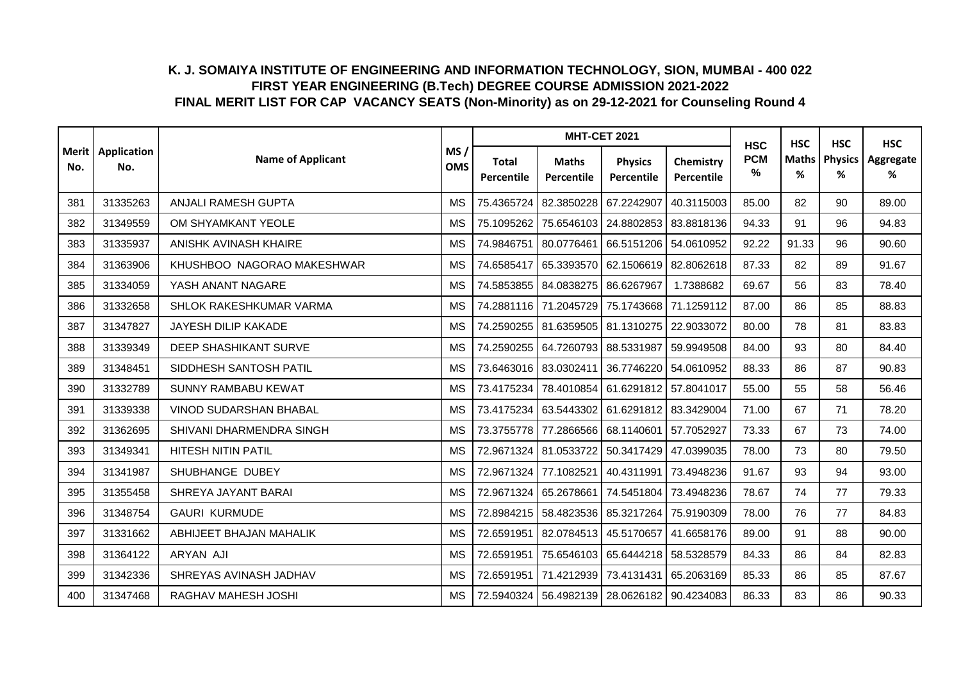|     |                            |                               |                   |                            | <b>MHT-CET 2021</b>                               |                              |                         | <b>HSC</b>      | <b>HSC</b> | <b>HSC</b>           | <b>HSC</b>     |
|-----|----------------------------|-------------------------------|-------------------|----------------------------|---------------------------------------------------|------------------------------|-------------------------|-----------------|------------|----------------------|----------------|
| No. | Merit   Application<br>No. | <b>Name of Applicant</b>      | MS/<br><b>OMS</b> | <b>Total</b><br>Percentile | <b>Maths</b><br><b>Percentile</b>                 | <b>Physics</b><br>Percentile | Chemistry<br>Percentile | <b>PCM</b><br>% | %          | Maths   Physics<br>% | Aggregate<br>% |
| 381 | 31335263                   | ANJALI RAMESH GUPTA           | <b>MS</b>         | 75.4365724                 | 82.3850228                                        | 67.2242907                   | 40.3115003              | 85.00           | 82         | 90                   | 89.00          |
| 382 | 31349559                   | OM SHYAMKANT YEOLE            | <b>MS</b>         | 75.1095262                 | 75.6546103                                        | 24.8802853                   | 83.8818136              | 94.33           | 91         | 96                   | 94.83          |
| 383 | 31335937                   | ANISHK AVINASH KHAIRE         | <b>MS</b>         | 74.9846751                 | 80.0776461                                        | 66.5151206                   | 54.0610952              | 92.22           | 91.33      | 96                   | 90.60          |
| 384 | 31363906                   | KHUSHBOO NAGORAO MAKESHWAR    | <b>MS</b>         | 74.6585417                 | 65.3393570                                        | 62.1506619                   | 82.8062618              | 87.33           | 82         | 89                   | 91.67          |
| 385 | 31334059                   | YASH ANANT NAGARE             | <b>MS</b>         | 74.5853855                 | 84.0838275                                        | 86.6267967                   | 1.7388682               | 69.67           | 56         | 83                   | 78.40          |
| 386 | 31332658                   | SHLOK RAKESHKUMAR VARMA       | <b>MS</b>         |                            | 74.2881116 71.2045729                             | 75.1743668                   | 71.1259112              | 87.00           | 86         | 85                   | 88.83          |
| 387 | 31347827                   | JAYESH DILIP KAKADE           | <b>MS</b>         |                            | 74.2590255   81.6359505   81.1310275              |                              | 22.9033072              | 80.00           | 78         | 81                   | 83.83          |
| 388 | 31339349                   | DEEP SHASHIKANT SURVE         | <b>MS</b>         | 74.2590255                 | 64.7260793                                        | 88.5331987                   | 59.9949508              | 84.00           | 93         | 80                   | 84.40          |
| 389 | 31348451                   | SIDDHESH SANTOSH PATIL        | <b>MS</b>         | 73.6463016                 | 83.0302411                                        | 36.7746220                   | 54.0610952              | 88.33           | 86         | 87                   | 90.83          |
| 390 | 31332789                   | SUNNY RAMBABU KEWAT           | <b>MS</b>         | 73.4175234                 | 78.4010854 61.6291812                             |                              | 57.8041017              | 55.00           | 55         | 58                   | 56.46          |
| 391 | 31339338                   | <b>VINOD SUDARSHAN BHABAL</b> | <b>MS</b>         | 73.4175234                 | 63.5443302                                        | 61.6291812 83.3429004        |                         | 71.00           | 67         | 71                   | 78.20          |
| 392 | 31362695                   | SHIVANI DHARMENDRA SINGH      | <b>MS</b>         |                            | 73.3755778 77.2866566                             | 68.1140601                   | 57.7052927              | 73.33           | 67         | 73                   | 74.00          |
| 393 | 31349341                   | <b>HITESH NITIN PATIL</b>     | <b>MS</b>         | 72.9671324                 | 81.0533722                                        | 50.3417429                   | 47.0399035              | 78.00           | 73         | 80                   | 79.50          |
| 394 | 31341987                   | SHUBHANGE DUBEY               | <b>MS</b>         | 72.9671324                 | 77.1082521                                        | 40.4311991                   | 73.4948236              | 91.67           | 93         | 94                   | 93.00          |
| 395 | 31355458                   | SHREYA JAYANT BARAI           | <b>MS</b>         | 72.9671324                 | 65.2678661                                        | 74.5451804                   | 73.4948236              | 78.67           | 74         | 77                   | 79.33          |
| 396 | 31348754                   | <b>GAURI KURMUDE</b>          | <b>MS</b>         | 72.8984215                 | 58.4823536                                        | 85.3217264                   | 75.9190309              | 78.00           | 76         | 77                   | 84.83          |
| 397 | 31331662                   | ABHIJEET BHAJAN MAHALIK       | <b>MS</b>         | 72.6591951                 | 82.0784513                                        | 45.5170657                   | 41.6658176              | 89.00           | 91         | 88                   | 90.00          |
| 398 | 31364122                   | ARYAN AJI                     | <b>MS</b>         | 72.6591951                 | 75.6546103                                        | 65.6444218                   | 58.5328579              | 84.33           | 86         | 84                   | 82.83          |
| 399 | 31342336                   | SHREYAS AVINASH JADHAV        | <b>MS</b>         | 72.6591951                 | 71.4212939                                        | 73.4131431                   | 65.2063169              | 85.33           | 86         | 85                   | 87.67          |
| 400 | 31347468                   | RAGHAV MAHESH JOSHI           | <b>MS</b>         |                            | 72.5940324   56.4982139   28.0626182   90.4234083 |                              |                         | 86.33           | 83         | 86                   | 90.33          |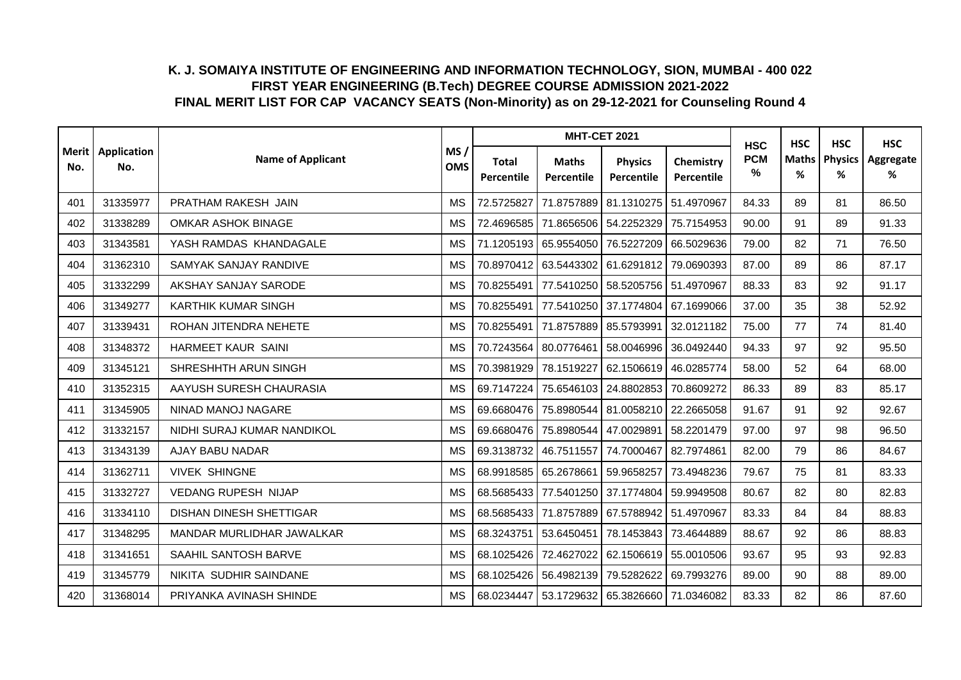|     |                            |                                |                   |                            | <b>MHT-CET 2021</b>              |                                                   |                         | <b>HSC</b>      | <b>HSC</b>        | <b>HSC</b>          | <b>HSC</b>     |
|-----|----------------------------|--------------------------------|-------------------|----------------------------|----------------------------------|---------------------------------------------------|-------------------------|-----------------|-------------------|---------------------|----------------|
| No. | Merit   Application<br>No. | <b>Name of Applicant</b>       | MS/<br><b>OMS</b> | <b>Total</b><br>Percentile | <b>Maths</b><br>Percentile       | <b>Physics</b><br>Percentile                      | Chemistry<br>Percentile | <b>PCM</b><br>% | <b>Maths</b><br>% | <b>Physics</b><br>% | Aggregate<br>% |
| 401 | 31335977                   | PRATHAM RAKESH JAIN            | <b>MS</b>         | 72.5725827                 |                                  | 71.8757889 81.1310275                             | 51.4970967              | 84.33           | 89                | 81                  | 86.50          |
| 402 | 31338289                   | <b>OMKAR ASHOK BINAGE</b>      | <b>MS</b>         | 72.4696585                 |                                  | 71.8656506 54.2252329                             | 75.7154953              | 90.00           | 91                | 89                  | 91.33          |
| 403 | 31343581                   | YASH RAMDAS KHANDAGALE         | <b>MS</b>         |                            | 71.1205193 65.9554050            | 76.5227209                                        | 66.5029636              | 79.00           | 82                | 71                  | 76.50          |
| 404 | 31362310                   | SAMYAK SANJAY RANDIVE          | <b>MS</b>         |                            | 70.8970412 63.5443302 61.6291812 |                                                   | 79.0690393              | 87.00           | 89                | 86                  | 87.17          |
| 405 | 31332299                   | AKSHAY SANJAY SARODE           | <b>MS</b>         | 70.8255491                 | 77.5410250 58.5205756            |                                                   | 51.4970967              | 88.33           | 83                | 92                  | 91.17          |
| 406 | 31349277                   | <b>KARTHIK KUMAR SINGH</b>     | <b>MS</b>         | 70.8255491                 | 77.5410250                       | 37.1774804                                        | 67.1699066              | 37.00           | 35                | 38                  | 52.92          |
| 407 | 31339431                   | ROHAN JITENDRA NEHETE          | <b>MS</b>         | 70.8255491                 | 71.8757889 85.5793991            |                                                   | 32.0121182              | 75.00           | 77                | 74                  | 81.40          |
| 408 | 31348372                   | HARMEET KAUR SAINI             | <b>MS</b>         |                            | 70.7243564 80.0776461            | 58.0046996                                        | 36.0492440              | 94.33           | 97                | 92                  | 95.50          |
| 409 | 31345121                   | SHRESHHTH ARUN SINGH           | <b>MS</b>         | 70.3981929                 | 78.1519227 62.1506619            |                                                   | 46.0285774              | 58.00           | 52                | 64                  | 68.00          |
| 410 | 31352315                   | AAYUSH SURESH CHAURASIA        | <b>MS</b>         |                            | 69.7147224 75.6546103 24.8802853 |                                                   | 70.8609272              | 86.33           | 89                | 83                  | 85.17          |
| 411 | 31345905                   | NINAD MANOJ NAGARE             | <b>MS</b>         |                            |                                  | 69.6680476 75.8980544 81.0058210 22.2665058       |                         | 91.67           | 91                | 92                  | 92.67          |
| 412 | 31332157                   | NIDHI SURAJ KUMAR NANDIKOL     | <b>MS</b>         |                            | 69.6680476 75.8980544            | 47.0029891                                        | 58.2201479              | 97.00           | 97                | 98                  | 96.50          |
| 413 | 31343139                   | AJAY BABU NADAR                | <b>MS</b>         | 69.3138732                 | 46.7511557                       | 74.7000467                                        | 82.7974861              | 82.00           | 79                | 86                  | 84.67          |
| 414 | 31362711                   | <b>VIVEK SHINGNE</b>           | <b>MS</b>         |                            | 68.9918585 65.2678661 59.9658257 |                                                   | 73.4948236              | 79.67           | 75                | 81                  | 83.33          |
| 415 | 31332727                   | <b>VEDANG RUPESH NIJAP</b>     | <b>MS</b>         |                            |                                  | 68.5685433 77.5401250 37.1774804 59.9949508       |                         | 80.67           | 82                | 80                  | 82.83          |
| 416 | 31334110                   | <b>DISHAN DINESH SHETTIGAR</b> | <b>MS</b>         |                            | 68.5685433 71.8757889            | 67.5788942                                        | 51.4970967              | 83.33           | 84                | 84                  | 88.83          |
| 417 | 31348295                   | MANDAR MURLIDHAR JAWALKAR      | <b>MS</b>         | 68.3243751                 | 53.6450451                       | 78.1453843                                        | 73.4644889              | 88.67           | 92                | 86                  | 88.83          |
| 418 | 31341651                   | SAAHIL SANTOSH BARVE           | <b>MS</b>         | 68.1025426                 | 72.4627022                       | 62.1506619                                        | 55.0010506              | 93.67           | 95                | 93                  | 92.83          |
| 419 | 31345779                   | NIKITA SUDHIR SAINDANE         | <b>MS</b>         | 68.1025426                 | 56.4982139                       | 79.5282622                                        | 69.7993276              | 89.00           | 90                | 88                  | 89.00          |
| 420 | 31368014                   | PRIYANKA AVINASH SHINDE        | <b>MS</b>         |                            |                                  | 68.0234447   53.1729632   65.3826660   71.0346082 |                         | 83.33           | 82                | 86                  | 87.60          |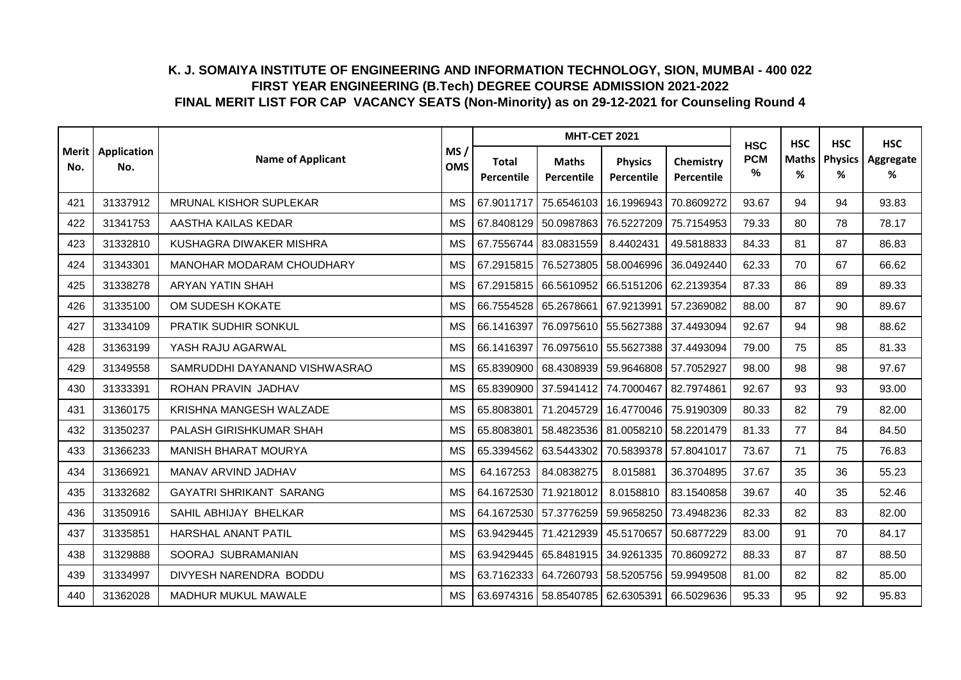|     |                            |                                |                   |                                   | <b>MHT-CET 2021</b>                  |                              |                         | <b>HSC</b>      |                   | <b>HSC</b><br><b>HSC</b> | <b>HSC</b>     |
|-----|----------------------------|--------------------------------|-------------------|-----------------------------------|--------------------------------------|------------------------------|-------------------------|-----------------|-------------------|--------------------------|----------------|
| No. | Merit   Application<br>No. | <b>Name of Applicant</b>       | MS/<br><b>OMS</b> | <b>Total</b><br><b>Percentile</b> | <b>Maths</b><br>Percentile           | <b>Physics</b><br>Percentile | Chemistry<br>Percentile | <b>PCM</b><br>% | <b>Maths</b><br>% | <b>Physics</b><br>%      | Aggregate<br>% |
| 421 | 31337912                   | <b>MRUNAL KISHOR SUPLEKAR</b>  | <b>MS</b>         | 67.9011717                        | 75.6546103                           | 16.1996943                   | 70.8609272              | 93.67           | 94                | 94                       | 93.83          |
| 422 | 31341753                   | AASTHA KAILAS KEDAR            | <b>MS</b>         | 67.8408129                        | 50.0987863                           | 76.5227209                   | 75.7154953              | 79.33           | 80                | 78                       | 78.17          |
| 423 | 31332810                   | KUSHAGRA DIWAKER MISHRA        | <b>MS</b>         |                                   | 67.7556744 83.0831559                | 8.4402431                    | 49.5818833              | 84.33           | 81                | 87                       | 86.83          |
| 424 | 31343301                   | MANOHAR MODARAM CHOUDHARY      | <b>MS</b>         |                                   | 67.2915815 76.5273805                | 58.0046996                   | 36.0492440              | 62.33           | 70                | 67                       | 66.62          |
| 425 | 31338278                   | <b>ARYAN YATIN SHAH</b>        | <b>MS</b>         | 67.2915815                        | 66.5610952                           | 66.5151206                   | 62.2139354              | 87.33           | 86                | 89                       | 89.33          |
| 426 | 31335100                   | OM SUDESH KOKATE               | <b>MS</b>         |                                   | 66.7554528 65.2678661 67.9213991     |                              | 57.2369082              | 88.00           | 87                | 90                       | 89.67          |
| 427 | 31334109                   | PRATIK SUDHIR SONKUL           | <b>MS</b>         | 66.1416397                        | 76.0975610 55.5627388                |                              | 37.4493094              | 92.67           | 94                | 98                       | 88.62          |
| 428 | 31363199                   | YASH RAJU AGARWAL              | <b>MS</b>         | 66.1416397                        | 76.0975610                           | 55.5627388                   | 37.4493094              | 79.00           | 75                | 85                       | 81.33          |
| 429 | 31349558                   | SAMRUDDHI DAYANAND VISHWASRAO  | <b>MS</b>         |                                   | 65.8390900   68.4308939   59.9646808 |                              | 57.7052927              | 98.00           | 98                | 98                       | 97.67          |
| 430 | 31333391                   | ROHAN PRAVIN JADHAV            | <b>MS</b>         |                                   | 65.8390900 37.5941412                | 74.7000467                   | 82.7974861              | 92.67           | 93                | 93                       | 93.00          |
| 431 | 31360175                   | KRISHNA MANGESH WALZADE        | <b>MS</b>         | 65.8083801                        | 71.2045729                           | 16.4770046 75.9190309        |                         | 80.33           | 82                | 79                       | 82.00          |
| 432 | 31350237                   | PALASH GIRISHKUMAR SHAH        | <b>MS</b>         | 65.8083801                        | 58.4823536 81.0058210                |                              | 58.2201479              | 81.33           | 77                | 84                       | 84.50          |
| 433 | 31366233                   | <b>MANISH BHARAT MOURYA</b>    | <b>MS</b>         | 65.3394562                        | 63.5443302                           | 70.5839378                   | 57.8041017              | 73.67           | 71                | 75                       | 76.83          |
| 434 | 31366921                   | MANAV ARVIND JADHAV            | <b>MS</b>         | 64.167253                         | 84.0838275                           | 8.015881                     | 36.3704895              | 37.67           | 35                | 36                       | 55.23          |
| 435 | 31332682                   | <b>GAYATRI SHRIKANT SARANG</b> | <b>MS</b>         | 64.1672530                        | 71.9218012                           | 8.0158810                    | 83.1540858              | 39.67           | 40                | 35                       | 52.46          |
| 436 | 31350916                   | SAHIL ABHIJAY BHELKAR          | <b>MS</b>         |                                   | 64.1672530 57.3776259                | 59.9658250                   | 73.4948236              | 82.33           | 82                | 83                       | 82.00          |
| 437 | 31335851                   | HARSHAL ANANT PATIL            | <b>MS</b>         |                                   | 63.9429445 71.4212939                | 45.5170657                   | 50.6877229              | 83.00           | 91                | 70                       | 84.17          |
| 438 | 31329888                   | SOORAJ SUBRAMANIAN             | <b>MS</b>         | 63.9429445                        | 65.8481915                           | 34.9261335                   | 70.8609272              | 88.33           | 87                | 87                       | 88.50          |
| 439 | 31334997                   | DIVYESH NARENDRA BODDU         | <b>MS</b>         | 63.7162333                        | 64.7260793                           | 58.5205756                   | 59.9949508              | 81.00           | 82                | 82                       | 85.00          |
| 440 | 31362028                   | MADHUR MUKUL MAWALE            | <b>MS</b>         |                                   | 63.6974316 58.8540785 62.6305391     |                              | 66.5029636              | 95.33           | 95                | 92                       | 95.83          |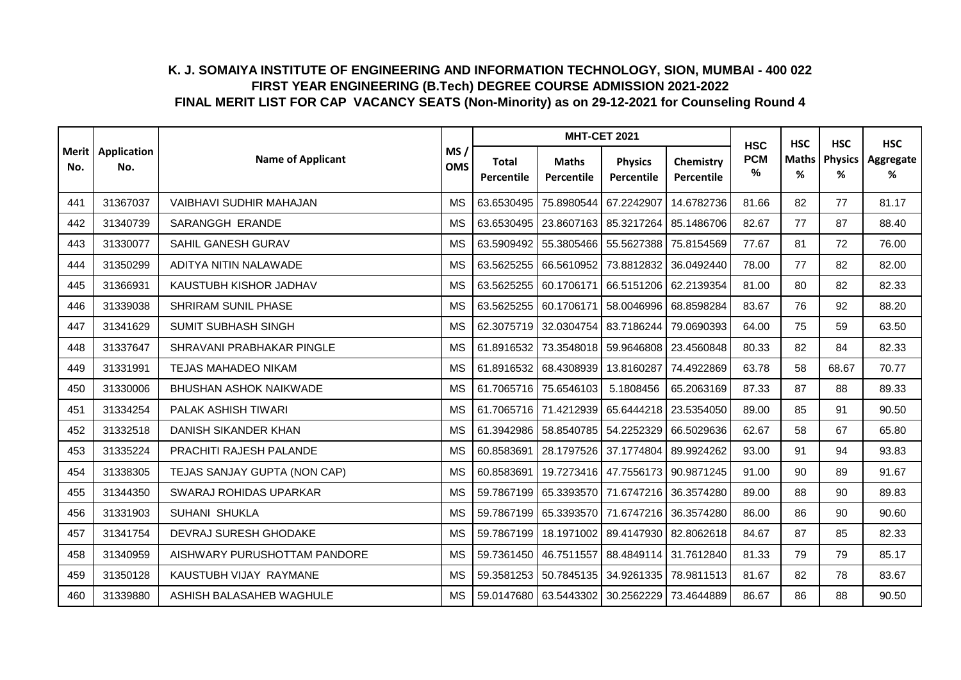|     |                            |                               |                   |                            | <b>MHT-CET 2021</b>                         |                              |                         | <b>HSC</b>      | <b>HSC</b>        | <b>HSC</b>          | <b>HSC</b>     |
|-----|----------------------------|-------------------------------|-------------------|----------------------------|---------------------------------------------|------------------------------|-------------------------|-----------------|-------------------|---------------------|----------------|
| No. | Merit   Application<br>No. | <b>Name of Applicant</b>      | MS/<br><b>OMS</b> | <b>Total</b><br>Percentile | <b>Maths</b><br>Percentile                  | <b>Physics</b><br>Percentile | Chemistry<br>Percentile | <b>PCM</b><br>% | <b>Maths</b><br>% | <b>Physics</b><br>% | Aggregate<br>% |
| 441 | 31367037                   | VAIBHAVI SUDHIR MAHAJAN       | <b>MS</b>         | 63.6530495                 | 75.8980544 67.2242907                       |                              | 14.6782736              | 81.66           | 82                | 77                  | 81.17          |
| 442 | 31340739                   | <b>SARANGGH ERANDE</b>        | <b>MS</b>         |                            | 63.6530495   23.8607163   85.3217264        |                              | 85.1486706              | 82.67           | 77                | 87                  | 88.40          |
| 443 | 31330077                   | SAHIL GANESH GURAV            | <b>MS</b>         | 63.5909492                 | 55.3805466 55.5627388                       |                              | 75.8154569              | 77.67           | 81                | 72                  | 76.00          |
| 444 | 31350299                   | ADITYA NITIN NALAWADE         | <b>MS</b>         | 63.5625255                 | 66.5610952                                  | 73.8812832                   | 36.0492440              | 78.00           | 77                | 82                  | 82.00          |
| 445 | 31366931                   | KAUSTUBH KISHOR JADHAV        | <b>MS</b>         | 63.5625255                 | 60.1706171                                  | 66.5151206                   | 62.2139354              | 81.00           | 80                | 82                  | 82.33          |
| 446 | 31339038                   | SHRIRAM SUNIL PHASE           | <b>MS</b>         |                            | 63.5625255 60.1706171                       | 58.0046996                   | 68.8598284              | 83.67           | 76                | 92                  | 88.20          |
| 447 | 31341629                   | <b>SUMIT SUBHASH SINGH</b>    | <b>MS</b>         |                            | 62.3075719 32.0304754 83.7186244            |                              | 79.0690393              | 64.00           | 75                | 59                  | 63.50          |
| 448 | 31337647                   | SHRAVANI PRABHAKAR PINGLE     | <b>MS</b>         |                            | 61.8916532 73.3548018                       | 59.9646808                   | 23.4560848              | 80.33           | 82                | 84                  | 82.33          |
| 449 | 31331991                   | <b>TEJAS MAHADEO NIKAM</b>    | <b>MS</b>         |                            | 61.8916532 68.4308939                       | 13.8160287                   | 74.4922869              | 63.78           | 58                | 68.67               | 70.77          |
| 450 | 31330006                   | <b>BHUSHAN ASHOK NAIKWADE</b> | <b>MS</b>         |                            | 61.7065716 75.6546103                       | 5.1808456                    | 65.2063169              | 87.33           | 87                | 88                  | 89.33          |
| 451 | 31334254                   | PALAK ASHISH TIWARI           | <b>MS</b>         |                            | 61.7065716 71.4212939 65.6444218            |                              | 23.5354050              | 89.00           | 85                | 91                  | 90.50          |
| 452 | 31332518                   | DANISH SIKANDER KHAN          | <b>MS</b>         |                            | 61.3942986 58.8540785 54.2252329            |                              | 66.5029636              | 62.67           | 58                | 67                  | 65.80          |
| 453 | 31335224                   | PRACHITI RAJESH PALANDE       | <b>MS</b>         | 60.8583691                 | 28.1797526 37.1774804                       |                              | 89.9924262              | 93.00           | 91                | 94                  | 93.83          |
| 454 | 31338305                   | TEJAS SANJAY GUPTA (NON CAP)  | <b>MS</b>         | 60.8583691                 | 19.7273416 47.7556173                       |                              | 90.9871245              | 91.00           | 90                | 89                  | 91.67          |
| 455 | 31344350                   | SWARAJ ROHIDAS UPARKAR        | <b>MS</b>         |                            | 59.7867199 65.3393570 71.6747216 36.3574280 |                              |                         | 89.00           | 88                | 90                  | 89.83          |
| 456 | 31331903                   | SUHANI SHUKLA                 | <b>MS</b>         |                            | 59.7867199 65.3393570                       | 71.6747216                   | 36.3574280              | 86.00           | 86                | 90                  | 90.60          |
| 457 | 31341754                   | DEVRAJ SURESH GHODAKE         | <b>MS</b>         |                            | 59.7867199 18.1971002 89.4147930            |                              | 82.8062618              | 84.67           | 87                | 85                  | 82.33          |
| 458 | 31340959                   | AISHWARY PURUSHOTTAM PANDORE  | <b>MS</b>         |                            | 59.7361450 46.7511557                       | 88.4849114                   | 31.7612840              | 81.33           | 79                | 79                  | 85.17          |
| 459 | 31350128                   | KAUSTUBH VIJAY RAYMANE        | <b>MS</b>         |                            | 59.3581253 50.7845135                       | 34.9261335                   | 78.9811513              | 81.67           | 82                | 78                  | 83.67          |
| 460 | 31339880                   | ASHISH BALASAHEB WAGHULE      | <b>MS</b>         |                            | 59.0147680 63.5443302 30.2562229            |                              | 73.4644889              | 86.67           | 86                | 88                  | 90.50          |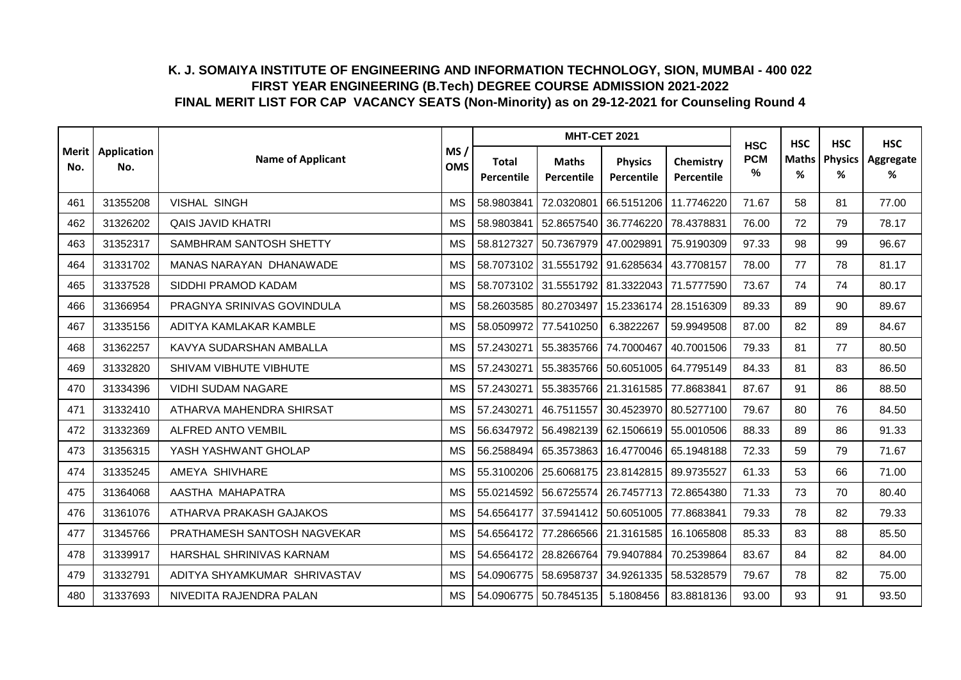|     |                            |                                |                   |                            | <b>MHT-CET 2021</b>                         |                              |                         | <b>HSC</b>      | <b>HSC</b>        | <b>HSC</b>          | <b>HSC</b>     |
|-----|----------------------------|--------------------------------|-------------------|----------------------------|---------------------------------------------|------------------------------|-------------------------|-----------------|-------------------|---------------------|----------------|
| No. | Merit   Application<br>No. | <b>Name of Applicant</b>       | MS/<br><b>OMS</b> | <b>Total</b><br>Percentile | <b>Maths</b><br>Percentile                  | <b>Physics</b><br>Percentile | Chemistry<br>Percentile | <b>PCM</b><br>% | <b>Maths</b><br>% | <b>Physics</b><br>% | Aggregate<br>% |
| 461 | 31355208                   | <b>VISHAL SINGH</b>            | <b>MS</b>         | 58.9803841                 | 72.0320801                                  | 66.5151206                   | 11.7746220              | 71.67           | 58                | 81                  | 77.00          |
| 462 | 31326202                   | <b>QAIS JAVID KHATRI</b>       | <b>MS</b>         | 58.9803841                 | 52.8657540                                  | 36.7746220                   | 78.4378831              | 76.00           | 72                | 79                  | 78.17          |
| 463 | 31352317                   | SAMBHRAM SANTOSH SHETTY        | <b>MS</b>         | 58.8127327                 | 50.7367979                                  | 47.0029891                   | 75.9190309              | 97.33           | 98                | 99                  | 96.67          |
| 464 | 31331702                   | <b>MANAS NARAYAN DHANAWADE</b> | <b>MS</b>         |                            | 58.7073102 31.5551792 91.6285634            |                              | 43.7708157              | 78.00           | 77                | 78                  | 81.17          |
| 465 | 31337528                   | SIDDHI PRAMOD KADAM            | <b>MS</b>         | 58.7073102                 | 31.5551792 81.3322043                       |                              | 71.5777590              | 73.67           | 74                | 74                  | 80.17          |
| 466 | 31366954                   | PRAGNYA SRINIVAS GOVINDULA     | <b>MS</b>         |                            | 58.2603585 80.2703497                       | 15.2336174                   | 28.1516309              | 89.33           | 89                | 90                  | 89.67          |
| 467 | 31335156                   | ADITYA KAMLAKAR KAMBLE         | <b>MS</b>         | 58.0509972                 | 77.5410250                                  | 6.3822267                    | 59.9949508              | 87.00           | 82                | 89                  | 84.67          |
| 468 | 31362257                   | KAVYA SUDARSHAN AMBALLA        | <b>MS</b>         | 57.2430271                 | 55.3835766                                  | 74.7000467                   | 40.7001506              | 79.33           | 81                | 77                  | 80.50          |
| 469 | 31332820                   | SHIVAM VIBHUTE VIBHUTE         | <b>MS</b>         | 57.2430271                 | 55.3835766 50.6051005                       |                              | 64.7795149              | 84.33           | 81                | 83                  | 86.50          |
| 470 | 31334396                   | <b>VIDHI SUDAM NAGARE</b>      | <b>MS</b>         | 57.2430271                 | 55.3835766 21.3161585                       |                              | 77.8683841              | 87.67           | 91                | 86                  | 88.50          |
| 471 | 31332410                   | ATHARVA MAHENDRA SHIRSAT       | <b>MS</b>         | 57.2430271                 | 46.7511557                                  | 30.4523970                   | 80.5277100              | 79.67           | 80                | 76                  | 84.50          |
| 472 | 31332369                   | <b>ALFRED ANTO VEMBIL</b>      | <b>MS</b>         |                            | 56.6347972 56.4982139 62.1506619            |                              | 55.0010506              | 88.33           | 89                | 86                  | 91.33          |
| 473 | 31356315                   | YASH YASHWANT GHOLAP           | <b>MS</b>         | 56.2588494                 | 65.3573863                                  | 16.4770046                   | 65.1948188              | 72.33           | 59                | 79                  | 71.67          |
| 474 | 31335245                   | AMEYA SHIVHARE                 | <b>MS</b>         |                            | 55.3100206   25.6068175                     | 23.8142815                   | 89.9735527              | 61.33           | 53                | 66                  | 71.00          |
| 475 | 31364068                   | AASTHA MAHAPATRA               | <b>MS</b>         |                            | 55.0214592 56.6725574 26.7457713 72.8654380 |                              |                         | 71.33           | 73                | 70                  | 80.40          |
| 476 | 31361076                   | ATHARVA PRAKASH GAJAKOS        | <b>MS</b>         | 54.6564177                 | 37.5941412                                  | 50.6051005                   | 77.8683841              | 79.33           | 78                | 82                  | 79.33          |
| 477 | 31345766                   | PRATHAMESH SANTOSH NAGVEKAR    | <b>MS</b>         |                            | 54.6564172 77.2866566                       | 21.3161585                   | 16.1065808              | 85.33           | 83                | 88                  | 85.50          |
| 478 | 31339917                   | HARSHAL SHRINIVAS KARNAM       | <b>MS</b>         | 54.6564172                 | 28.8266764                                  | 79.9407884                   | 70.2539864              | 83.67           | 84                | 82                  | 84.00          |
| 479 | 31332791                   | ADITYA SHYAMKUMAR SHRIVASTAV   | <b>MS</b>         | 54.0906775                 | 58.6958737                                  | 34.9261335                   | 58.5328579              | 79.67           | 78                | 82                  | 75.00          |
| 480 | 31337693                   | NIVEDITA RAJENDRA PALAN        | <b>MS</b>         |                            | 54.0906775 50.7845135                       | 5.1808456                    | 83.8818136              | 93.00           | 93                | 91                  | 93.50          |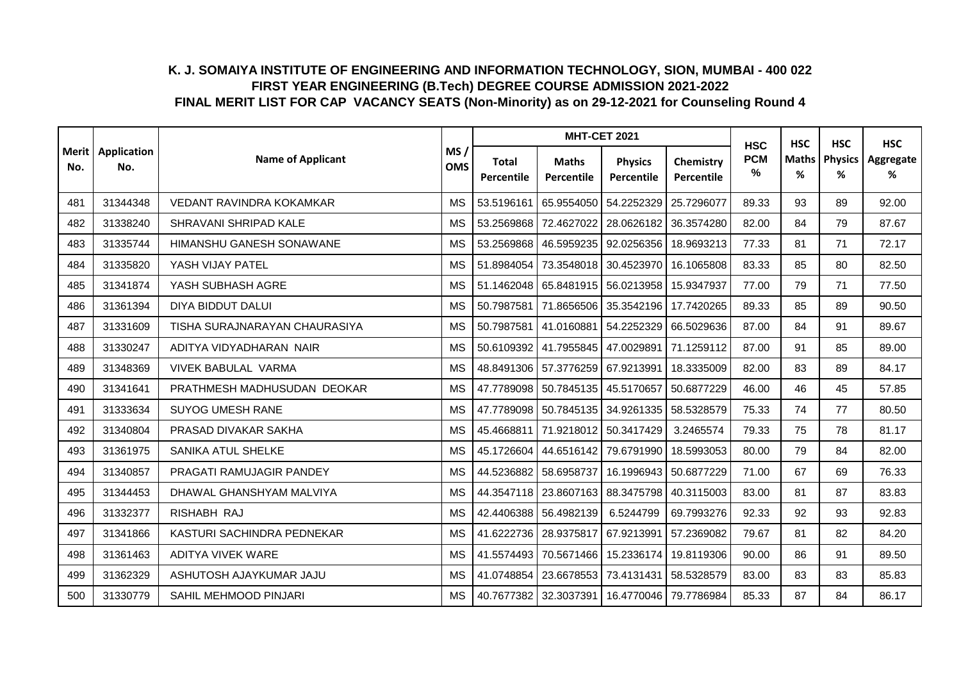|     |                            |                               |                   |                                   | <b>MHT-CET 2021</b>                           |                              |                         | <b>HSC</b>      | <b>HSC</b>        | <b>HSC</b>          | <b>HSC</b>     |
|-----|----------------------------|-------------------------------|-------------------|-----------------------------------|-----------------------------------------------|------------------------------|-------------------------|-----------------|-------------------|---------------------|----------------|
| No. | Merit   Application<br>No. | <b>Name of Applicant</b>      | MS/<br><b>OMS</b> | <b>Total</b><br><b>Percentile</b> | <b>Maths</b><br>Percentile                    | <b>Physics</b><br>Percentile | Chemistry<br>Percentile | <b>PCM</b><br>% | <b>Maths</b><br>% | <b>Physics</b><br>% | Aggregate<br>% |
| 481 | 31344348                   | VEDANT RAVINDRA KOKAMKAR      | <b>MS</b>         | 53.5196161                        | 65.9554050 54.2252329                         |                              | 25.7296077              | 89.33           | 93                | 89                  | 92.00          |
| 482 | 31338240                   | SHRAVANI SHRIPAD KALE         | <b>MS</b>         | 53.2569868                        | 72.4627022                                    | 28.0626182                   | 36.3574280              | 82.00           | 84                | 79                  | 87.67          |
| 483 | 31335744                   | HIMANSHU GANESH SONAWANE      | <b>MS</b>         | 53.2569868                        | 46.5959235                                    | 92.0256356                   | 18.9693213              | 77.33           | 81                | 71                  | 72.17          |
| 484 | 31335820                   | YASH VIJAY PATEL              | <b>MS</b>         |                                   | 51.8984054 73.3548018                         | 30.4523970                   | 16.1065808              | 83.33           | 85                | 80                  | 82.50          |
| 485 | 31341874                   | YASH SUBHASH AGRE             | <b>MS</b>         | 51.1462048                        | 65.8481915                                    | 56.0213958                   | 15.9347937              | 77.00           | 79                | 71                  | 77.50          |
| 486 | 31361394                   | DIYA BIDDUT DALUI             | <b>MS</b>         | 50.7987581                        | 71.8656506                                    | 35.3542196                   | 17.7420265              | 89.33           | 85                | 89                  | 90.50          |
| 487 | 31331609                   | TISHA SURAJNARAYAN CHAURASIYA | <b>MS</b>         | 50.7987581                        | 41.0160881 54.2252329                         |                              | 66.5029636              | 87.00           | 84                | 91                  | 89.67          |
| 488 | 31330247                   | ADITYA VIDYADHARAN NAIR       | <b>MS</b>         | 50.6109392                        | 41.7955845                                    | 47.0029891                   | 71.1259112              | 87.00           | 91                | 85                  | 89.00          |
| 489 | 31348369                   | <b>VIVEK BABULAL VARMA</b>    | <b>MS</b>         |                                   | 48.8491306 57.3776259 67.9213991              |                              | 18.3335009              | 82.00           | 83                | 89                  | 84.17          |
| 490 | 31341641                   | PRATHMESH MADHUSUDAN DEOKAR   | <b>MS</b>         |                                   | 47.7789098 50.7845135                         | 45.5170657                   | 50.6877229              | 46.00           | 46                | 45                  | 57.85          |
| 491 | 31333634                   | <b>SUYOG UMESH RANE</b>       | <b>MS</b>         |                                   | 47.7789098 50.7845135                         | 34.9261335                   | 58.5328579              | 75.33           | 74                | 77                  | 80.50          |
| 492 | 31340804                   | PRASAD DIVAKAR SAKHA          | <b>MS</b>         | 45.4668811                        | 71.9218012 50.3417429                         |                              | 3.2465574               | 79.33           | 75                | 78                  | 81.17          |
| 493 | 31361975                   | <b>SANIKA ATUL SHELKE</b>     | <b>MS</b>         | 45.1726604                        | 44.6516142                                    | 79.6791990                   | 18.5993053              | 80.00           | 79                | 84                  | 82.00          |
| 494 | 31340857                   | PRAGATI RAMUJAGIR PANDEY      | <b>MS</b>         | 44.5236882                        | 58.6958737                                    | 16.1996943                   | 50.6877229              | 71.00           | 67                | 69                  | 76.33          |
| 495 | 31344453                   | DHAWAL GHANSHYAM MALVIYA      | <b>MS</b>         |                                   | 44.3547118 23.8607163                         | 88.3475798                   | 40.3115003              | 83.00           | 81                | 87                  | 83.83          |
| 496 | 31332377                   | RISHABH RAJ                   | <b>MS</b>         |                                   | 42.4406388 56.4982139                         | 6.5244799                    | 69.7993276              | 92.33           | 92                | 93                  | 92.83          |
| 497 | 31341866                   | KASTURI SACHINDRA PEDNEKAR    | <b>MS</b>         |                                   | 41.6222736 28.9375817                         | 67.9213991                   | 57.2369082              | 79.67           | 81                | 82                  | 84.20          |
| 498 | 31361463                   | <b>ADITYA VIVEK WARE</b>      | <b>MS</b>         | 41.5574493                        | 70.5671466                                    | 15.2336174                   | 19.8119306              | 90.00           | 86                | 91                  | 89.50          |
| 499 | 31362329                   | ASHUTOSH AJAYKUMAR JAJU       | <b>MS</b>         |                                   | 41.0748854 23.6678553                         | 73.4131431                   | 58.5328579              | 83.00           | 83                | 83                  | 85.83          |
| 500 | 31330779                   | SAHIL MEHMOOD PINJARI         | <b>MS</b>         |                                   | 40.7677382 32.3037391   16.4770046 79.7786984 |                              |                         | 85.33           | 87                | 84                  | 86.17          |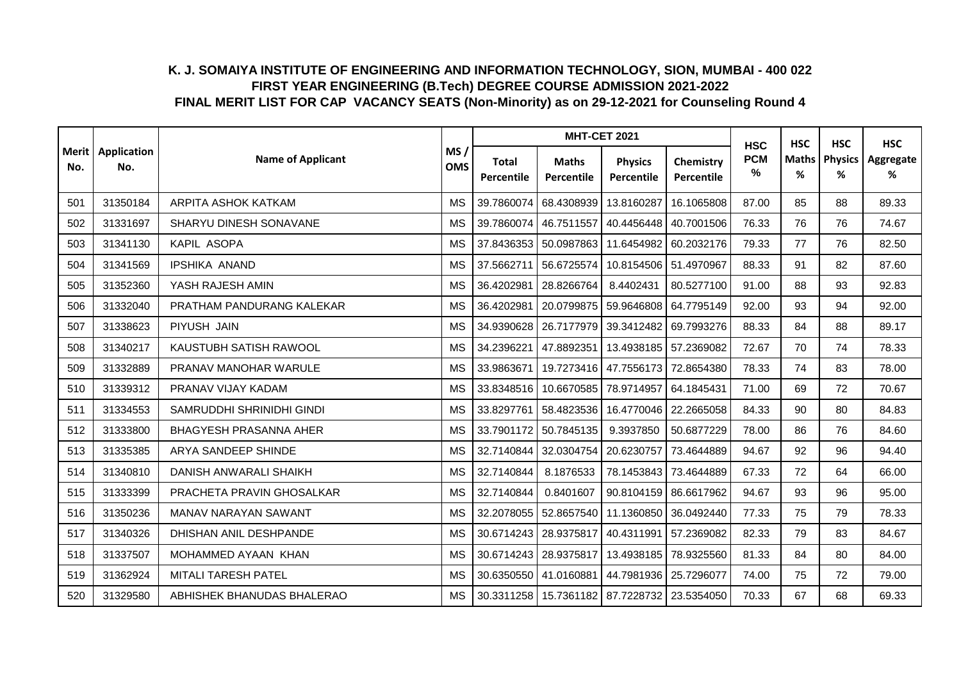|     | Merit   Application<br>No. |                               |                   |                                   | <b>MHT-CET 2021</b>              |                              |                         | <b>HSC</b>      | <b>HSC</b>        | <b>HSC</b>          | <b>HSC</b>     |
|-----|----------------------------|-------------------------------|-------------------|-----------------------------------|----------------------------------|------------------------------|-------------------------|-----------------|-------------------|---------------------|----------------|
| No. |                            | <b>Name of Applicant</b>      | MS/<br><b>OMS</b> | <b>Total</b><br><b>Percentile</b> | <b>Maths</b><br>Percentile       | <b>Physics</b><br>Percentile | Chemistry<br>Percentile | <b>PCM</b><br>% | <b>Maths</b><br>% | <b>Physics</b><br>% | Aggregate<br>% |
| 501 | 31350184                   | ARPITA ASHOK KATKAM           | <b>MS</b>         | 39.7860074                        | 68.4308939                       | 13.8160287                   | 16.1065808              | 87.00           | 85                | 88                  | 89.33          |
| 502 | 31331697                   | SHARYU DINESH SONAVANE        | <b>MS</b>         | 39.7860074                        | 46.7511557                       | 40.4456448                   | 40.7001506              | 76.33           | 76                | 76                  | 74.67          |
| 503 | 31341130                   | KAPIL ASOPA                   | <b>MS</b>         | 37.8436353                        | 50.0987863                       | 11.6454982                   | 60.2032176              | 79.33           | 77                | 76                  | 82.50          |
| 504 | 31341569                   | <b>IPSHIKA ANAND</b>          | <b>MS</b>         | 37.5662711                        | 56.6725574                       | 10.8154506                   | 51.4970967              | 88.33           | 91                | 82                  | 87.60          |
| 505 | 31352360                   | YASH RAJESH AMIN              | <b>MS</b>         | 36.4202981                        | 28.8266764                       | 8.4402431                    | 80.5277100              | 91.00           | 88                | 93                  | 92.83          |
| 506 | 31332040                   | PRATHAM PANDURANG KALEKAR     | <b>MS</b>         | 36.4202981                        | 20.0799875                       | 59.9646808                   | 64.7795149              | 92.00           | 93                | 94                  | 92.00          |
| 507 | 31338623                   | PIYUSH JAIN                   | <b>MS</b>         |                                   | 34.9390628 26.7177979            | 39.3412482                   | 69.7993276              | 88.33           | 84                | 88                  | 89.17          |
| 508 | 31340217                   | KAUSTUBH SATISH RAWOOL        | <b>MS</b>         | 34.2396221                        | 47.8892351                       | 13.4938185                   | 57.2369082              | 72.67           | 70                | 74                  | 78.33          |
| 509 | 31332889                   | PRANAV MANOHAR WARULE         | <b>MS</b>         | 33.9863671                        | 19.7273416                       | 47.7556173                   | 72.8654380              | 78.33           | 74                | 83                  | 78.00          |
| 510 | 31339312                   | PRANAV VIJAY KADAM            | <b>MS</b>         |                                   | 33.8348516 10.6670585            | 78.9714957                   | 64.1845431              | 71.00           | 69                | 72                  | 70.67          |
| 511 | 31334553                   | SAMRUDDHI SHRINIDHI GINDI     | <b>MS</b>         | 33.8297761                        | 58.4823536                       | 16.4770046                   | 22.2665058              | 84.33           | 90                | 80                  | 84.83          |
| 512 | 31333800                   | <b>BHAGYESH PRASANNA AHER</b> | <b>MS</b>         |                                   | 33.7901172 50.7845135            | 9.3937850                    | 50.6877229              | 78.00           | 86                | 76                  | 84.60          |
| 513 | 31335385                   | ARYA SANDEEP SHINDE           | <b>MS</b>         | 32.7140844                        | 32.0304754                       | 20.6230757                   | 73.4644889              | 94.67           | 92                | 96                  | 94.40          |
| 514 | 31340810                   | DANISH ANWARALI SHAIKH        | <b>MS</b>         | 32.7140844                        | 8.1876533                        | 78.1453843                   | 73.4644889              | 67.33           | 72                | 64                  | 66.00          |
| 515 | 31333399                   | PRACHETA PRAVIN GHOSALKAR     | <b>MS</b>         | 32.7140844                        | 0.8401607                        | 90.8104159                   | 86.6617962              | 94.67           | 93                | 96                  | 95.00          |
| 516 | 31350236                   | MANAV NARAYAN SAWANT          | <b>MS</b>         | 32.2078055                        | 52.8657540                       | 11.1360850                   | 36.0492440              | 77.33           | 75                | 79                  | 78.33          |
| 517 | 31340326                   | DHISHAN ANIL DESHPANDE        | <b>MS</b>         |                                   | 30.6714243 28.9375817            | 40.4311991                   | 57.2369082              | 82.33           | 79                | 83                  | 84.67          |
| 518 | 31337507                   | MOHAMMED AYAAN KHAN           | <b>MS</b>         |                                   | 30.6714243 28.9375817            | 13.4938185                   | 78.9325560              | 81.33           | 84                | 80                  | 84.00          |
| 519 | 31362924                   | MITALI TARESH PATEL           | <b>MS</b>         |                                   | 30.6350550 41.0160881            | 44.7981936                   | 25.7296077              | 74.00           | 75                | 72                  | 79.00          |
| 520 | 31329580                   | ABHISHEK BHANUDAS BHALERAO    | <b>MS</b>         |                                   | 30.3311258 15.7361182 87.7228732 |                              | 23.5354050              | 70.33           | 67                | 68                  | 69.33          |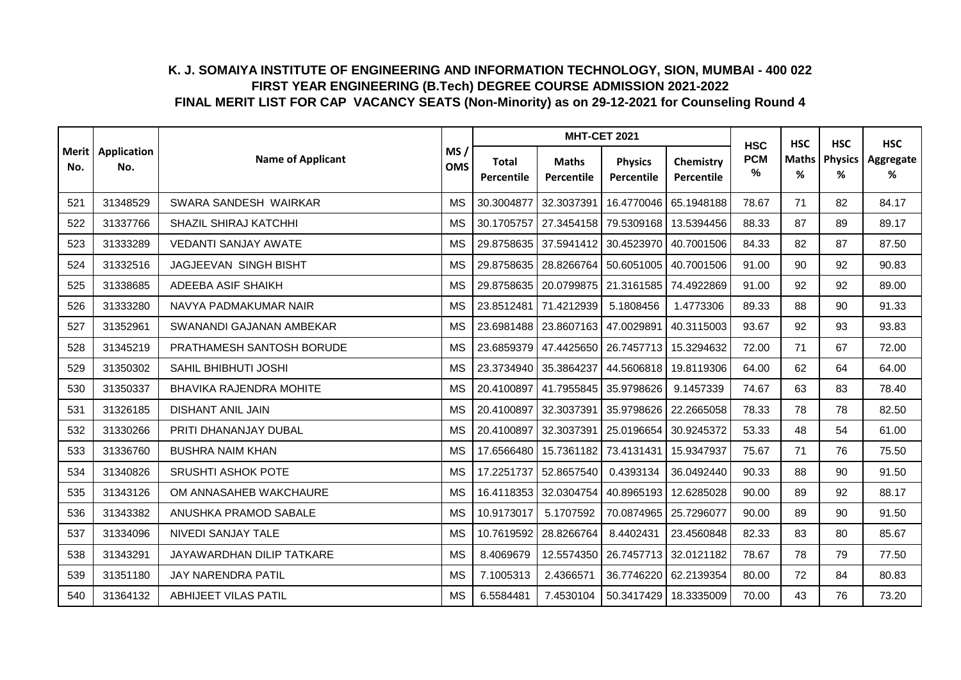|     |                            |                                  |                   |                            | <b>MHT-CET 2021</b>        |                              |                         | <b>HSC</b>      | <b>HSC</b>        | <b>HSC</b>          | <b>HSC</b>     |
|-----|----------------------------|----------------------------------|-------------------|----------------------------|----------------------------|------------------------------|-------------------------|-----------------|-------------------|---------------------|----------------|
| No. | Merit   Application<br>No. | <b>Name of Applicant</b>         | MS/<br><b>OMS</b> | <b>Total</b><br>Percentile | <b>Maths</b><br>Percentile | <b>Physics</b><br>Percentile | Chemistry<br>Percentile | <b>PCM</b><br>% | <b>Maths</b><br>% | <b>Physics</b><br>% | Aggregate<br>% |
| 521 | 31348529                   | SWARA SANDESH WAIRKAR            | <b>MS</b>         | 30.3004877                 | 32.3037391                 | 16.4770046                   | 65.1948188              | 78.67           | 71                | 82                  | 84.17          |
| 522 | 31337766                   | <b>SHAZIL SHIRAJ KATCHHI</b>     | <b>MS</b>         | 30.1705757                 | 27.3454158                 | 79.5309168                   | 13.5394456              | 88.33           | 87                | 89                  | 89.17          |
| 523 | 31333289                   | <b>VEDANTI SANJAY AWATE</b>      | <b>MS</b>         |                            | 29.8758635 37.5941412      | 30.4523970                   | 40.7001506              | 84.33           | 82                | 87                  | 87.50          |
| 524 | 31332516                   | JAGJEEVAN SINGH BISHT            | <b>MS</b>         | 29.8758635                 | 28.8266764 50.6051005      |                              | 40.7001506              | 91.00           | 90                | 92                  | 90.83          |
| 525 | 31338685                   | ADEEBA ASIF SHAIKH               | <b>MS</b>         | 29.8758635                 | 20.0799875                 | 21.3161585                   | 74.4922869              | 91.00           | 92                | 92                  | 89.00          |
| 526 | 31333280                   | NAVYA PADMAKUMAR NAIR            | <b>MS</b>         | 23.8512481                 | 71.4212939                 | 5.1808456                    | 1.4773306               | 89.33           | 88                | 90                  | 91.33          |
| 527 | 31352961                   | SWANANDI GAJANAN AMBEKAR         | <b>MS</b>         |                            | 23.6981488   23.8607163    | 47.0029891                   | 40.3115003              | 93.67           | 92                | 93                  | 93.83          |
| 528 | 31345219                   | PRATHAMESH SANTOSH BORUDE        | <b>MS</b>         | 23.6859379                 | 47.4425650                 | 26.7457713                   | 15.3294632              | 72.00           | 71                | 67                  | 72.00          |
| 529 | 31350302                   | SAHIL BHIBHUTI JOSHI             | <b>MS</b>         |                            | 23.3734940 35.3864237      | 44.5606818                   | 19.8119306              | 64.00           | 62                | 64                  | 64.00          |
| 530 | 31350337                   | <b>BHAVIKA RAJENDRA MOHITE</b>   | <b>MS</b>         | 20.4100897                 | 41.7955845                 | 35.9798626                   | 9.1457339               | 74.67           | 63                | 83                  | 78.40          |
| 531 | 31326185                   | <b>DISHANT ANIL JAIN</b>         | <b>MS</b>         | 20.4100897                 | 32.3037391                 | 35.9798626                   | 22.2665058              | 78.33           | 78                | 78                  | 82.50          |
| 532 | 31330266                   | PRITI DHANANJAY DUBAL            | <b>MS</b>         | 20.4100897                 | 32.3037391                 | 25.0196654                   | 30.9245372              | 53.33           | 48                | 54                  | 61.00          |
| 533 | 31336760                   | <b>BUSHRA NAIM KHAN</b>          | <b>MS</b>         | 17.6566480                 | 15.7361182                 | 73.4131431                   | 15.9347937              | 75.67           | 71                | 76                  | 75.50          |
| 534 | 31340826                   | SRUSHTI ASHOK POTE               | <b>MS</b>         | 17.2251737                 | 52.8657540                 | 0.4393134                    | 36.0492440              | 90.33           | 88                | 90                  | 91.50          |
| 535 | 31343126                   | OM ANNASAHEB WAKCHAURE           | <b>MS</b>         | 16.4118353                 | 32.0304754                 | 40.8965193                   | 12.6285028              | 90.00           | 89                | 92                  | 88.17          |
| 536 | 31343382                   | ANUSHKA PRAMOD SABALE            | <b>MS</b>         | 10.9173017                 | 5.1707592                  | 70.0874965                   | 25.7296077              | 90.00           | 89                | 90                  | 91.50          |
| 537 | 31334096                   | NIVEDI SANJAY TALE               | <b>MS</b>         | 10.7619592                 | 28.8266764                 | 8.4402431                    | 23.4560848              | 82.33           | 83                | 80                  | 85.67          |
| 538 | 31343291                   | <b>JAYAWARDHAN DILIP TATKARE</b> | <b>MS</b>         | 8.4069679                  | 12.5574350                 | 26.7457713                   | 32.0121182              | 78.67           | 78                | 79                  | 77.50          |
| 539 | 31351180                   | JAY NARENDRA PATIL               | <b>MS</b>         | 7.1005313                  | 2.4366571                  | 36.7746220                   | 62.2139354              | 80.00           | 72                | 84                  | 80.83          |
| 540 | 31364132                   | <b>ABHIJEET VILAS PATIL</b>      | <b>MS</b>         | 6.5584481                  | 7.4530104                  | 50.3417429                   | 18.3335009              | 70.00           | 43                | 76                  | 73.20          |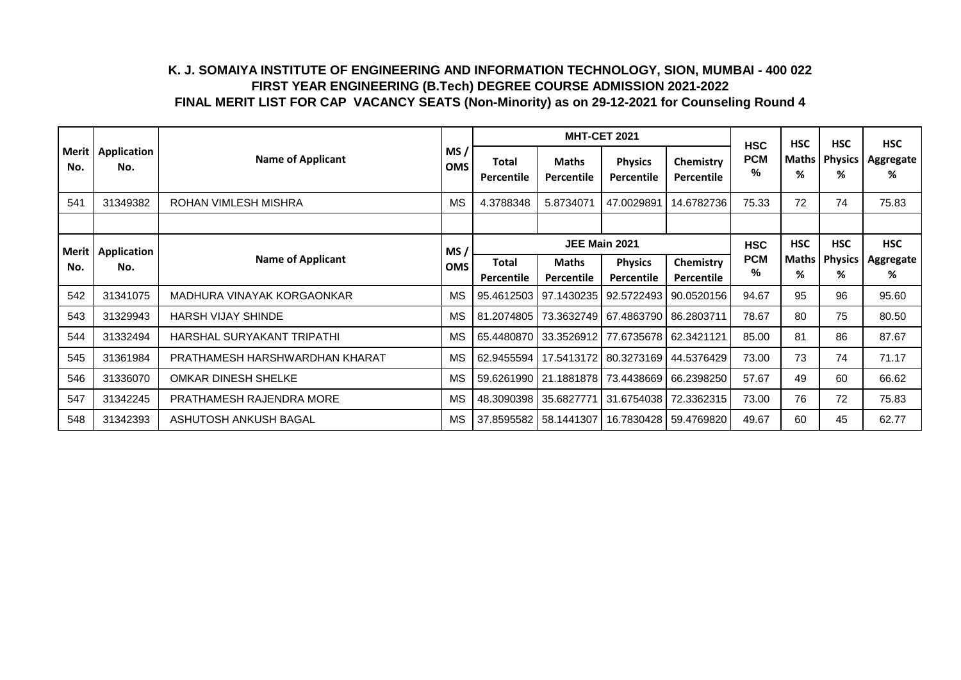|                |                    |                                |                   |                            |                                   | <b>MHT-CET 2021</b>                               |                         | <b>HSC</b>      | <b>HSC</b>        | <b>HSC</b>          | <b>HSC</b>     |
|----------------|--------------------|--------------------------------|-------------------|----------------------------|-----------------------------------|---------------------------------------------------|-------------------------|-----------------|-------------------|---------------------|----------------|
| Merit  <br>No. | Application<br>No. | <b>Name of Applicant</b>       | MS/<br><b>OMS</b> | <b>Total</b><br>Percentile | <b>Maths</b><br><b>Percentile</b> | <b>Physics</b><br>Percentile                      | Chemistry<br>Percentile | <b>PCM</b><br>% | Maths  <br>%      | <b>Physics</b><br>% | Aggregate<br>℅ |
| 541            | 31349382           | ROHAN VIMLESH MISHRA           | <b>MS</b>         | 4.3788348                  | 5.8734071                         | 47.0029891                                        | 14.6782736              | 75.33           | 72                | 74                  | 75.83          |
|                |                    |                                |                   |                            |                                   |                                                   |                         |                 |                   |                     |                |
| Merit l        | Application        |                                | MS/               |                            | JEE Main 2021                     |                                                   | <b>HSC</b>              | <b>HSC</b>      | <b>HSC</b>        | <b>HSC</b>          |                |
| No.            | No.                | <b>Name of Applicant</b>       | <b>OMS</b>        | Total                      | <b>Maths</b>                      | <b>Physics</b>                                    | Chemistry               | <b>PCM</b><br>% | <b>Maths</b><br>℅ | <b>Physics</b><br>% | Aggregate<br>℅ |
|                |                    |                                |                   | Percentile                 | Percentile                        | Percentile                                        | Percentile              |                 |                   |                     |                |
| 542            | 31341075           | MADHURA VINAYAK KORGAONKAR     | <b>MS</b>         | 95.4612503                 |                                   |                                                   |                         | 94.67           | 95                | 96                  | 95.60          |
| 543            | 31329943           | <b>HARSH VIJAY SHINDE</b>      | <b>MS</b>         |                            |                                   | 81.2074805 73.3632749 67.4863790 86.2803711       |                         | 78.67           | 80                | 75                  | 80.50          |
| 544            | 31332494           | HARSHAL SURYAKANT TRIPATHI     | <b>MS</b>         |                            |                                   | 65.4480870   33.3526912   77.6735678   62.3421121 |                         | 85.00           | 81                | 86                  | 87.67          |
| 545            | 31361984           | PRATHAMESH HARSHWARDHAN KHARAT | MS                |                            |                                   | 62.9455594   17.5413172   80.3273169              | 44.5376429              | 73.00           | 73                | 74                  | 71.17          |
| 546            | 31336070           | <b>OMKAR DINESH SHELKE</b>     | MS                |                            |                                   | 59.6261990   21.1881878   73.4438669              | 66.2398250              | 57.67           | 49                | 60                  | 66.62          |
| 547            | 31342245           | PRATHAMESH RAJENDRA MORE       | <b>MS</b>         |                            | 48.3090398 35.6827771             | 31.6754038                                        | 72.3362315              | 73.00           | 76                | 72                  | 75.83          |
| 548            | 31342393           | ASHUTOSH ANKUSH BAGAL          | <b>MS</b>         | 37.8595582                 | 58.1441307                        | 16.7830428                                        | 59.4769820              | 49.67           | 60                | 45                  | 62.77          |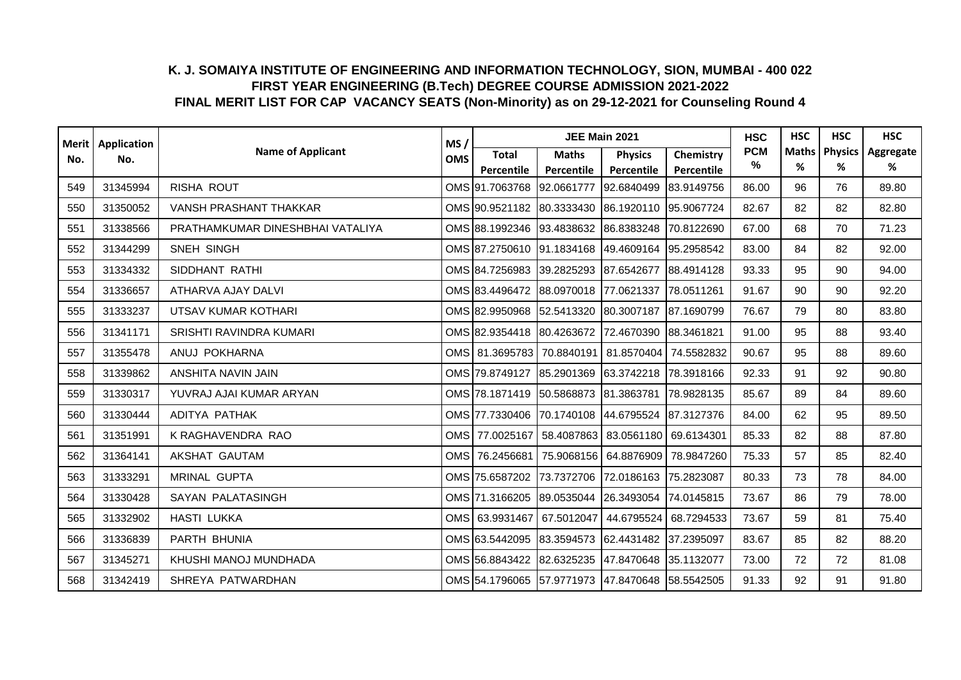| <b>Merit</b> | Application |                                  | MS/        |                                                         | JEE Main 2021         |                |            | <b>HSC</b>      | <b>HSC</b>   | <b>HSC</b>     | <b>HSC</b> |
|--------------|-------------|----------------------------------|------------|---------------------------------------------------------|-----------------------|----------------|------------|-----------------|--------------|----------------|------------|
| No.          | No.         | <b>Name of Applicant</b>         | <b>OMS</b> | <b>Total</b>                                            | <b>Maths</b>          | <b>Physics</b> | Chemistry  | <b>PCM</b><br>% | <b>Maths</b> | <b>Physics</b> | Aggregate  |
|              |             |                                  |            | Percentile                                              | Percentile            | Percentile     | Percentile |                 | %            | %              | %          |
| 549          | 31345994    | <b>RISHA ROUT</b>                |            | OMS 91.7063768                                          | 92.0661777            | 92.6840499     | 83.9149756 | 86.00           | 96           | 76             | 89.80      |
| 550          | 31350052    | VANSH PRASHANT THAKKAR           |            | OMS 90.9521182 80.3333430 86.1920110                    |                       |                | 95.9067724 | 82.67           | 82           | 82             | 82.80      |
| 551          | 31338566    | PRATHAMKUMAR DINESHBHAI VATALIYA |            | OMS 88.1992346                                          | 93.4838632 86.8383248 |                | 70.8122690 | 67.00           | 68           | 70             | 71.23      |
| 552          | 31344299    | SNEH SINGH                       |            | OMS 87.2750610 91.1834168 49.4609164                    |                       |                | 95.2958542 | 83.00           | 84           | 82             | 92.00      |
| 553          | 31334332    | SIDDHANT RATHI                   |            | OMS 84.7256983 39.2825293 87.6542677                    |                       |                | 88.4914128 | 93.33           | 95           | 90             | 94.00      |
| 554          | 31336657    | ATHARVA AJAY DALVI               |            | OMS 83.4496472                                          | 88.0970018 77.0621337 |                | 78.0511261 | 91.67           | 90           | 90             | 92.20      |
| 555          | 31333237    | UTSAV KUMAR KOTHARI              |            | OMS 82.9950968                                          | 52.5413320 80.3007187 |                | 87.1690799 | 76.67           | 79           | 80             | 83.80      |
| 556          | 31341171    | SRISHTI RAVINDRA KUMARI          |            | OMS 82.9354418 80.4263672 72.4670390                    |                       |                | 88.3461821 | 91.00           | 95           | 88             | 93.40      |
| 557          | 31355478    | ANUJ POKHARNA                    |            | OMS 81.3695783 70.8840191                               |                       | 81.8570404     | 74.5582832 | 90.67           | 95           | 88             | 89.60      |
| 558          | 31339862    | ANSHITA NAVIN JAIN               |            | OMS 79.8749127                                          | 85.2901369            | 63.3742218     | 78.3918166 | 92.33           | 91           | 92             | 90.80      |
| 559          | 31330317    | YUVRAJ AJAI KUMAR ARYAN          |            | OMS 78.1871419 50.5868873 81.3863781                    |                       |                | 78.9828135 | 85.67           | 89           | 84             | 89.60      |
| 560          | 31330444    | ADITYA PATHAK                    |            | OMS 77.7330406                                          | 70.1740108 44.6795524 |                | 87.3127376 | 84.00           | 62           | 95             | 89.50      |
| 561          | 31351991    | K RAGHAVENDRA RAO                |            | OMS 77.0025167                                          | 58.4087863            | 83.0561180     | 69.6134301 | 85.33           | 82           | 88             | 87.80      |
| 562          | 31364141    | AKSHAT GAUTAM                    |            | OMS   76.2456681   75.9068156   64.8876909   78.9847260 |                       |                |            | 75.33           | 57           | 85             | 82.40      |
| 563          | 31333291    | <b>MRINAL GUPTA</b>              |            | OMS 75.6587202                                          | 73.7372706            | 72.0186163     | 75.2823087 | 80.33           | 73           | 78             | 84.00      |
| 564          | 31330428    | SAYAN PALATASINGH                |            | OMS 71.3166205                                          | 89.0535044 26.3493054 |                | 74.0145815 | 73.67           | 86           | 79             | 78.00      |
| 565          | 31332902    | <b>HASTI LUKKA</b>               |            | OMS 63.9931467 67.5012047                               |                       | 44.6795524     | 68.7294533 | 73.67           | 59           | 81             | 75.40      |
| 566          | 31336839    | PARTH BHUNIA                     |            | OMS 63.5442095                                          | 83.3594573            | 62.4431482     | 37.2395097 | 83.67           | 85           | 82             | 88.20      |
| 567          | 31345271    | KHUSHI MANOJ MUNDHADA            |            | OMS 56.8843422                                          | 82.6325235 47.8470648 |                | 35.1132077 | 73.00           | 72           | 72             | 81.08      |
| 568          | 31342419    | SHREYA PATWARDHAN                |            | OMS 54.1796065 57.9771973 47.8470648 58.5542505         |                       |                |            | 91.33           | 92           | 91             | 91.80      |